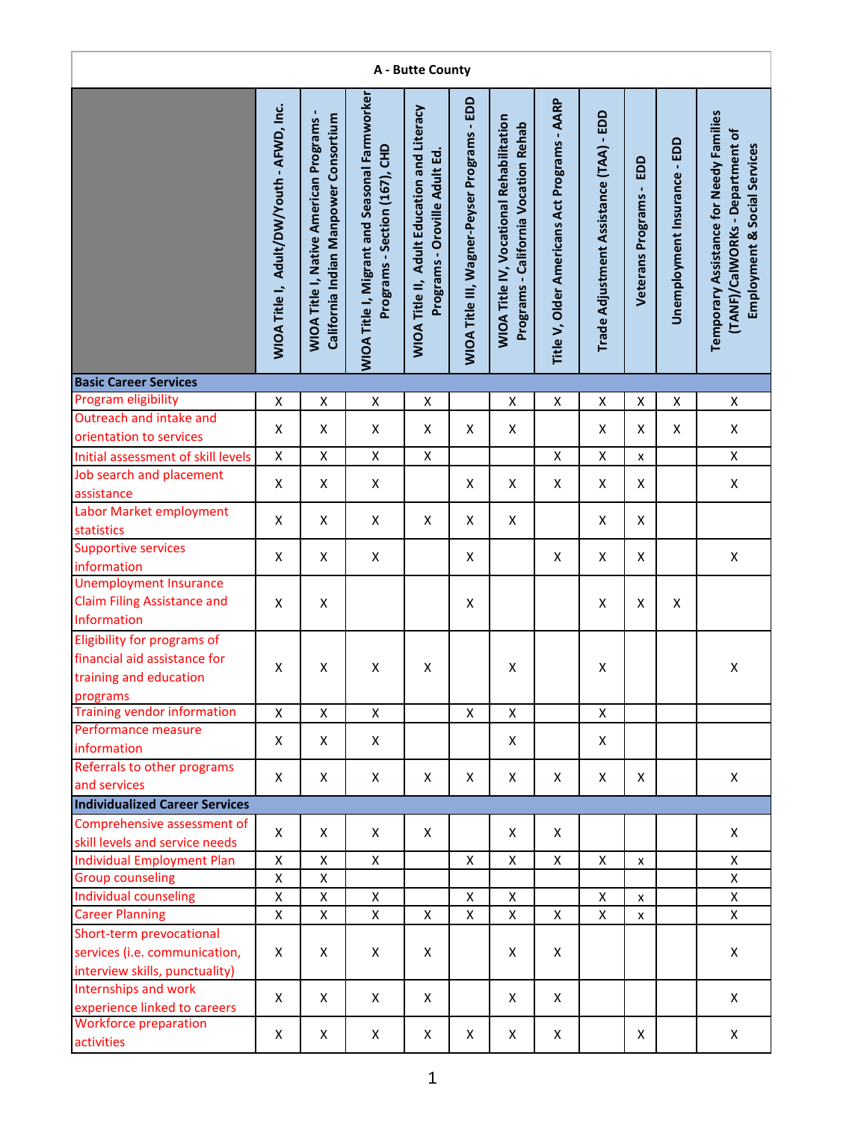|                                                                                                   |                                           |                                                                                        |                                                                                | A - Butte County                                                             |                                              |                                                                                         |                                              |                                         |                                  |                              |                                                                                                            |
|---------------------------------------------------------------------------------------------------|-------------------------------------------|----------------------------------------------------------------------------------------|--------------------------------------------------------------------------------|------------------------------------------------------------------------------|----------------------------------------------|-----------------------------------------------------------------------------------------|----------------------------------------------|-----------------------------------------|----------------------------------|------------------------------|------------------------------------------------------------------------------------------------------------|
|                                                                                                   | WIOA Title I, Adult/DW/Youth - AFWD, Inc. | California Indian Manpower Consortium<br><b>WIOA Title I, Native American Programs</b> | WIOA Title I, Migrant and Seasonal Farmworker<br>Programs - Section (167), CHD | WIOA Title II, Adult Education and Literacy<br>Programs - Oroville Adult Ed. | WIOA Title III, Wagner-Peyser Programs - EDD | <b>WIOA Title IV, Vocational Rehabilitation</b><br>Programs - California Vocation Rehab | Title V, Older Americans Act Programs - AARP | Trade Adjustment Assistance (TAA) - EDD | EDD<br><b>Veterans Programs-</b> | Unemployment Insurance - EDD | Temporary Assistance for Needy Families<br>(TANF)/CalWORKs - Department of<br>Employment & Social Services |
| <b>Basic Career Services</b>                                                                      |                                           |                                                                                        |                                                                                |                                                                              |                                              |                                                                                         |                                              |                                         |                                  |                              |                                                                                                            |
| Program eligibility                                                                               | Χ                                         | $\pmb{\mathsf{X}}$                                                                     | Χ                                                                              | X                                                                            |                                              | X                                                                                       | Χ                                            | Χ                                       | $\pmb{\mathsf{X}}$               | $\pmb{\mathsf{X}}$           | $\mathsf X$                                                                                                |
| Outreach and intake and                                                                           | Χ                                         | X                                                                                      | X                                                                              | X                                                                            | X                                            | X                                                                                       |                                              | Χ                                       | Χ                                | X                            | X                                                                                                          |
| orientation to services<br>Initial assessment of skill levels                                     | Χ                                         | $\pmb{\mathsf{X}}$                                                                     | Χ                                                                              | $\pmb{\mathsf{X}}$                                                           |                                              |                                                                                         | $\pmb{\mathsf{X}}$                           | $\pmb{\mathsf{X}}$                      | x                                |                              | $\pmb{\mathsf{X}}$                                                                                         |
| Job search and placement                                                                          |                                           |                                                                                        |                                                                                |                                                                              |                                              |                                                                                         |                                              |                                         |                                  |                              |                                                                                                            |
| assistance                                                                                        | X                                         | X                                                                                      | X                                                                              |                                                                              | X                                            | X                                                                                       | X                                            | X                                       | Χ                                |                              | X                                                                                                          |
| Labor Market employment<br>statistics                                                             | X                                         | X                                                                                      | X                                                                              | X                                                                            | X                                            | X                                                                                       |                                              | X                                       | X                                |                              |                                                                                                            |
| <b>Supportive services</b><br>information                                                         | X                                         | X                                                                                      | X                                                                              |                                                                              | X                                            |                                                                                         | Χ                                            | X                                       | X                                |                              | X                                                                                                          |
| <b>Unemployment Insurance</b><br><b>Claim Filing Assistance and</b><br>Information                | Χ                                         | X                                                                                      |                                                                                |                                                                              | X                                            |                                                                                         |                                              | Χ                                       | X                                | Χ                            |                                                                                                            |
| Eligibility for programs of<br>financial aid assistance for<br>training and education<br>programs | X                                         | X                                                                                      | X                                                                              | X                                                                            |                                              | X                                                                                       |                                              | $\pmb{\mathsf{X}}$                      |                                  |                              | X                                                                                                          |
| <b>Training vendor information</b>                                                                | X                                         | $\pmb{\times}$                                                                         | X                                                                              |                                                                              | $\mathsf{x}$                                 | X                                                                                       |                                              | $\pmb{\mathsf{X}}$                      |                                  |                              |                                                                                                            |
| Performance measure<br>information                                                                | X                                         | X                                                                                      | X                                                                              |                                                                              |                                              | X                                                                                       |                                              | X                                       |                                  |                              |                                                                                                            |
| Referrals to other programs<br>and services                                                       | X                                         | X                                                                                      | X                                                                              | X                                                                            | X                                            | X                                                                                       | X                                            | X                                       | X                                |                              | X                                                                                                          |
| <b>Individualized Career Services</b>                                                             |                                           |                                                                                        |                                                                                |                                                                              |                                              |                                                                                         |                                              |                                         |                                  |                              |                                                                                                            |
| Comprehensive assessment of<br>skill levels and service needs                                     | X                                         | X                                                                                      | X                                                                              | X                                                                            |                                              | X                                                                                       | X                                            |                                         |                                  |                              | X                                                                                                          |
| <b>Individual Employment Plan</b>                                                                 | Χ                                         | $\mathsf{x}$                                                                           | X                                                                              |                                                                              | X                                            | X                                                                                       | X                                            | $\pmb{\mathsf{X}}$                      | x                                |                              | X                                                                                                          |
| <b>Group counseling</b>                                                                           | Χ                                         | $\pmb{\mathsf{X}}$                                                                     |                                                                                |                                                                              |                                              |                                                                                         |                                              |                                         |                                  |                              | X                                                                                                          |
| Individual counseling                                                                             | X                                         | Χ                                                                                      | X                                                                              |                                                                              | X                                            | X                                                                                       |                                              | X                                       | x                                |                              | X                                                                                                          |
| <b>Career Planning</b>                                                                            | X                                         | X                                                                                      | X                                                                              | X                                                                            | X                                            | X                                                                                       | X                                            | X                                       | x                                |                              | X                                                                                                          |
| Short-term prevocational<br>services (i.e. communication,<br>interview skills, punctuality)       | X                                         | X                                                                                      | X                                                                              | X                                                                            |                                              | X                                                                                       | X                                            |                                         |                                  |                              | X                                                                                                          |
| Internships and work<br>experience linked to careers                                              | X                                         | X                                                                                      | X                                                                              | X                                                                            |                                              | X                                                                                       | X                                            |                                         |                                  |                              | X                                                                                                          |
| <b>Workforce preparation</b><br>activities                                                        | X                                         | X                                                                                      | X                                                                              | X                                                                            | X                                            | X                                                                                       | X                                            |                                         | Χ                                |                              | X                                                                                                          |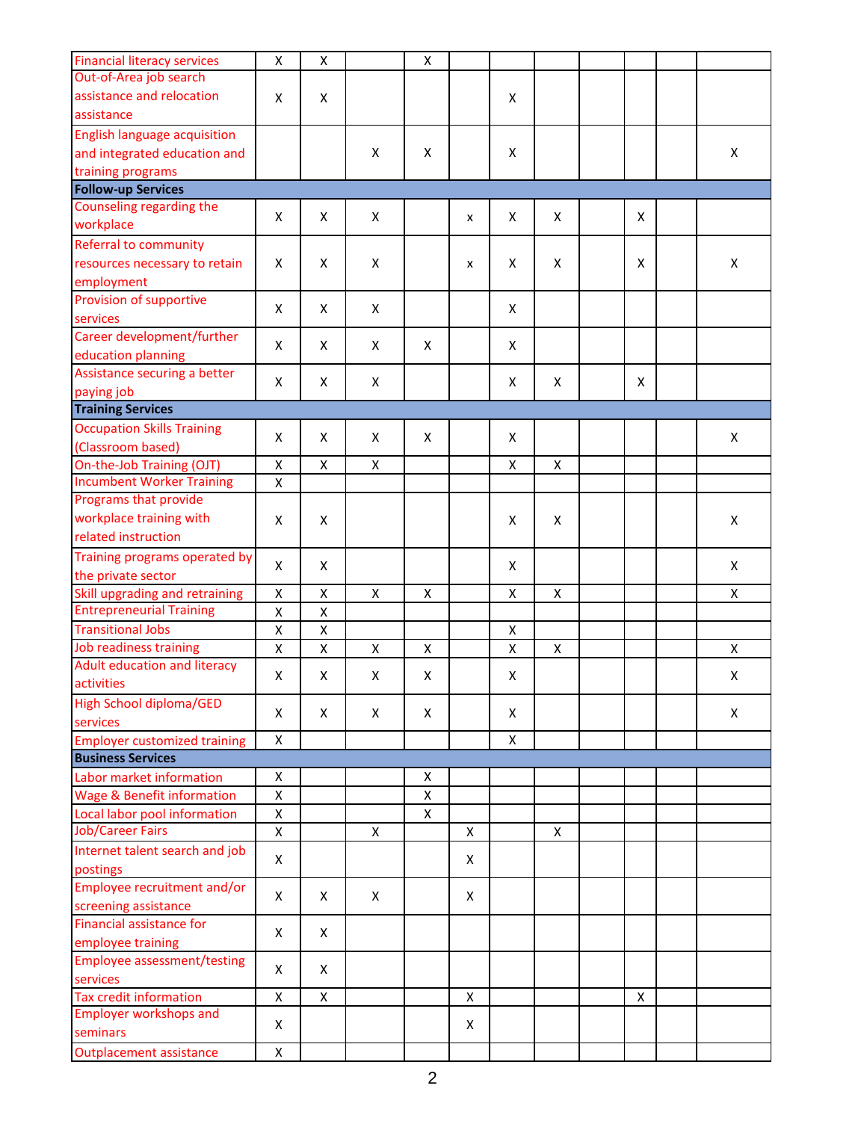| <b>Financial literacy services</b><br>Out-of-Area job search | X | Χ |                    | Χ |   |   |              |   |                |
|--------------------------------------------------------------|---|---|--------------------|---|---|---|--------------|---|----------------|
| assistance and relocation                                    | X | X |                    |   |   | X |              |   |                |
| assistance                                                   |   |   |                    |   |   |   |              |   |                |
| <b>English language acquisition</b>                          |   |   |                    |   |   |   |              |   |                |
|                                                              |   |   |                    |   |   |   |              |   |                |
| and integrated education and                                 |   |   | X                  | X |   | X |              |   | X              |
| training programs                                            |   |   |                    |   |   |   |              |   |                |
| <b>Follow-up Services</b>                                    |   |   |                    |   |   |   |              |   |                |
| Counseling regarding the                                     | X | X | X                  |   | x | X | X            | X |                |
| workplace                                                    |   |   |                    |   |   |   |              |   |                |
| Referral to community                                        |   |   |                    |   |   |   |              |   |                |
| resources necessary to retain                                | X | X | X                  |   | x | X | X            | X | X              |
| employment                                                   |   |   |                    |   |   |   |              |   |                |
| Provision of supportive                                      | X | X | X                  |   |   | X |              |   |                |
| services                                                     |   |   |                    |   |   |   |              |   |                |
| Career development/further                                   |   | X |                    | X |   | X |              |   |                |
| education planning                                           | X |   | X                  |   |   |   |              |   |                |
| Assistance securing a better                                 |   |   |                    |   |   |   |              |   |                |
| paying job                                                   | X | X | X                  |   |   | X | X            | X |                |
| <b>Training Services</b>                                     |   |   |                    |   |   |   |              |   |                |
| <b>Occupation Skills Training</b>                            |   |   |                    |   |   |   |              |   |                |
| (Classroom based)                                            | X | X | X                  | x |   | X |              |   | X              |
| On-the-Job Training (OJT)                                    | X | X | X                  |   |   | X | X            |   |                |
| <b>Incumbent Worker Training</b>                             | Χ |   |                    |   |   |   |              |   |                |
| Programs that provide                                        |   |   |                    |   |   |   |              |   |                |
| workplace training with                                      | X | X |                    |   |   | X | X            |   | X              |
| related instruction                                          |   |   |                    |   |   |   |              |   |                |
| Training programs operated by                                |   |   |                    |   |   |   |              |   |                |
| the private sector                                           | X | X |                    |   |   | X |              |   | X              |
| Skill upgrading and retraining                               | Χ | Χ | $\pmb{\mathsf{X}}$ | X |   | Χ | $\mathsf{x}$ |   | X              |
| <b>Entrepreneurial Training</b>                              | X | Χ |                    |   |   |   |              |   |                |
| <b>Transitional Jobs</b>                                     | Χ | Χ |                    |   |   |   |              |   |                |
| Job readiness training                                       |   |   |                    |   |   | X |              |   |                |
|                                                              | Χ | Χ | $\pmb{\mathsf{X}}$ | Χ |   | X | $\mathsf{x}$ |   | $\pmb{\times}$ |
| Adult education and literacy<br>activities                   | X | X | X                  | X |   | X |              |   | X              |
| <b>High School diploma/GED</b>                               |   |   |                    |   |   |   |              |   |                |
| services                                                     | X | X | X                  | X |   | X |              |   | X              |
| <b>Employer customized training</b>                          | X |   |                    |   |   | X |              |   |                |
| <b>Business Services</b>                                     |   |   |                    |   |   |   |              |   |                |
| Labor market information                                     | X |   |                    | X |   |   |              |   |                |
| <b>Wage &amp; Benefit information</b>                        | X |   |                    | Χ |   |   |              |   |                |
| Local labor pool information                                 | Χ |   |                    | Χ |   |   |              |   |                |
| <b>Job/Career Fairs</b>                                      | Χ |   | Χ                  |   | Χ |   | X            |   |                |
| Internet talent search and job                               |   |   |                    |   |   |   |              |   |                |
| postings                                                     | X |   |                    |   | Χ |   |              |   |                |
| Employee recruitment and/or                                  |   |   |                    |   |   |   |              |   |                |
| screening assistance                                         | X | X | X                  |   | Χ |   |              |   |                |
| Financial assistance for                                     |   |   |                    |   |   |   |              |   |                |
| employee training                                            | X | X |                    |   |   |   |              |   |                |
|                                                              |   |   |                    |   |   |   |              |   |                |
| <b>Employee assessment/testing</b><br>services               | X | X |                    |   |   |   |              |   |                |
| <b>Tax credit information</b>                                | Χ | X |                    |   | X |   |              | X |                |
| <b>Employer workshops and</b>                                |   |   |                    |   |   |   |              |   |                |
| seminars                                                     | X |   |                    |   | Χ |   |              |   |                |
|                                                              |   |   |                    |   |   |   |              |   |                |
| <b>Outplacement assistance</b>                               | Χ |   |                    |   |   |   |              |   |                |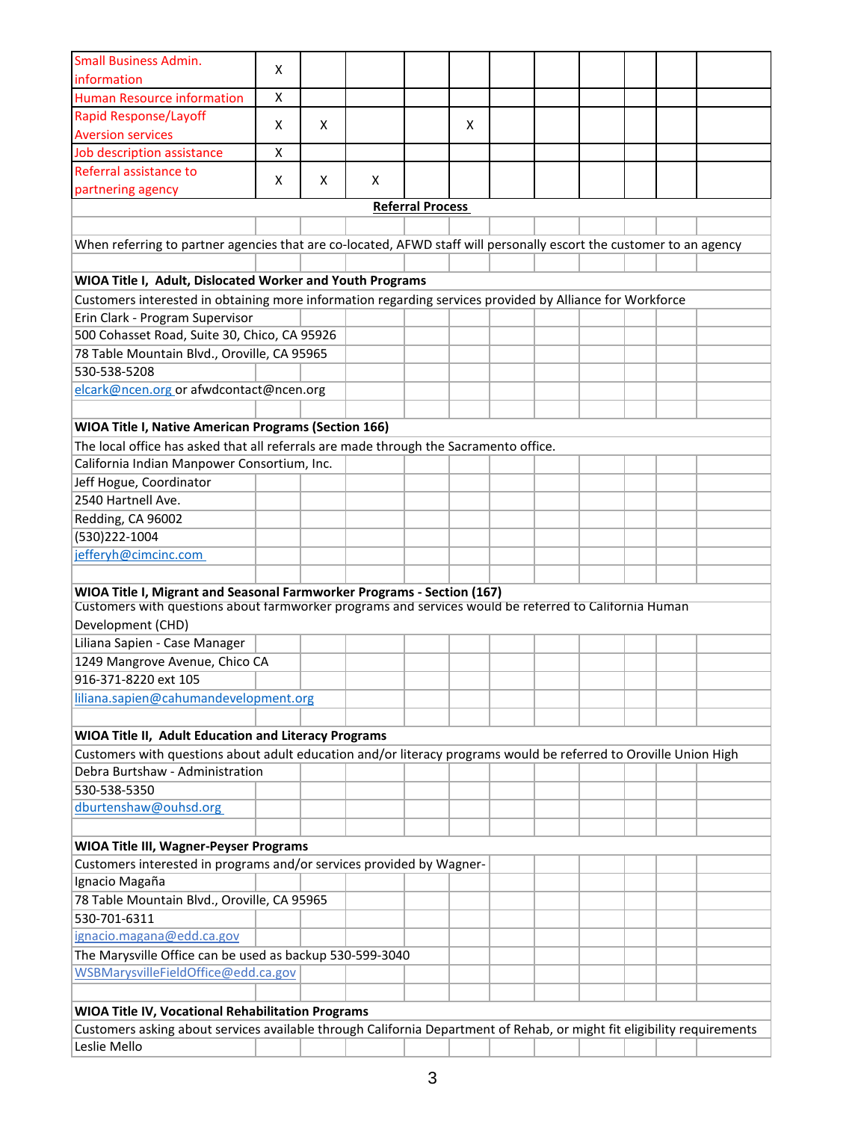| <b>Small Business Admin.</b>                                                                                            | x |   |   |                         |   |  |  |  |
|-------------------------------------------------------------------------------------------------------------------------|---|---|---|-------------------------|---|--|--|--|
| information                                                                                                             |   |   |   |                         |   |  |  |  |
| <b>Human Resource information</b>                                                                                       | X |   |   |                         |   |  |  |  |
| <b>Rapid Response/Layoff</b>                                                                                            | x | X |   |                         | X |  |  |  |
| <b>Aversion services</b>                                                                                                |   |   |   |                         |   |  |  |  |
| Job description assistance                                                                                              | X |   |   |                         |   |  |  |  |
| Referral assistance to                                                                                                  | X | X | X |                         |   |  |  |  |
| partnering agency                                                                                                       |   |   |   |                         |   |  |  |  |
|                                                                                                                         |   |   |   | <b>Referral Process</b> |   |  |  |  |
|                                                                                                                         |   |   |   |                         |   |  |  |  |
| When referring to partner agencies that are co-located, AFWD staff will personally escort the customer to an agency     |   |   |   |                         |   |  |  |  |
|                                                                                                                         |   |   |   |                         |   |  |  |  |
| WIOA Title I, Adult, Dislocated Worker and Youth Programs                                                               |   |   |   |                         |   |  |  |  |
| Customers interested in obtaining more information regarding services provided by Alliance for Workforce                |   |   |   |                         |   |  |  |  |
| Erin Clark - Program Supervisor                                                                                         |   |   |   |                         |   |  |  |  |
| 500 Cohasset Road, Suite 30, Chico, CA 95926                                                                            |   |   |   |                         |   |  |  |  |
| 78 Table Mountain Blvd., Oroville, CA 95965                                                                             |   |   |   |                         |   |  |  |  |
| 530-538-5208                                                                                                            |   |   |   |                         |   |  |  |  |
| elcark@ncen.org or afwdcontact@ncen.org                                                                                 |   |   |   |                         |   |  |  |  |
|                                                                                                                         |   |   |   |                         |   |  |  |  |
| <b>WIOA Title I, Native American Programs (Section 166)</b>                                                             |   |   |   |                         |   |  |  |  |
| The local office has asked that all referrals are made through the Sacramento office.                                   |   |   |   |                         |   |  |  |  |
| California Indian Manpower Consortium, Inc.                                                                             |   |   |   |                         |   |  |  |  |
| Jeff Hogue, Coordinator                                                                                                 |   |   |   |                         |   |  |  |  |
| 2540 Hartnell Ave.                                                                                                      |   |   |   |                         |   |  |  |  |
| Redding, CA 96002                                                                                                       |   |   |   |                         |   |  |  |  |
| (530)222-1004                                                                                                           |   |   |   |                         |   |  |  |  |
| jefferyh@cimcinc.com                                                                                                    |   |   |   |                         |   |  |  |  |
|                                                                                                                         |   |   |   |                         |   |  |  |  |
| WIOA Title I, Migrant and Seasonal Farmworker Programs - Section (167)                                                  |   |   |   |                         |   |  |  |  |
| Customers with questions about farmworker programs and services would be referred to California Human                   |   |   |   |                         |   |  |  |  |
| Development (CHD)                                                                                                       |   |   |   |                         |   |  |  |  |
| Liliana Sapien - Case Manager                                                                                           |   |   |   |                         |   |  |  |  |
| 1249 Mangrove Avenue, Chico CA                                                                                          |   |   |   |                         |   |  |  |  |
| 916-371-8220 ext 105                                                                                                    |   |   |   |                         |   |  |  |  |
| liliana.sapien@cahumandevelopment.org                                                                                   |   |   |   |                         |   |  |  |  |
|                                                                                                                         |   |   |   |                         |   |  |  |  |
| WIOA Title II, Adult Education and Literacy Programs                                                                    |   |   |   |                         |   |  |  |  |
| Customers with questions about adult education and/or literacy programs would be referred to Oroville Union High        |   |   |   |                         |   |  |  |  |
| Debra Burtshaw - Administration                                                                                         |   |   |   |                         |   |  |  |  |
| 530-538-5350                                                                                                            |   |   |   |                         |   |  |  |  |
| dburtenshaw@ouhsd.org                                                                                                   |   |   |   |                         |   |  |  |  |
|                                                                                                                         |   |   |   |                         |   |  |  |  |
| WIOA Title III, Wagner-Peyser Programs                                                                                  |   |   |   |                         |   |  |  |  |
| Customers interested in programs and/or services provided by Wagner-                                                    |   |   |   |                         |   |  |  |  |
| Ignacio Magaña                                                                                                          |   |   |   |                         |   |  |  |  |
| 78 Table Mountain Blvd., Oroville, CA 95965                                                                             |   |   |   |                         |   |  |  |  |
| 530-701-6311                                                                                                            |   |   |   |                         |   |  |  |  |
| ignacio.magana@edd.ca.gov                                                                                               |   |   |   |                         |   |  |  |  |
| The Marysville Office can be used as backup 530-599-3040                                                                |   |   |   |                         |   |  |  |  |
| WSBMarysvilleFieldOffice@edd.ca.gov                                                                                     |   |   |   |                         |   |  |  |  |
|                                                                                                                         |   |   |   |                         |   |  |  |  |
| WIOA Title IV, Vocational Rehabilitation Programs                                                                       |   |   |   |                         |   |  |  |  |
| Customers asking about services available through California Department of Rehab, or might fit eligibility requirements |   |   |   |                         |   |  |  |  |
| Leslie Mello                                                                                                            |   |   |   |                         |   |  |  |  |
|                                                                                                                         |   |   |   |                         |   |  |  |  |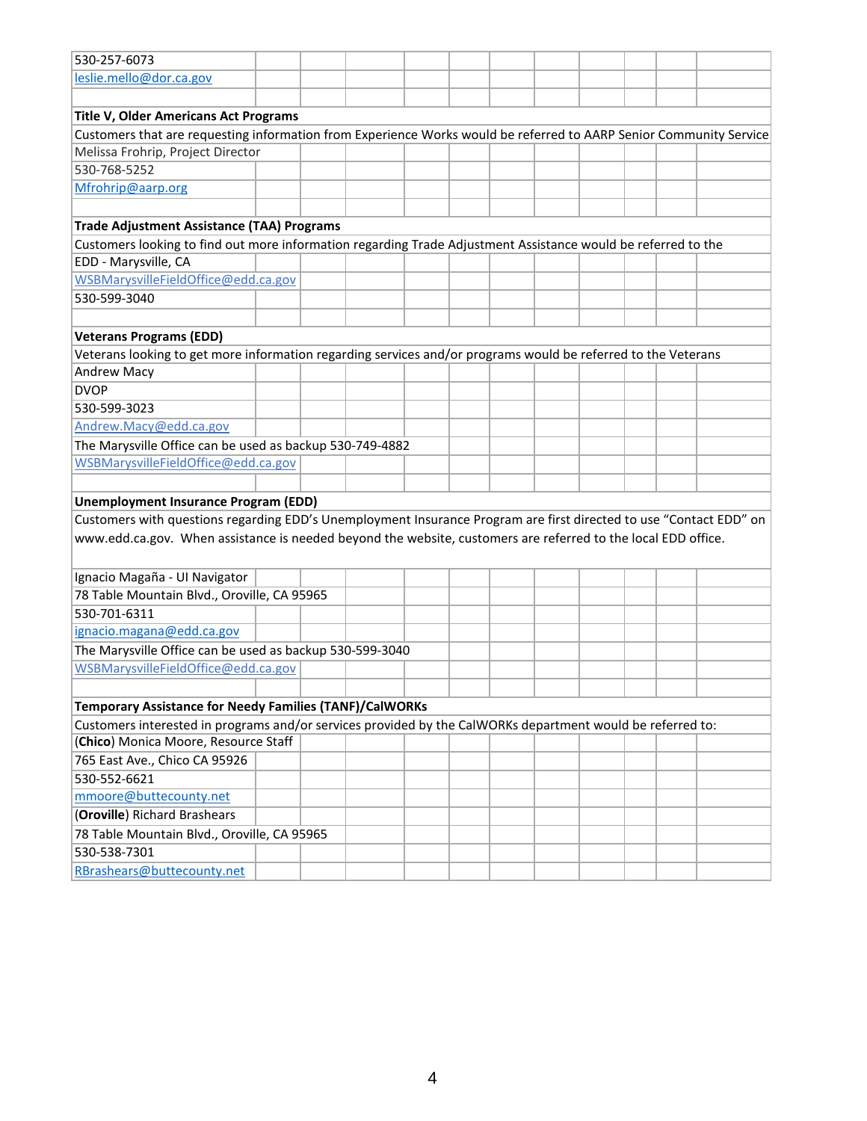| 530-257-6073                                                                                                       |  |  |  |  |  |  |
|--------------------------------------------------------------------------------------------------------------------|--|--|--|--|--|--|
| leslie.mello@dor.ca.gov                                                                                            |  |  |  |  |  |  |
|                                                                                                                    |  |  |  |  |  |  |
| Title V, Older Americans Act Programs                                                                              |  |  |  |  |  |  |
| Customers that are requesting information from Experience Works would be referred to AARP Senior Community Service |  |  |  |  |  |  |
| Melissa Frohrip, Project Director                                                                                  |  |  |  |  |  |  |
| 530-768-5252                                                                                                       |  |  |  |  |  |  |
| Mfrohrip@aarp.org                                                                                                  |  |  |  |  |  |  |
|                                                                                                                    |  |  |  |  |  |  |
| <b>Trade Adjustment Assistance (TAA) Programs</b>                                                                  |  |  |  |  |  |  |
| Customers looking to find out more information regarding Trade Adjustment Assistance would be referred to the      |  |  |  |  |  |  |
| EDD - Marysville, CA                                                                                               |  |  |  |  |  |  |
| WSBMarysvilleFieldOffice@edd.ca.gov                                                                                |  |  |  |  |  |  |
| 530-599-3040                                                                                                       |  |  |  |  |  |  |
|                                                                                                                    |  |  |  |  |  |  |
| <b>Veterans Programs (EDD)</b>                                                                                     |  |  |  |  |  |  |
| Veterans looking to get more information regarding services and/or programs would be referred to the Veterans      |  |  |  |  |  |  |
| <b>Andrew Macy</b>                                                                                                 |  |  |  |  |  |  |
| <b>DVOP</b>                                                                                                        |  |  |  |  |  |  |
| 530-599-3023                                                                                                       |  |  |  |  |  |  |
| Andrew.Macy@edd.ca.gov                                                                                             |  |  |  |  |  |  |
| The Marysville Office can be used as backup 530-749-4882                                                           |  |  |  |  |  |  |
| WSBMarysvilleFieldOffice@edd.ca.gov                                                                                |  |  |  |  |  |  |
|                                                                                                                    |  |  |  |  |  |  |
| <b>Unemployment Insurance Program (EDD)</b>                                                                        |  |  |  |  |  |  |
| Customers with questions regarding EDD's Unemployment Insurance Program are first directed to use "Contact EDD" on |  |  |  |  |  |  |
| www.edd.ca.gov. When assistance is needed beyond the website, customers are referred to the local EDD office.      |  |  |  |  |  |  |
|                                                                                                                    |  |  |  |  |  |  |
| Ignacio Magaña - UI Navigator                                                                                      |  |  |  |  |  |  |
| 78 Table Mountain Blvd., Oroville, CA 95965                                                                        |  |  |  |  |  |  |
| 530-701-6311                                                                                                       |  |  |  |  |  |  |
| ignacio.magana@edd.ca.gov                                                                                          |  |  |  |  |  |  |
| The Marysville Office can be used as backup 530-599-3040                                                           |  |  |  |  |  |  |
| WSBMarysvilleFieldOffice@edd.ca.gov                                                                                |  |  |  |  |  |  |
|                                                                                                                    |  |  |  |  |  |  |
| <b>Temporary Assistance for Needy Families (TANF)/CalWORKs</b>                                                     |  |  |  |  |  |  |
| Customers interested in programs and/or services provided by the CalWORKs department would be referred to:         |  |  |  |  |  |  |
| (Chico) Monica Moore, Resource Staff                                                                               |  |  |  |  |  |  |
| 765 East Ave., Chico CA 95926                                                                                      |  |  |  |  |  |  |
| 530-552-6621                                                                                                       |  |  |  |  |  |  |
| mmoore@buttecounty.net                                                                                             |  |  |  |  |  |  |
| (Oroville) Richard Brashears                                                                                       |  |  |  |  |  |  |
| 78 Table Mountain Blvd., Oroville, CA 95965                                                                        |  |  |  |  |  |  |
| 530-538-7301                                                                                                       |  |  |  |  |  |  |
| RBrashears@buttecounty.net                                                                                         |  |  |  |  |  |  |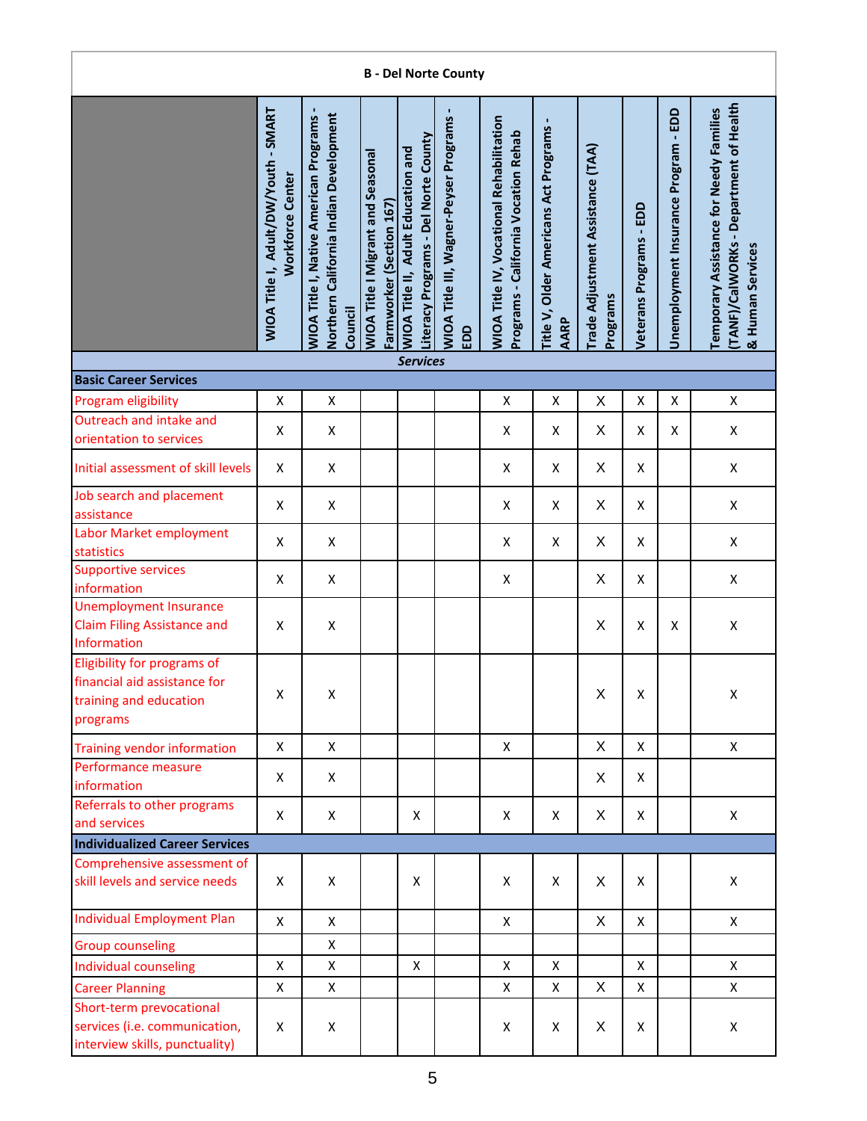|                                                                                                   |                                                                 |                                                                                                    |                                                                      |                                                                                   | <b>B</b> - Del Norte County                          |                                                                                         |                                                        |                                               |                         |                                      |                                                                                                      |
|---------------------------------------------------------------------------------------------------|-----------------------------------------------------------------|----------------------------------------------------------------------------------------------------|----------------------------------------------------------------------|-----------------------------------------------------------------------------------|------------------------------------------------------|-----------------------------------------------------------------------------------------|--------------------------------------------------------|-----------------------------------------------|-------------------------|--------------------------------------|------------------------------------------------------------------------------------------------------|
|                                                                                                   | WIOA Title I, Adult/DW/Youth - SMART<br><b>Workforce Center</b> | Northern California Indian Development<br><b>WIOA Title I, Native American Programs</b><br>Council | <b>WIOA Title I Migrant and Seasonal</b><br>Farmworker (Section 167) | Literacy Programs - Del Norte County<br><b>WIOA Title II, Adult Education and</b> | <b>WIOA Title III, Wagner-Peyser Programs</b><br>EDD | <b>WIOA Title IV, Vocational Rehabilitation</b><br>Programs - California Vocation Rehab | Title V, Older Americans Act Programs -<br><b>AARP</b> | Trade Adjustment Assistance (TAA)<br>Programs | Veterans Programs - EDD | Unemployment Insurance Program - EDD | TANF)/CalWORKs - Department of Health<br>Temporary Assistance for Needy Families<br>& Human Services |
| <b>Basic Career Services</b>                                                                      |                                                                 |                                                                                                    |                                                                      | <b>Services</b>                                                                   |                                                      |                                                                                         |                                                        |                                               |                         |                                      |                                                                                                      |
|                                                                                                   |                                                                 |                                                                                                    |                                                                      |                                                                                   |                                                      |                                                                                         |                                                        |                                               |                         |                                      |                                                                                                      |
| Program eligibility<br>Outreach and intake and                                                    | X                                                               | X                                                                                                  |                                                                      |                                                                                   |                                                      | X                                                                                       | X                                                      | X                                             | X                       | X                                    | X                                                                                                    |
| orientation to services                                                                           | Χ                                                               | X                                                                                                  |                                                                      |                                                                                   |                                                      | X                                                                                       | X                                                      | X                                             | X                       | X                                    | X                                                                                                    |
| Initial assessment of skill levels                                                                | X                                                               | X                                                                                                  |                                                                      |                                                                                   |                                                      | X                                                                                       | X                                                      | X                                             | Χ                       |                                      | X                                                                                                    |
| Job search and placement<br>assistance                                                            | X                                                               | X                                                                                                  |                                                                      |                                                                                   |                                                      | X                                                                                       | X                                                      | X                                             | X                       |                                      | X                                                                                                    |
| Labor Market employment<br>statistics                                                             | X                                                               | $\pmb{\mathsf{X}}$                                                                                 |                                                                      |                                                                                   |                                                      | X                                                                                       | X                                                      | X                                             | X                       |                                      | $\pmb{\mathsf{X}}$                                                                                   |
| <b>Supportive services</b><br>information                                                         | X                                                               | X                                                                                                  |                                                                      |                                                                                   |                                                      | X                                                                                       |                                                        | X                                             | X                       |                                      | X                                                                                                    |
| <b>Unemployment Insurance</b><br><b>Claim Filing Assistance and</b><br>Information                | X                                                               | $\pmb{\mathsf{X}}$                                                                                 |                                                                      |                                                                                   |                                                      |                                                                                         |                                                        | X                                             | X                       | X                                    | $\pmb{\mathsf{X}}$                                                                                   |
| Eligibility for programs of<br>financial aid assistance for<br>training and education<br>programs | Χ                                                               | X                                                                                                  |                                                                      |                                                                                   |                                                      |                                                                                         |                                                        | $\mathsf X$                                   | $\pmb{\mathsf{X}}$      |                                      | Χ                                                                                                    |
| <b>Training vendor information</b>                                                                | X                                                               | X                                                                                                  |                                                                      |                                                                                   |                                                      | X                                                                                       |                                                        | X                                             | X                       |                                      | $\mathsf{X}$                                                                                         |
| Performance measure<br>information                                                                | X                                                               | X                                                                                                  |                                                                      |                                                                                   |                                                      |                                                                                         |                                                        | X                                             | X                       |                                      |                                                                                                      |
| Referrals to other programs<br>and services                                                       | X                                                               | X                                                                                                  |                                                                      | X                                                                                 |                                                      | X                                                                                       | X                                                      | X                                             | X                       |                                      | X                                                                                                    |
| <b>Individualized Career Services</b>                                                             |                                                                 |                                                                                                    |                                                                      |                                                                                   |                                                      |                                                                                         |                                                        |                                               |                         |                                      |                                                                                                      |
| Comprehensive assessment of<br>skill levels and service needs                                     | X                                                               | X                                                                                                  |                                                                      | Χ                                                                                 |                                                      | X                                                                                       | X                                                      | X                                             | X                       |                                      | X                                                                                                    |
| <b>Individual Employment Plan</b>                                                                 | X                                                               | $\mathsf{x}$                                                                                       |                                                                      |                                                                                   |                                                      | $\mathsf{X}$                                                                            |                                                        | X                                             | X                       |                                      | $\mathsf{X}$                                                                                         |
| <b>Group counseling</b>                                                                           |                                                                 | $\pmb{\mathsf{X}}$                                                                                 |                                                                      |                                                                                   |                                                      |                                                                                         |                                                        |                                               |                         |                                      |                                                                                                      |
| Individual counseling                                                                             | X                                                               | X                                                                                                  |                                                                      | X                                                                                 |                                                      | X                                                                                       | X                                                      |                                               | X                       |                                      | X                                                                                                    |
| <b>Career Planning</b>                                                                            | X                                                               | X                                                                                                  |                                                                      |                                                                                   |                                                      | X                                                                                       | X                                                      | X                                             | Χ                       |                                      | X                                                                                                    |
| Short-term prevocational<br>services (i.e. communication,<br>interview skills, punctuality)       | X                                                               | X                                                                                                  |                                                                      |                                                                                   |                                                      | X                                                                                       | X                                                      | X                                             | X                       |                                      | X                                                                                                    |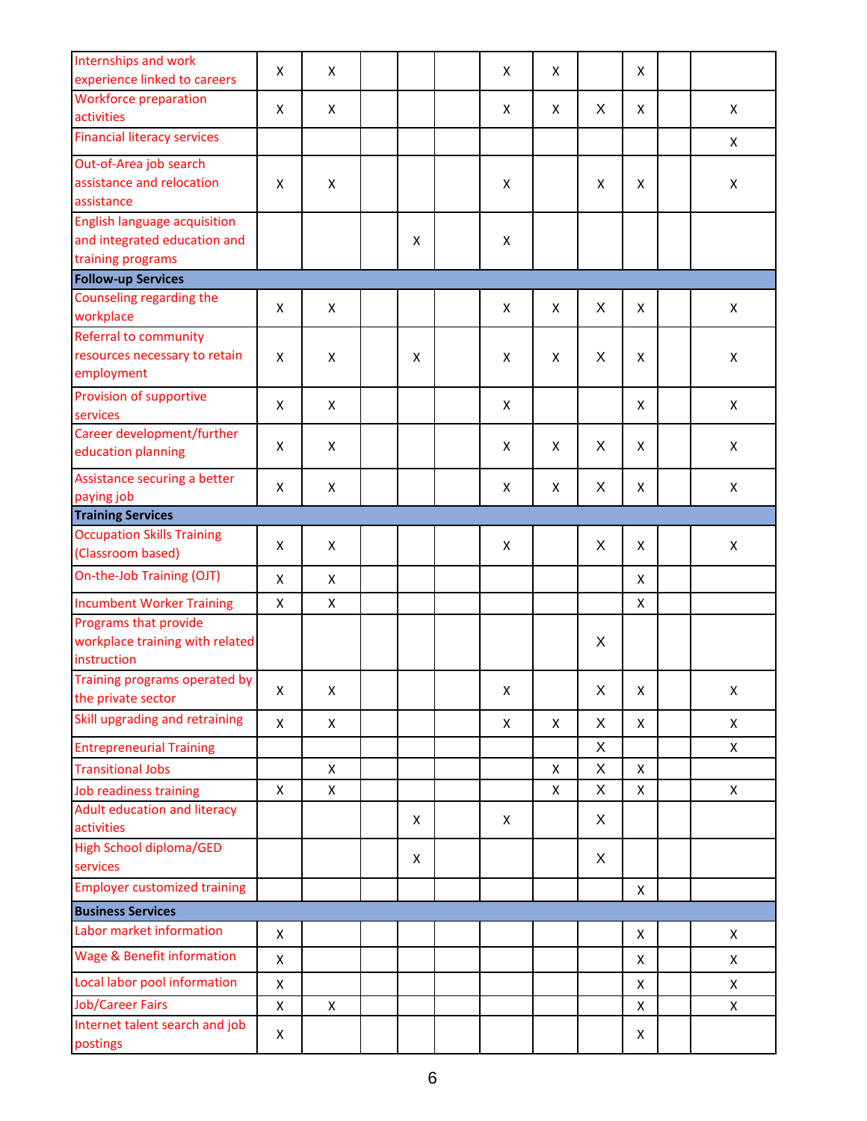| Internships and work                                   |   |                |   |   |                    |   |                    |                    |
|--------------------------------------------------------|---|----------------|---|---|--------------------|---|--------------------|--------------------|
| experience linked to careers                           | X | X              |   | X | X                  |   | X                  |                    |
| <b>Workforce preparation</b>                           |   |                |   |   |                    |   |                    |                    |
| activities                                             | X | $\pmb{\times}$ |   | X | X                  | X | X                  | X                  |
| <b>Financial literacy services</b>                     |   |                |   |   |                    |   |                    | X                  |
| Out-of-Area job search                                 |   |                |   |   |                    |   |                    |                    |
| assistance and relocation                              | X | X              |   | X |                    | X | X                  | $\pmb{\mathsf{X}}$ |
| assistance                                             |   |                |   |   |                    |   |                    |                    |
| <b>English language acquisition</b>                    |   |                |   |   |                    |   |                    |                    |
| and integrated education and                           |   |                | X | Χ |                    |   |                    |                    |
| training programs                                      |   |                |   |   |                    |   |                    |                    |
| <b>Follow-up Services</b>                              |   |                |   |   |                    |   |                    |                    |
| Counseling regarding the                               | X | X              |   | X | X                  | X | X                  | X                  |
| workplace                                              |   |                |   |   |                    |   |                    |                    |
| <b>Referral to community</b>                           |   |                |   |   |                    |   |                    |                    |
| resources necessary to retain<br>employment            | Χ | X              | X | X | $\pmb{\mathsf{X}}$ | X | $\pmb{\mathsf{X}}$ | $\pmb{\mathsf{X}}$ |
|                                                        |   |                |   |   |                    |   |                    |                    |
| Provision of supportive<br>services                    | Χ | X              |   | X |                    |   | X                  | $\pmb{\mathsf{X}}$ |
| Career development/further                             |   |                |   |   |                    |   |                    |                    |
| education planning                                     | X | X              |   | X | X                  | X | X                  | X                  |
| Assistance securing a better                           | X | $\pmb{\times}$ |   | X | X                  | X | X                  | $\pmb{\mathsf{X}}$ |
| paying job                                             |   |                |   |   |                    |   |                    |                    |
| <b>Training Services</b>                               |   |                |   |   |                    |   |                    |                    |
| <b>Occupation Skills Training</b><br>(Classroom based) | X | X              |   | X |                    | X | X                  | X                  |
| On-the-Job Training (OJT)                              | X | $\pmb{\times}$ |   |   |                    |   | X                  |                    |
| <b>Incumbent Worker Training</b>                       | Χ | X              |   |   |                    |   | X                  |                    |
| Programs that provide                                  |   |                |   |   |                    |   |                    |                    |
| workplace training with related                        |   |                |   |   |                    | X |                    |                    |
| instruction                                            |   |                |   |   |                    |   |                    |                    |
| Training programs operated by                          | X | X              |   | Χ |                    | X | X                  | X                  |
| the private sector                                     |   |                |   |   |                    |   |                    |                    |
| Skill upgrading and retraining                         | X | $\pmb{\times}$ |   | X | X                  | X | X                  | X                  |
| <b>Entrepreneurial Training</b>                        |   |                |   |   |                    | X |                    | X                  |
| <b>Transitional Jobs</b>                               |   | $\pmb{\times}$ |   |   | X                  | Χ | Χ                  |                    |
| Job readiness training                                 | X | X              |   |   | X                  | Χ | X                  | X                  |
| Adult education and literacy                           |   |                | X | X |                    | X |                    |                    |
| activities                                             |   |                |   |   |                    |   |                    |                    |
| <b>High School diploma/GED</b>                         |   |                | X |   |                    | X |                    |                    |
| services                                               |   |                |   |   |                    |   |                    |                    |
| <b>Employer customized training</b>                    |   |                |   |   |                    |   | Χ                  |                    |
| <b>Business Services</b>                               |   |                |   |   |                    |   |                    |                    |
| Labor market information                               | X |                |   |   |                    |   | X                  | X                  |
| <b>Wage &amp; Benefit information</b>                  | X |                |   |   |                    |   | X                  | X                  |
| Local labor pool information                           | Χ |                |   |   |                    |   | X                  | X                  |
| <b>Job/Career Fairs</b>                                | Χ | X              |   |   |                    |   | X                  | X                  |
| Internet talent search and job                         | X |                |   |   |                    |   | X                  |                    |
| postings                                               |   |                |   |   |                    |   |                    |                    |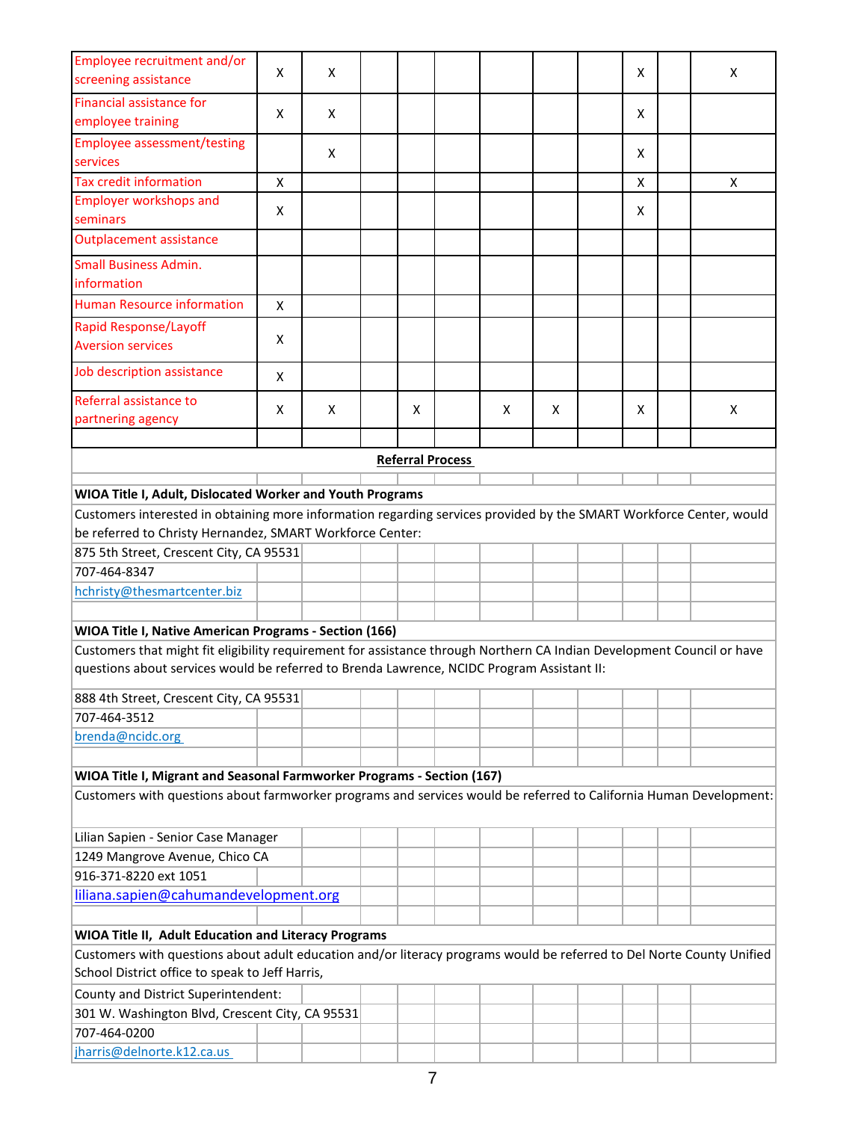| Employee recruitment and/or<br>screening assistance                                                                                                                                                                  | X | X |  |   |                         |   |   |  | X |  | X |  |  |
|----------------------------------------------------------------------------------------------------------------------------------------------------------------------------------------------------------------------|---|---|--|---|-------------------------|---|---|--|---|--|---|--|--|
| <b>Financial assistance for</b>                                                                                                                                                                                      |   |   |  |   |                         |   |   |  |   |  |   |  |  |
| employee training                                                                                                                                                                                                    | X | X |  |   |                         |   |   |  | X |  |   |  |  |
| <b>Employee assessment/testing</b>                                                                                                                                                                                   |   |   |  |   |                         |   |   |  |   |  |   |  |  |
| services                                                                                                                                                                                                             |   | X |  |   |                         |   |   |  | X |  |   |  |  |
| <b>Tax credit information</b>                                                                                                                                                                                        | X |   |  |   |                         |   |   |  | X |  | X |  |  |
| <b>Employer workshops and</b>                                                                                                                                                                                        |   |   |  |   |                         |   |   |  |   |  |   |  |  |
| seminars                                                                                                                                                                                                             | X |   |  |   |                         |   |   |  | X |  |   |  |  |
| <b>Outplacement assistance</b>                                                                                                                                                                                       |   |   |  |   |                         |   |   |  |   |  |   |  |  |
| <b>Small Business Admin.</b><br>information                                                                                                                                                                          |   |   |  |   |                         |   |   |  |   |  |   |  |  |
| <b>Human Resource information</b>                                                                                                                                                                                    | X |   |  |   |                         |   |   |  |   |  |   |  |  |
| <b>Rapid Response/Layoff</b>                                                                                                                                                                                         |   |   |  |   |                         |   |   |  |   |  |   |  |  |
| <b>Aversion services</b>                                                                                                                                                                                             | X |   |  |   |                         |   |   |  |   |  |   |  |  |
| Job description assistance                                                                                                                                                                                           | X |   |  |   |                         |   |   |  |   |  |   |  |  |
| Referral assistance to                                                                                                                                                                                               |   |   |  |   |                         |   |   |  |   |  |   |  |  |
| partnering agency                                                                                                                                                                                                    | X | X |  | X |                         | X | X |  | X |  | X |  |  |
|                                                                                                                                                                                                                      |   |   |  |   |                         |   |   |  |   |  |   |  |  |
|                                                                                                                                                                                                                      |   |   |  |   | <b>Referral Process</b> |   |   |  |   |  |   |  |  |
|                                                                                                                                                                                                                      |   |   |  |   |                         |   |   |  |   |  |   |  |  |
| WIOA Title I, Adult, Dislocated Worker and Youth Programs<br>Customers interested in obtaining more information regarding services provided by the SMART Workforce Center, would                                     |   |   |  |   |                         |   |   |  |   |  |   |  |  |
| be referred to Christy Hernandez, SMART Workforce Center:                                                                                                                                                            |   |   |  |   |                         |   |   |  |   |  |   |  |  |
| 875 5th Street, Crescent City, CA 95531                                                                                                                                                                              |   |   |  |   |                         |   |   |  |   |  |   |  |  |
| 707-464-8347                                                                                                                                                                                                         |   |   |  |   |                         |   |   |  |   |  |   |  |  |
|                                                                                                                                                                                                                      |   |   |  |   |                         |   |   |  |   |  |   |  |  |
| hchristy@thesmartcenter.biz                                                                                                                                                                                          |   |   |  |   |                         |   |   |  |   |  |   |  |  |
|                                                                                                                                                                                                                      |   |   |  |   |                         |   |   |  |   |  |   |  |  |
| WIOA Title I, Native American Programs - Section (166)                                                                                                                                                               |   |   |  |   |                         |   |   |  |   |  |   |  |  |
| Customers that might fit eligibility requirement for assistance through Northern CA Indian Development Council or have<br>questions about services would be referred to Brenda Lawrence, NCIDC Program Assistant II: |   |   |  |   |                         |   |   |  |   |  |   |  |  |
| 888 4th Street, Crescent City, CA 95531                                                                                                                                                                              |   |   |  |   |                         |   |   |  |   |  |   |  |  |
| 707-464-3512                                                                                                                                                                                                         |   |   |  |   |                         |   |   |  |   |  |   |  |  |
|                                                                                                                                                                                                                      |   |   |  |   |                         |   |   |  |   |  |   |  |  |
| brenda@ncidc.org                                                                                                                                                                                                     |   |   |  |   |                         |   |   |  |   |  |   |  |  |
|                                                                                                                                                                                                                      |   |   |  |   |                         |   |   |  |   |  |   |  |  |
| WIOA Title I, Migrant and Seasonal Farmworker Programs - Section (167)                                                                                                                                               |   |   |  |   |                         |   |   |  |   |  |   |  |  |
| Customers with questions about farmworker programs and services would be referred to California Human Development:                                                                                                   |   |   |  |   |                         |   |   |  |   |  |   |  |  |
| Lilian Sapien - Senior Case Manager                                                                                                                                                                                  |   |   |  |   |                         |   |   |  |   |  |   |  |  |
| 1249 Mangrove Avenue, Chico CA                                                                                                                                                                                       |   |   |  |   |                         |   |   |  |   |  |   |  |  |
| 916-371-8220 ext 1051                                                                                                                                                                                                |   |   |  |   |                         |   |   |  |   |  |   |  |  |
| liliana.sapien@cahumandevelopment.org                                                                                                                                                                                |   |   |  |   |                         |   |   |  |   |  |   |  |  |
|                                                                                                                                                                                                                      |   |   |  |   |                         |   |   |  |   |  |   |  |  |
| WIOA Title II, Adult Education and Literacy Programs                                                                                                                                                                 |   |   |  |   |                         |   |   |  |   |  |   |  |  |
| Customers with questions about adult education and/or literacy programs would be referred to Del Norte County Unified                                                                                                |   |   |  |   |                         |   |   |  |   |  |   |  |  |
| School District office to speak to Jeff Harris,                                                                                                                                                                      |   |   |  |   |                         |   |   |  |   |  |   |  |  |
|                                                                                                                                                                                                                      |   |   |  |   |                         |   |   |  |   |  |   |  |  |
| County and District Superintendent:                                                                                                                                                                                  |   |   |  |   |                         |   |   |  |   |  |   |  |  |
| 301 W. Washington Blvd, Crescent City, CA 95531                                                                                                                                                                      |   |   |  |   |                         |   |   |  |   |  |   |  |  |
| 707-464-0200                                                                                                                                                                                                         |   |   |  |   |                         |   |   |  |   |  |   |  |  |
| jharris@delnorte.k12.ca.us                                                                                                                                                                                           |   |   |  |   |                         |   |   |  |   |  |   |  |  |

L,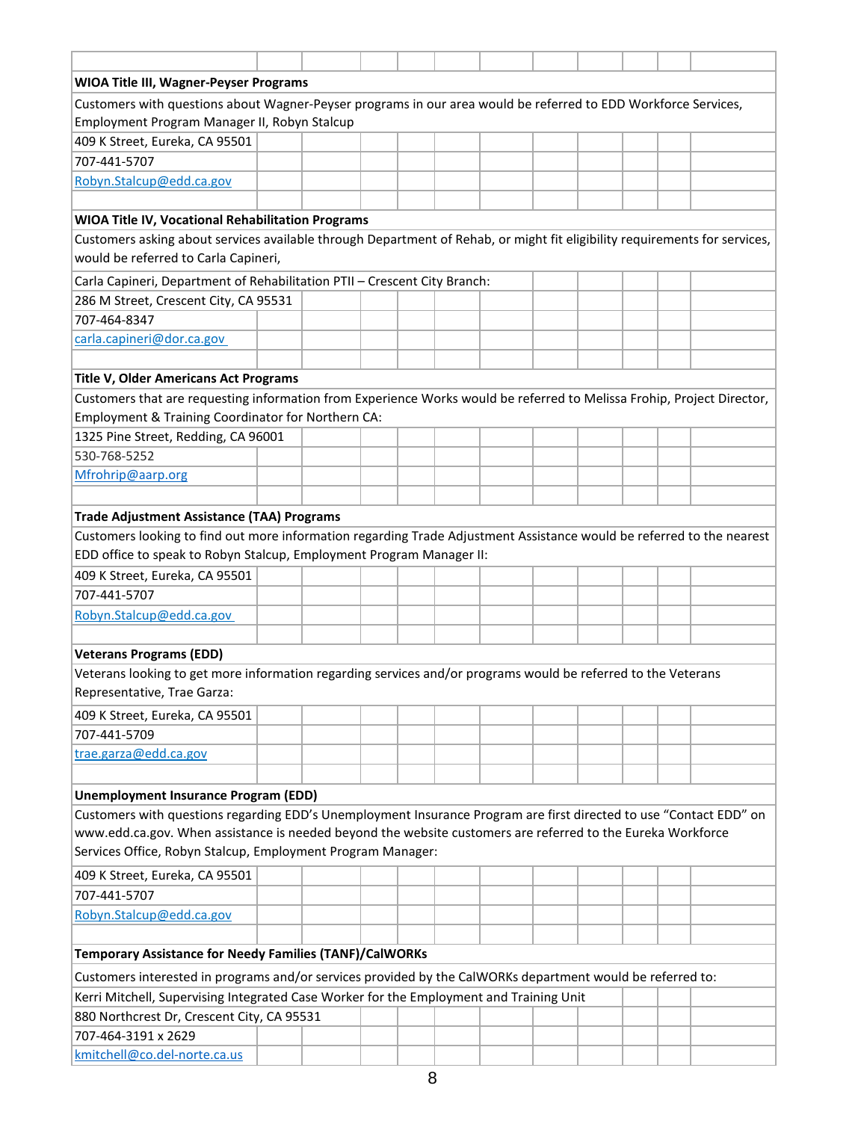| <b>WIOA Title III, Wagner-Peyser Programs</b><br>Customers with questions about Wagner-Peyser programs in our area would be referred to EDD Workforce Services,<br>Employment Program Manager II, Robyn Stalcup<br>409 K Street, Eureka, CA 95501<br>707-441-5707<br>Robyn.Stalcup@edd.ca.gov<br>WIOA Title IV, Vocational Rehabilitation Programs<br>Customers asking about services available through Department of Rehab, or might fit eligibility requirements for services,<br>would be referred to Carla Capineri,<br>Carla Capineri, Department of Rehabilitation PTII - Crescent City Branch:<br>286 M Street, Crescent City, CA 95531<br>707-464-8347<br>carla.capineri@dor.ca.gov<br>Title V, Older Americans Act Programs<br>Customers that are requesting information from Experience Works would be referred to Melissa Frohip, Project Director,<br>Employment & Training Coordinator for Northern CA:<br>1325 Pine Street, Redding, CA 96001<br>530-768-5252<br>Mfrohrip@aarp.org<br><b>Trade Adjustment Assistance (TAA) Programs</b><br>Customers looking to find out more information regarding Trade Adjustment Assistance would be referred to the nearest<br>EDD office to speak to Robyn Stalcup, Employment Program Manager II:<br>409 K Street, Eureka, CA 95501<br>707-441-5707<br>Robyn.Stalcup@edd.ca.gov<br><b>Veterans Programs (EDD)</b><br>Veterans looking to get more information regarding services and/or programs would be referred to the Veterans<br>Representative, Trae Garza:<br>409 K Street, Eureka, CA 95501<br>707-441-5709<br>trae.garza@edd.ca.gov<br><b>Unemployment Insurance Program (EDD)</b><br>Customers with questions regarding EDD's Unemployment Insurance Program are first directed to use "Contact EDD" on<br>www.edd.ca.gov. When assistance is needed beyond the website customers are referred to the Eureka Workforce<br>Services Office, Robyn Stalcup, Employment Program Manager:<br>409 K Street, Eureka, CA 95501<br>707-441-5707<br>Robyn.Stalcup@edd.ca.gov<br>Temporary Assistance for Needy Families (TANF)/CalWORKs<br>Customers interested in programs and/or services provided by the CalWORKs department would be referred to:<br>Kerri Mitchell, Supervising Integrated Case Worker for the Employment and Training Unit<br>880 Northcrest Dr, Crescent City, CA 95531<br>707-464-3191 x 2629<br>kmitchell@co.del-norte.ca.us |  |  |  |  |  |  |  |  |  |  |  |  |  |
|-------------------------------------------------------------------------------------------------------------------------------------------------------------------------------------------------------------------------------------------------------------------------------------------------------------------------------------------------------------------------------------------------------------------------------------------------------------------------------------------------------------------------------------------------------------------------------------------------------------------------------------------------------------------------------------------------------------------------------------------------------------------------------------------------------------------------------------------------------------------------------------------------------------------------------------------------------------------------------------------------------------------------------------------------------------------------------------------------------------------------------------------------------------------------------------------------------------------------------------------------------------------------------------------------------------------------------------------------------------------------------------------------------------------------------------------------------------------------------------------------------------------------------------------------------------------------------------------------------------------------------------------------------------------------------------------------------------------------------------------------------------------------------------------------------------------------------------------------------------------------------------------------------------------------------------------------------------------------------------------------------------------------------------------------------------------------------------------------------------------------------------------------------------------------------------------------------------------------------------------------------------------------------------------------------------------------------------------------------------------------------------------------------------|--|--|--|--|--|--|--|--|--|--|--|--|--|
|                                                                                                                                                                                                                                                                                                                                                                                                                                                                                                                                                                                                                                                                                                                                                                                                                                                                                                                                                                                                                                                                                                                                                                                                                                                                                                                                                                                                                                                                                                                                                                                                                                                                                                                                                                                                                                                                                                                                                                                                                                                                                                                                                                                                                                                                                                                                                                                                             |  |  |  |  |  |  |  |  |  |  |  |  |  |
|                                                                                                                                                                                                                                                                                                                                                                                                                                                                                                                                                                                                                                                                                                                                                                                                                                                                                                                                                                                                                                                                                                                                                                                                                                                                                                                                                                                                                                                                                                                                                                                                                                                                                                                                                                                                                                                                                                                                                                                                                                                                                                                                                                                                                                                                                                                                                                                                             |  |  |  |  |  |  |  |  |  |  |  |  |  |
|                                                                                                                                                                                                                                                                                                                                                                                                                                                                                                                                                                                                                                                                                                                                                                                                                                                                                                                                                                                                                                                                                                                                                                                                                                                                                                                                                                                                                                                                                                                                                                                                                                                                                                                                                                                                                                                                                                                                                                                                                                                                                                                                                                                                                                                                                                                                                                                                             |  |  |  |  |  |  |  |  |  |  |  |  |  |
|                                                                                                                                                                                                                                                                                                                                                                                                                                                                                                                                                                                                                                                                                                                                                                                                                                                                                                                                                                                                                                                                                                                                                                                                                                                                                                                                                                                                                                                                                                                                                                                                                                                                                                                                                                                                                                                                                                                                                                                                                                                                                                                                                                                                                                                                                                                                                                                                             |  |  |  |  |  |  |  |  |  |  |  |  |  |
|                                                                                                                                                                                                                                                                                                                                                                                                                                                                                                                                                                                                                                                                                                                                                                                                                                                                                                                                                                                                                                                                                                                                                                                                                                                                                                                                                                                                                                                                                                                                                                                                                                                                                                                                                                                                                                                                                                                                                                                                                                                                                                                                                                                                                                                                                                                                                                                                             |  |  |  |  |  |  |  |  |  |  |  |  |  |
|                                                                                                                                                                                                                                                                                                                                                                                                                                                                                                                                                                                                                                                                                                                                                                                                                                                                                                                                                                                                                                                                                                                                                                                                                                                                                                                                                                                                                                                                                                                                                                                                                                                                                                                                                                                                                                                                                                                                                                                                                                                                                                                                                                                                                                                                                                                                                                                                             |  |  |  |  |  |  |  |  |  |  |  |  |  |
|                                                                                                                                                                                                                                                                                                                                                                                                                                                                                                                                                                                                                                                                                                                                                                                                                                                                                                                                                                                                                                                                                                                                                                                                                                                                                                                                                                                                                                                                                                                                                                                                                                                                                                                                                                                                                                                                                                                                                                                                                                                                                                                                                                                                                                                                                                                                                                                                             |  |  |  |  |  |  |  |  |  |  |  |  |  |
|                                                                                                                                                                                                                                                                                                                                                                                                                                                                                                                                                                                                                                                                                                                                                                                                                                                                                                                                                                                                                                                                                                                                                                                                                                                                                                                                                                                                                                                                                                                                                                                                                                                                                                                                                                                                                                                                                                                                                                                                                                                                                                                                                                                                                                                                                                                                                                                                             |  |  |  |  |  |  |  |  |  |  |  |  |  |
|                                                                                                                                                                                                                                                                                                                                                                                                                                                                                                                                                                                                                                                                                                                                                                                                                                                                                                                                                                                                                                                                                                                                                                                                                                                                                                                                                                                                                                                                                                                                                                                                                                                                                                                                                                                                                                                                                                                                                                                                                                                                                                                                                                                                                                                                                                                                                                                                             |  |  |  |  |  |  |  |  |  |  |  |  |  |
|                                                                                                                                                                                                                                                                                                                                                                                                                                                                                                                                                                                                                                                                                                                                                                                                                                                                                                                                                                                                                                                                                                                                                                                                                                                                                                                                                                                                                                                                                                                                                                                                                                                                                                                                                                                                                                                                                                                                                                                                                                                                                                                                                                                                                                                                                                                                                                                                             |  |  |  |  |  |  |  |  |  |  |  |  |  |
|                                                                                                                                                                                                                                                                                                                                                                                                                                                                                                                                                                                                                                                                                                                                                                                                                                                                                                                                                                                                                                                                                                                                                                                                                                                                                                                                                                                                                                                                                                                                                                                                                                                                                                                                                                                                                                                                                                                                                                                                                                                                                                                                                                                                                                                                                                                                                                                                             |  |  |  |  |  |  |  |  |  |  |  |  |  |
|                                                                                                                                                                                                                                                                                                                                                                                                                                                                                                                                                                                                                                                                                                                                                                                                                                                                                                                                                                                                                                                                                                                                                                                                                                                                                                                                                                                                                                                                                                                                                                                                                                                                                                                                                                                                                                                                                                                                                                                                                                                                                                                                                                                                                                                                                                                                                                                                             |  |  |  |  |  |  |  |  |  |  |  |  |  |
|                                                                                                                                                                                                                                                                                                                                                                                                                                                                                                                                                                                                                                                                                                                                                                                                                                                                                                                                                                                                                                                                                                                                                                                                                                                                                                                                                                                                                                                                                                                                                                                                                                                                                                                                                                                                                                                                                                                                                                                                                                                                                                                                                                                                                                                                                                                                                                                                             |  |  |  |  |  |  |  |  |  |  |  |  |  |
|                                                                                                                                                                                                                                                                                                                                                                                                                                                                                                                                                                                                                                                                                                                                                                                                                                                                                                                                                                                                                                                                                                                                                                                                                                                                                                                                                                                                                                                                                                                                                                                                                                                                                                                                                                                                                                                                                                                                                                                                                                                                                                                                                                                                                                                                                                                                                                                                             |  |  |  |  |  |  |  |  |  |  |  |  |  |
|                                                                                                                                                                                                                                                                                                                                                                                                                                                                                                                                                                                                                                                                                                                                                                                                                                                                                                                                                                                                                                                                                                                                                                                                                                                                                                                                                                                                                                                                                                                                                                                                                                                                                                                                                                                                                                                                                                                                                                                                                                                                                                                                                                                                                                                                                                                                                                                                             |  |  |  |  |  |  |  |  |  |  |  |  |  |
|                                                                                                                                                                                                                                                                                                                                                                                                                                                                                                                                                                                                                                                                                                                                                                                                                                                                                                                                                                                                                                                                                                                                                                                                                                                                                                                                                                                                                                                                                                                                                                                                                                                                                                                                                                                                                                                                                                                                                                                                                                                                                                                                                                                                                                                                                                                                                                                                             |  |  |  |  |  |  |  |  |  |  |  |  |  |
|                                                                                                                                                                                                                                                                                                                                                                                                                                                                                                                                                                                                                                                                                                                                                                                                                                                                                                                                                                                                                                                                                                                                                                                                                                                                                                                                                                                                                                                                                                                                                                                                                                                                                                                                                                                                                                                                                                                                                                                                                                                                                                                                                                                                                                                                                                                                                                                                             |  |  |  |  |  |  |  |  |  |  |  |  |  |
|                                                                                                                                                                                                                                                                                                                                                                                                                                                                                                                                                                                                                                                                                                                                                                                                                                                                                                                                                                                                                                                                                                                                                                                                                                                                                                                                                                                                                                                                                                                                                                                                                                                                                                                                                                                                                                                                                                                                                                                                                                                                                                                                                                                                                                                                                                                                                                                                             |  |  |  |  |  |  |  |  |  |  |  |  |  |
|                                                                                                                                                                                                                                                                                                                                                                                                                                                                                                                                                                                                                                                                                                                                                                                                                                                                                                                                                                                                                                                                                                                                                                                                                                                                                                                                                                                                                                                                                                                                                                                                                                                                                                                                                                                                                                                                                                                                                                                                                                                                                                                                                                                                                                                                                                                                                                                                             |  |  |  |  |  |  |  |  |  |  |  |  |  |
|                                                                                                                                                                                                                                                                                                                                                                                                                                                                                                                                                                                                                                                                                                                                                                                                                                                                                                                                                                                                                                                                                                                                                                                                                                                                                                                                                                                                                                                                                                                                                                                                                                                                                                                                                                                                                                                                                                                                                                                                                                                                                                                                                                                                                                                                                                                                                                                                             |  |  |  |  |  |  |  |  |  |  |  |  |  |
|                                                                                                                                                                                                                                                                                                                                                                                                                                                                                                                                                                                                                                                                                                                                                                                                                                                                                                                                                                                                                                                                                                                                                                                                                                                                                                                                                                                                                                                                                                                                                                                                                                                                                                                                                                                                                                                                                                                                                                                                                                                                                                                                                                                                                                                                                                                                                                                                             |  |  |  |  |  |  |  |  |  |  |  |  |  |
|                                                                                                                                                                                                                                                                                                                                                                                                                                                                                                                                                                                                                                                                                                                                                                                                                                                                                                                                                                                                                                                                                                                                                                                                                                                                                                                                                                                                                                                                                                                                                                                                                                                                                                                                                                                                                                                                                                                                                                                                                                                                                                                                                                                                                                                                                                                                                                                                             |  |  |  |  |  |  |  |  |  |  |  |  |  |
|                                                                                                                                                                                                                                                                                                                                                                                                                                                                                                                                                                                                                                                                                                                                                                                                                                                                                                                                                                                                                                                                                                                                                                                                                                                                                                                                                                                                                                                                                                                                                                                                                                                                                                                                                                                                                                                                                                                                                                                                                                                                                                                                                                                                                                                                                                                                                                                                             |  |  |  |  |  |  |  |  |  |  |  |  |  |
|                                                                                                                                                                                                                                                                                                                                                                                                                                                                                                                                                                                                                                                                                                                                                                                                                                                                                                                                                                                                                                                                                                                                                                                                                                                                                                                                                                                                                                                                                                                                                                                                                                                                                                                                                                                                                                                                                                                                                                                                                                                                                                                                                                                                                                                                                                                                                                                                             |  |  |  |  |  |  |  |  |  |  |  |  |  |
|                                                                                                                                                                                                                                                                                                                                                                                                                                                                                                                                                                                                                                                                                                                                                                                                                                                                                                                                                                                                                                                                                                                                                                                                                                                                                                                                                                                                                                                                                                                                                                                                                                                                                                                                                                                                                                                                                                                                                                                                                                                                                                                                                                                                                                                                                                                                                                                                             |  |  |  |  |  |  |  |  |  |  |  |  |  |
|                                                                                                                                                                                                                                                                                                                                                                                                                                                                                                                                                                                                                                                                                                                                                                                                                                                                                                                                                                                                                                                                                                                                                                                                                                                                                                                                                                                                                                                                                                                                                                                                                                                                                                                                                                                                                                                                                                                                                                                                                                                                                                                                                                                                                                                                                                                                                                                                             |  |  |  |  |  |  |  |  |  |  |  |  |  |
|                                                                                                                                                                                                                                                                                                                                                                                                                                                                                                                                                                                                                                                                                                                                                                                                                                                                                                                                                                                                                                                                                                                                                                                                                                                                                                                                                                                                                                                                                                                                                                                                                                                                                                                                                                                                                                                                                                                                                                                                                                                                                                                                                                                                                                                                                                                                                                                                             |  |  |  |  |  |  |  |  |  |  |  |  |  |
|                                                                                                                                                                                                                                                                                                                                                                                                                                                                                                                                                                                                                                                                                                                                                                                                                                                                                                                                                                                                                                                                                                                                                                                                                                                                                                                                                                                                                                                                                                                                                                                                                                                                                                                                                                                                                                                                                                                                                                                                                                                                                                                                                                                                                                                                                                                                                                                                             |  |  |  |  |  |  |  |  |  |  |  |  |  |
|                                                                                                                                                                                                                                                                                                                                                                                                                                                                                                                                                                                                                                                                                                                                                                                                                                                                                                                                                                                                                                                                                                                                                                                                                                                                                                                                                                                                                                                                                                                                                                                                                                                                                                                                                                                                                                                                                                                                                                                                                                                                                                                                                                                                                                                                                                                                                                                                             |  |  |  |  |  |  |  |  |  |  |  |  |  |
|                                                                                                                                                                                                                                                                                                                                                                                                                                                                                                                                                                                                                                                                                                                                                                                                                                                                                                                                                                                                                                                                                                                                                                                                                                                                                                                                                                                                                                                                                                                                                                                                                                                                                                                                                                                                                                                                                                                                                                                                                                                                                                                                                                                                                                                                                                                                                                                                             |  |  |  |  |  |  |  |  |  |  |  |  |  |
|                                                                                                                                                                                                                                                                                                                                                                                                                                                                                                                                                                                                                                                                                                                                                                                                                                                                                                                                                                                                                                                                                                                                                                                                                                                                                                                                                                                                                                                                                                                                                                                                                                                                                                                                                                                                                                                                                                                                                                                                                                                                                                                                                                                                                                                                                                                                                                                                             |  |  |  |  |  |  |  |  |  |  |  |  |  |
|                                                                                                                                                                                                                                                                                                                                                                                                                                                                                                                                                                                                                                                                                                                                                                                                                                                                                                                                                                                                                                                                                                                                                                                                                                                                                                                                                                                                                                                                                                                                                                                                                                                                                                                                                                                                                                                                                                                                                                                                                                                                                                                                                                                                                                                                                                                                                                                                             |  |  |  |  |  |  |  |  |  |  |  |  |  |
|                                                                                                                                                                                                                                                                                                                                                                                                                                                                                                                                                                                                                                                                                                                                                                                                                                                                                                                                                                                                                                                                                                                                                                                                                                                                                                                                                                                                                                                                                                                                                                                                                                                                                                                                                                                                                                                                                                                                                                                                                                                                                                                                                                                                                                                                                                                                                                                                             |  |  |  |  |  |  |  |  |  |  |  |  |  |
|                                                                                                                                                                                                                                                                                                                                                                                                                                                                                                                                                                                                                                                                                                                                                                                                                                                                                                                                                                                                                                                                                                                                                                                                                                                                                                                                                                                                                                                                                                                                                                                                                                                                                                                                                                                                                                                                                                                                                                                                                                                                                                                                                                                                                                                                                                                                                                                                             |  |  |  |  |  |  |  |  |  |  |  |  |  |
|                                                                                                                                                                                                                                                                                                                                                                                                                                                                                                                                                                                                                                                                                                                                                                                                                                                                                                                                                                                                                                                                                                                                                                                                                                                                                                                                                                                                                                                                                                                                                                                                                                                                                                                                                                                                                                                                                                                                                                                                                                                                                                                                                                                                                                                                                                                                                                                                             |  |  |  |  |  |  |  |  |  |  |  |  |  |
|                                                                                                                                                                                                                                                                                                                                                                                                                                                                                                                                                                                                                                                                                                                                                                                                                                                                                                                                                                                                                                                                                                                                                                                                                                                                                                                                                                                                                                                                                                                                                                                                                                                                                                                                                                                                                                                                                                                                                                                                                                                                                                                                                                                                                                                                                                                                                                                                             |  |  |  |  |  |  |  |  |  |  |  |  |  |
|                                                                                                                                                                                                                                                                                                                                                                                                                                                                                                                                                                                                                                                                                                                                                                                                                                                                                                                                                                                                                                                                                                                                                                                                                                                                                                                                                                                                                                                                                                                                                                                                                                                                                                                                                                                                                                                                                                                                                                                                                                                                                                                                                                                                                                                                                                                                                                                                             |  |  |  |  |  |  |  |  |  |  |  |  |  |
|                                                                                                                                                                                                                                                                                                                                                                                                                                                                                                                                                                                                                                                                                                                                                                                                                                                                                                                                                                                                                                                                                                                                                                                                                                                                                                                                                                                                                                                                                                                                                                                                                                                                                                                                                                                                                                                                                                                                                                                                                                                                                                                                                                                                                                                                                                                                                                                                             |  |  |  |  |  |  |  |  |  |  |  |  |  |
|                                                                                                                                                                                                                                                                                                                                                                                                                                                                                                                                                                                                                                                                                                                                                                                                                                                                                                                                                                                                                                                                                                                                                                                                                                                                                                                                                                                                                                                                                                                                                                                                                                                                                                                                                                                                                                                                                                                                                                                                                                                                                                                                                                                                                                                                                                                                                                                                             |  |  |  |  |  |  |  |  |  |  |  |  |  |
|                                                                                                                                                                                                                                                                                                                                                                                                                                                                                                                                                                                                                                                                                                                                                                                                                                                                                                                                                                                                                                                                                                                                                                                                                                                                                                                                                                                                                                                                                                                                                                                                                                                                                                                                                                                                                                                                                                                                                                                                                                                                                                                                                                                                                                                                                                                                                                                                             |  |  |  |  |  |  |  |  |  |  |  |  |  |
|                                                                                                                                                                                                                                                                                                                                                                                                                                                                                                                                                                                                                                                                                                                                                                                                                                                                                                                                                                                                                                                                                                                                                                                                                                                                                                                                                                                                                                                                                                                                                                                                                                                                                                                                                                                                                                                                                                                                                                                                                                                                                                                                                                                                                                                                                                                                                                                                             |  |  |  |  |  |  |  |  |  |  |  |  |  |
|                                                                                                                                                                                                                                                                                                                                                                                                                                                                                                                                                                                                                                                                                                                                                                                                                                                                                                                                                                                                                                                                                                                                                                                                                                                                                                                                                                                                                                                                                                                                                                                                                                                                                                                                                                                                                                                                                                                                                                                                                                                                                                                                                                                                                                                                                                                                                                                                             |  |  |  |  |  |  |  |  |  |  |  |  |  |
|                                                                                                                                                                                                                                                                                                                                                                                                                                                                                                                                                                                                                                                                                                                                                                                                                                                                                                                                                                                                                                                                                                                                                                                                                                                                                                                                                                                                                                                                                                                                                                                                                                                                                                                                                                                                                                                                                                                                                                                                                                                                                                                                                                                                                                                                                                                                                                                                             |  |  |  |  |  |  |  |  |  |  |  |  |  |
|                                                                                                                                                                                                                                                                                                                                                                                                                                                                                                                                                                                                                                                                                                                                                                                                                                                                                                                                                                                                                                                                                                                                                                                                                                                                                                                                                                                                                                                                                                                                                                                                                                                                                                                                                                                                                                                                                                                                                                                                                                                                                                                                                                                                                                                                                                                                                                                                             |  |  |  |  |  |  |  |  |  |  |  |  |  |
|                                                                                                                                                                                                                                                                                                                                                                                                                                                                                                                                                                                                                                                                                                                                                                                                                                                                                                                                                                                                                                                                                                                                                                                                                                                                                                                                                                                                                                                                                                                                                                                                                                                                                                                                                                                                                                                                                                                                                                                                                                                                                                                                                                                                                                                                                                                                                                                                             |  |  |  |  |  |  |  |  |  |  |  |  |  |
|                                                                                                                                                                                                                                                                                                                                                                                                                                                                                                                                                                                                                                                                                                                                                                                                                                                                                                                                                                                                                                                                                                                                                                                                                                                                                                                                                                                                                                                                                                                                                                                                                                                                                                                                                                                                                                                                                                                                                                                                                                                                                                                                                                                                                                                                                                                                                                                                             |  |  |  |  |  |  |  |  |  |  |  |  |  |
|                                                                                                                                                                                                                                                                                                                                                                                                                                                                                                                                                                                                                                                                                                                                                                                                                                                                                                                                                                                                                                                                                                                                                                                                                                                                                                                                                                                                                                                                                                                                                                                                                                                                                                                                                                                                                                                                                                                                                                                                                                                                                                                                                                                                                                                                                                                                                                                                             |  |  |  |  |  |  |  |  |  |  |  |  |  |
|                                                                                                                                                                                                                                                                                                                                                                                                                                                                                                                                                                                                                                                                                                                                                                                                                                                                                                                                                                                                                                                                                                                                                                                                                                                                                                                                                                                                                                                                                                                                                                                                                                                                                                                                                                                                                                                                                                                                                                                                                                                                                                                                                                                                                                                                                                                                                                                                             |  |  |  |  |  |  |  |  |  |  |  |  |  |
|                                                                                                                                                                                                                                                                                                                                                                                                                                                                                                                                                                                                                                                                                                                                                                                                                                                                                                                                                                                                                                                                                                                                                                                                                                                                                                                                                                                                                                                                                                                                                                                                                                                                                                                                                                                                                                                                                                                                                                                                                                                                                                                                                                                                                                                                                                                                                                                                             |  |  |  |  |  |  |  |  |  |  |  |  |  |
|                                                                                                                                                                                                                                                                                                                                                                                                                                                                                                                                                                                                                                                                                                                                                                                                                                                                                                                                                                                                                                                                                                                                                                                                                                                                                                                                                                                                                                                                                                                                                                                                                                                                                                                                                                                                                                                                                                                                                                                                                                                                                                                                                                                                                                                                                                                                                                                                             |  |  |  |  |  |  |  |  |  |  |  |  |  |
|                                                                                                                                                                                                                                                                                                                                                                                                                                                                                                                                                                                                                                                                                                                                                                                                                                                                                                                                                                                                                                                                                                                                                                                                                                                                                                                                                                                                                                                                                                                                                                                                                                                                                                                                                                                                                                                                                                                                                                                                                                                                                                                                                                                                                                                                                                                                                                                                             |  |  |  |  |  |  |  |  |  |  |  |  |  |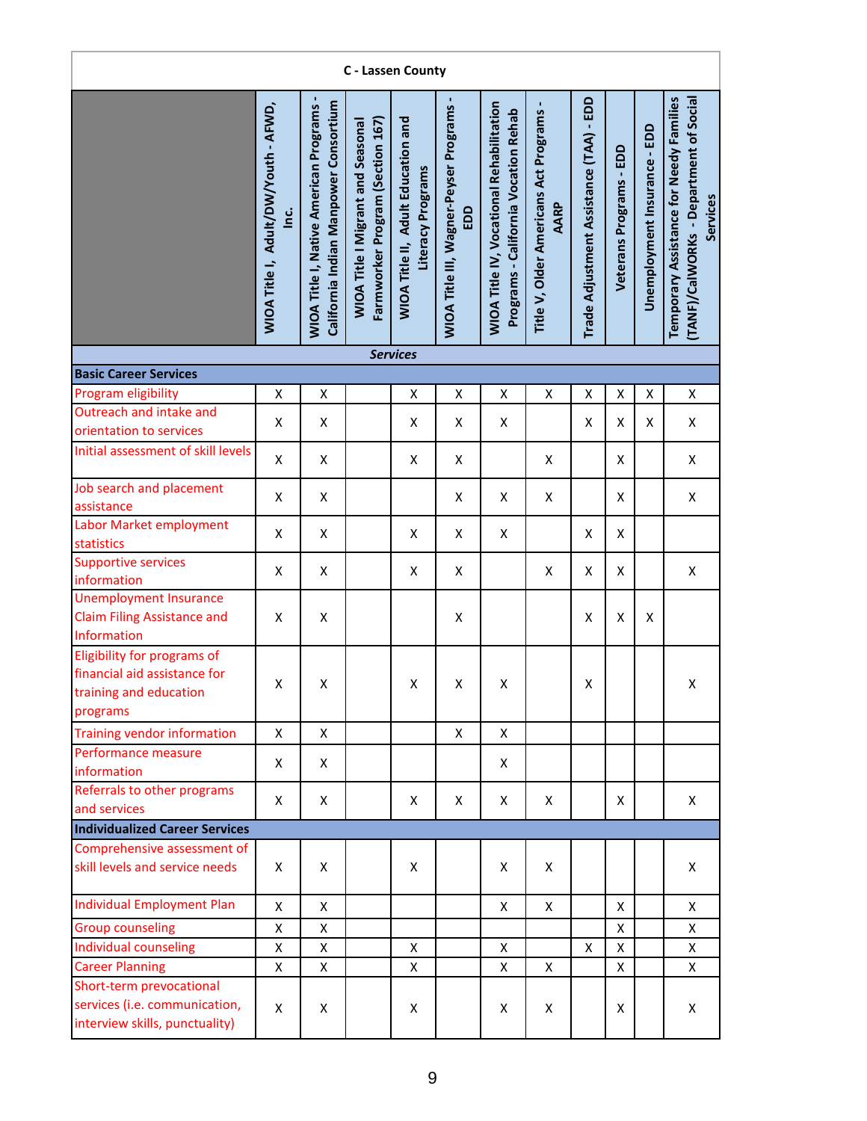| C - Lassen County                                                                                 |                                                       |                                                                                        |                                                                              |                                                                |                                               |                                                                                         |                                               |                                         |                         |                              |                                                                                               |  |  |
|---------------------------------------------------------------------------------------------------|-------------------------------------------------------|----------------------------------------------------------------------------------------|------------------------------------------------------------------------------|----------------------------------------------------------------|-----------------------------------------------|-----------------------------------------------------------------------------------------|-----------------------------------------------|-----------------------------------------|-------------------------|------------------------------|-----------------------------------------------------------------------------------------------|--|--|
|                                                                                                   | WIOA Title I, Adult/DW/Youth - AFWD,<br><u>ن</u><br>1 | California Indian Manpower Consortium<br><b>WIOA Title I, Native American Programs</b> | Farmworker Program (Section 167)<br><b>WIOA Title I Migrant and Seasonal</b> | <b>WIOA Title II, Adult Education and</b><br>Literacy Programs | WIOA Title III, Wagner-Peyser Programs<br>EDD | <b>WIOA Title IV, Vocational Rehabilitation</b><br>Programs - California Vocation Rehab | Title V, Older Americans Act Programs<br>AARP | Trade Adjustment Assistance (TAA) - EDD | Veterans Programs - EDD | Unemployment Insurance - EDD | Temporary Assistance for Needy Families<br>(TANF)/CalWORKs - Department of Social<br>Services |  |  |
|                                                                                                   |                                                       |                                                                                        |                                                                              | <b>Services</b>                                                |                                               |                                                                                         |                                               |                                         |                         |                              |                                                                                               |  |  |
| <b>Basic Career Services</b>                                                                      |                                                       |                                                                                        |                                                                              |                                                                |                                               |                                                                                         |                                               |                                         |                         |                              |                                                                                               |  |  |
| Program eligibility<br>Outreach and intake and                                                    | X                                                     | Χ                                                                                      |                                                                              | X                                                              | X                                             | X                                                                                       | X                                             | X                                       | X                       | X                            | X                                                                                             |  |  |
| orientation to services                                                                           | X                                                     | X                                                                                      |                                                                              | X                                                              | X                                             | X                                                                                       |                                               | X                                       | X                       | X                            | X                                                                                             |  |  |
| Initial assessment of skill levels                                                                | Χ                                                     | X                                                                                      |                                                                              | X                                                              | Χ                                             |                                                                                         | X                                             |                                         | X                       |                              | Χ                                                                                             |  |  |
| Job search and placement<br>assistance                                                            | X                                                     | X                                                                                      |                                                                              |                                                                | X                                             | X                                                                                       | X                                             |                                         | X                       |                              | Χ                                                                                             |  |  |
| Labor Market employment<br>statistics                                                             | X                                                     | X                                                                                      |                                                                              | X                                                              | X                                             | $\pmb{\mathsf{X}}$                                                                      |                                               | X                                       | X                       |                              |                                                                                               |  |  |
| <b>Supportive services</b><br>information                                                         | X                                                     | Χ                                                                                      |                                                                              | X                                                              | X                                             |                                                                                         | X                                             | Χ                                       | X                       |                              | Χ                                                                                             |  |  |
| <b>Unemployment Insurance</b><br><b>Claim Filing Assistance and</b><br>Information                | $\pmb{\mathsf{X}}$                                    | Χ                                                                                      |                                                                              |                                                                | $\pmb{\mathsf{X}}$                            |                                                                                         |                                               | Χ                                       | Χ                       | X                            |                                                                                               |  |  |
| Eligibility for programs of<br>financial aid assistance for<br>training and education<br>programs | X                                                     | X                                                                                      |                                                                              | $\pmb{\mathsf{X}}$                                             | X                                             | X                                                                                       |                                               | Χ                                       |                         |                              | Χ                                                                                             |  |  |
| Training vendor information                                                                       | X                                                     | X                                                                                      |                                                                              |                                                                | X                                             | X                                                                                       |                                               |                                         |                         |                              |                                                                                               |  |  |
| Performance measure<br>information                                                                | X                                                     | X                                                                                      |                                                                              |                                                                |                                               | X                                                                                       |                                               |                                         |                         |                              |                                                                                               |  |  |
| Referrals to other programs<br>and services                                                       | X                                                     | X                                                                                      |                                                                              | X                                                              | X                                             | X                                                                                       | X                                             |                                         | X                       |                              | X                                                                                             |  |  |
| <b>Individualized Career Services</b>                                                             |                                                       |                                                                                        |                                                                              |                                                                |                                               |                                                                                         |                                               |                                         |                         |                              |                                                                                               |  |  |
| Comprehensive assessment of<br>skill levels and service needs                                     | X                                                     | X                                                                                      |                                                                              | X                                                              |                                               | X                                                                                       | X                                             |                                         |                         |                              | X                                                                                             |  |  |
| <b>Individual Employment Plan</b>                                                                 | X                                                     | Χ                                                                                      |                                                                              |                                                                |                                               | X                                                                                       | $\mathsf{X}$                                  |                                         | X                       |                              | X                                                                                             |  |  |
| <b>Group counseling</b>                                                                           | X                                                     | X                                                                                      |                                                                              |                                                                |                                               |                                                                                         |                                               |                                         | X                       |                              | Χ                                                                                             |  |  |
| Individual counseling                                                                             | X                                                     | Χ                                                                                      |                                                                              | X                                                              |                                               | X                                                                                       |                                               | X                                       | X                       |                              | Χ                                                                                             |  |  |
| <b>Career Planning</b>                                                                            | X                                                     | X                                                                                      |                                                                              | X                                                              |                                               | X                                                                                       | $\mathsf{x}$                                  |                                         | X                       |                              | X                                                                                             |  |  |
| Short-term prevocational<br>services (i.e. communication,<br>interview skills, punctuality)       | X                                                     | X                                                                                      |                                                                              | X                                                              |                                               | Χ                                                                                       | X                                             |                                         | X                       |                              | X                                                                                             |  |  |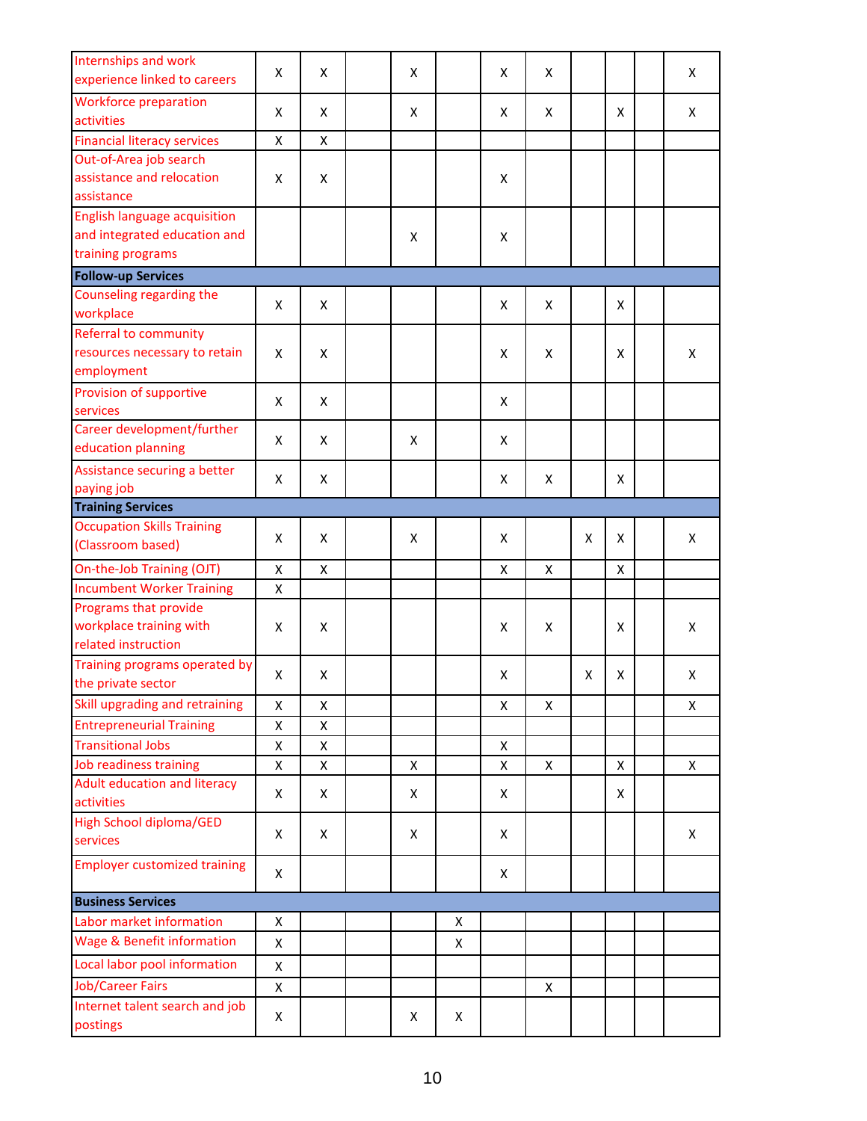| Internships and work<br>experience linked to careers                                     | X | Χ | X |   | X | X |   |   | X |
|------------------------------------------------------------------------------------------|---|---|---|---|---|---|---|---|---|
| <b>Workforce preparation</b><br>activities                                               | X | X | X |   | X | X |   | X | X |
| <b>Financial literacy services</b>                                                       | X | Χ |   |   |   |   |   |   |   |
| Out-of-Area job search<br>assistance and relocation<br>assistance                        | X | X |   |   | X |   |   |   |   |
| <b>English language acquisition</b><br>and integrated education and<br>training programs |   |   | X |   | X |   |   |   |   |
| <b>Follow-up Services</b>                                                                |   |   |   |   |   |   |   |   |   |
| Counseling regarding the<br>workplace                                                    | X | X |   |   | X | X |   | X |   |
| <b>Referral to community</b><br>resources necessary to retain<br>employment              | X | X |   |   | X | X |   | X | X |
| Provision of supportive<br>services                                                      | X | X |   |   | X |   |   |   |   |
| Career development/further<br>education planning                                         | X | X | X |   | X |   |   |   |   |
| Assistance securing a better<br>paying job                                               | X | Χ |   |   | X | Χ |   | X |   |
| <b>Training Services</b>                                                                 |   |   |   |   |   |   |   |   |   |
| <b>Occupation Skills Training</b><br>(Classroom based)                                   | X | X | X |   | X |   | X | X | X |
| On-the-Job Training (OJT)                                                                | X | Χ |   |   | Χ | X |   | X |   |
| <b>Incumbent Worker Training</b>                                                         | X |   |   |   |   |   |   |   |   |
| Programs that provide<br>workplace training with<br>related instruction                  | X | X |   |   | X | X |   | X | X |
| Training programs operated by<br>the private sector                                      | X | Χ |   |   | Χ |   | X | X | Χ |
| Skill upgrading and retraining                                                           | X | Χ |   |   | X | X |   |   | X |
| <b>Entrepreneurial Training</b>                                                          | X | Χ |   |   |   |   |   |   |   |
| <b>Transitional Jobs</b>                                                                 | X | Χ |   |   | X |   |   |   |   |
| Job readiness training                                                                   | X | Χ | X |   | X | X |   | X | X |
| <b>Adult education and literacy</b><br>activities                                        | X | X | X |   | Χ |   |   | X |   |
| <b>High School diploma/GED</b><br>services                                               | X | X | X |   | X |   |   |   | X |
| <b>Employer customized training</b>                                                      | X |   |   |   | X |   |   |   |   |
| <b>Business Services</b>                                                                 |   |   |   |   |   |   |   |   |   |
| Labor market information                                                                 | X |   |   | X |   |   |   |   |   |
| <b>Wage &amp; Benefit information</b>                                                    | X |   |   | X |   |   |   |   |   |
| Local labor pool information                                                             | X |   |   |   |   |   |   |   |   |
| <b>Job/Career Fairs</b>                                                                  | X |   |   |   |   | Χ |   |   |   |
| Internet talent search and job<br>postings                                               | X |   | Χ | X |   |   |   |   |   |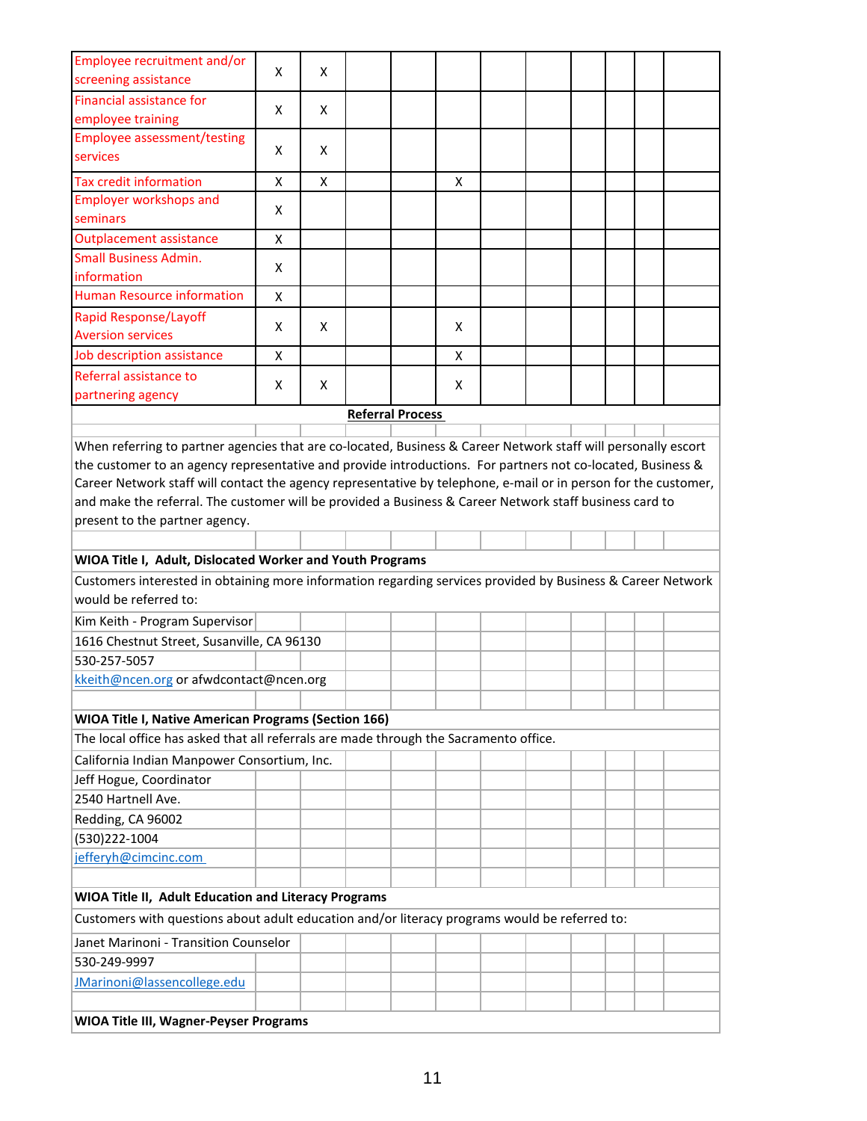| Employee recruitment and/or<br>screening assistance                                                                                       | X | x |                         |   |  |  |  |
|-------------------------------------------------------------------------------------------------------------------------------------------|---|---|-------------------------|---|--|--|--|
| Financial assistance for                                                                                                                  |   |   |                         |   |  |  |  |
| employee training                                                                                                                         | x | X |                         |   |  |  |  |
| <b>Employee assessment/testing</b>                                                                                                        |   |   |                         |   |  |  |  |
| services                                                                                                                                  | x | X |                         |   |  |  |  |
| <b>Tax credit information</b>                                                                                                             | X | X |                         | X |  |  |  |
| <b>Employer workshops and</b>                                                                                                             | x |   |                         |   |  |  |  |
| seminars                                                                                                                                  |   |   |                         |   |  |  |  |
| <b>Outplacement assistance</b>                                                                                                            | Χ |   |                         |   |  |  |  |
| <b>Small Business Admin.</b>                                                                                                              | X |   |                         |   |  |  |  |
| information                                                                                                                               |   |   |                         |   |  |  |  |
| <b>Human Resource information</b>                                                                                                         | X |   |                         |   |  |  |  |
| <b>Rapid Response/Layoff</b><br><b>Aversion services</b>                                                                                  | x | X |                         | X |  |  |  |
| Job description assistance                                                                                                                | x |   |                         | Х |  |  |  |
| Referral assistance to                                                                                                                    |   | X |                         |   |  |  |  |
| partnering agency                                                                                                                         | x |   |                         | X |  |  |  |
|                                                                                                                                           |   |   | <b>Referral Process</b> |   |  |  |  |
| When referring to partner agencies that are co-located, Business & Career Network staff will personally escort                            |   |   |                         |   |  |  |  |
|                                                                                                                                           |   |   |                         |   |  |  |  |
| the customer to an agency representative and provide introductions. For partners not co-located, Business &                               |   |   |                         |   |  |  |  |
| Career Network staff will contact the agency representative by telephone, e-mail or in person for the customer,                           |   |   |                         |   |  |  |  |
| and make the referral. The customer will be provided a Business & Career Network staff business card to<br>present to the partner agency. |   |   |                         |   |  |  |  |
|                                                                                                                                           |   |   |                         |   |  |  |  |
| WIOA Title I, Adult, Dislocated Worker and Youth Programs                                                                                 |   |   |                         |   |  |  |  |
| Customers interested in obtaining more information regarding services provided by Business & Career Network                               |   |   |                         |   |  |  |  |
| would be referred to:                                                                                                                     |   |   |                         |   |  |  |  |
| Kim Keith - Program Supervisor                                                                                                            |   |   |                         |   |  |  |  |
| 1616 Chestnut Street, Susanville, CA 96130                                                                                                |   |   |                         |   |  |  |  |
| 530-257-5057                                                                                                                              |   |   |                         |   |  |  |  |
| kkeith@ncen.org or afwdcontact@ncen.org                                                                                                   |   |   |                         |   |  |  |  |
|                                                                                                                                           |   |   |                         |   |  |  |  |
| <b>WIOA Title I, Native American Programs (Section 166)</b>                                                                               |   |   |                         |   |  |  |  |
| The local office has asked that all referrals are made through the Sacramento office.                                                     |   |   |                         |   |  |  |  |
| California Indian Manpower Consortium, Inc.                                                                                               |   |   |                         |   |  |  |  |
| Jeff Hogue, Coordinator                                                                                                                   |   |   |                         |   |  |  |  |
| 2540 Hartnell Ave.                                                                                                                        |   |   |                         |   |  |  |  |
| Redding, CA 96002                                                                                                                         |   |   |                         |   |  |  |  |
| (530)222-1004                                                                                                                             |   |   |                         |   |  |  |  |
| jefferyh@cimcinc.com                                                                                                                      |   |   |                         |   |  |  |  |
|                                                                                                                                           |   |   |                         |   |  |  |  |
| WIOA Title II, Adult Education and Literacy Programs                                                                                      |   |   |                         |   |  |  |  |
| Customers with questions about adult education and/or literacy programs would be referred to:                                             |   |   |                         |   |  |  |  |
| Janet Marinoni - Transition Counselor                                                                                                     |   |   |                         |   |  |  |  |
| 530-249-9997                                                                                                                              |   |   |                         |   |  |  |  |
| JMarinoni@lassencollege.edu                                                                                                               |   |   |                         |   |  |  |  |
|                                                                                                                                           |   |   |                         |   |  |  |  |
| <b>WIOA Title III, Wagner-Peyser Programs</b>                                                                                             |   |   |                         |   |  |  |  |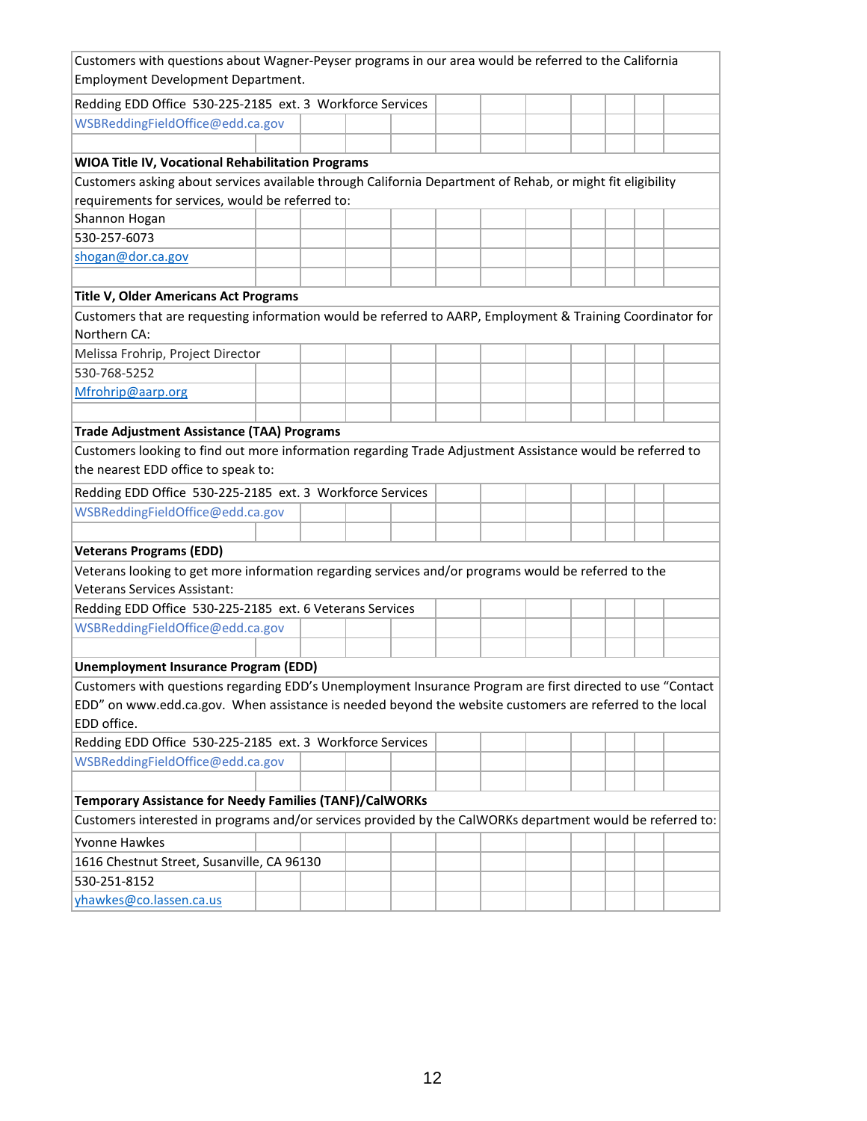| Customers with questions about Wagner-Peyser programs in our area would be referred to the California<br>Employment Development Department. |  |  |  |  |  |  |
|---------------------------------------------------------------------------------------------------------------------------------------------|--|--|--|--|--|--|
| Redding EDD Office 530-225-2185 ext. 3 Workforce Services                                                                                   |  |  |  |  |  |  |
| WSBReddingFieldOffice@edd.ca.gov                                                                                                            |  |  |  |  |  |  |
|                                                                                                                                             |  |  |  |  |  |  |
| WIOA Title IV, Vocational Rehabilitation Programs                                                                                           |  |  |  |  |  |  |
| Customers asking about services available through California Department of Rehab, or might fit eligibility                                  |  |  |  |  |  |  |
| requirements for services, would be referred to:                                                                                            |  |  |  |  |  |  |
| Shannon Hogan                                                                                                                               |  |  |  |  |  |  |
| 530-257-6073                                                                                                                                |  |  |  |  |  |  |
| shogan@dor.ca.gov                                                                                                                           |  |  |  |  |  |  |
|                                                                                                                                             |  |  |  |  |  |  |
| Title V, Older Americans Act Programs                                                                                                       |  |  |  |  |  |  |
| Customers that are requesting information would be referred to AARP, Employment & Training Coordinator for                                  |  |  |  |  |  |  |
| Northern CA:                                                                                                                                |  |  |  |  |  |  |
| Melissa Frohrip, Project Director                                                                                                           |  |  |  |  |  |  |
| 530-768-5252                                                                                                                                |  |  |  |  |  |  |
| Mfrohrip@aarp.org                                                                                                                           |  |  |  |  |  |  |
|                                                                                                                                             |  |  |  |  |  |  |
| <b>Trade Adjustment Assistance (TAA) Programs</b>                                                                                           |  |  |  |  |  |  |
| Customers looking to find out more information regarding Trade Adjustment Assistance would be referred to                                   |  |  |  |  |  |  |
| the nearest EDD office to speak to:                                                                                                         |  |  |  |  |  |  |
| Redding EDD Office 530-225-2185 ext. 3 Workforce Services                                                                                   |  |  |  |  |  |  |
| WSBReddingFieldOffice@edd.ca.gov                                                                                                            |  |  |  |  |  |  |
|                                                                                                                                             |  |  |  |  |  |  |
| <b>Veterans Programs (EDD)</b>                                                                                                              |  |  |  |  |  |  |
| Veterans looking to get more information regarding services and/or programs would be referred to the<br><b>Veterans Services Assistant:</b> |  |  |  |  |  |  |
| Redding EDD Office 530-225-2185 ext. 6 Veterans Services                                                                                    |  |  |  |  |  |  |
| WSBReddingFieldOffice@edd.ca.gov                                                                                                            |  |  |  |  |  |  |
|                                                                                                                                             |  |  |  |  |  |  |
| <b>Unemployment Insurance Program (EDD)</b>                                                                                                 |  |  |  |  |  |  |
| Customers with questions regarding EDD's Unemployment Insurance Program are first directed to use "Contact                                  |  |  |  |  |  |  |
| EDD" on www.edd.ca.gov. When assistance is needed beyond the website customers are referred to the local                                    |  |  |  |  |  |  |
| EDD office.                                                                                                                                 |  |  |  |  |  |  |
| Redding EDD Office 530-225-2185 ext. 3 Workforce Services                                                                                   |  |  |  |  |  |  |
| WSBReddingFieldOffice@edd.ca.gov                                                                                                            |  |  |  |  |  |  |
|                                                                                                                                             |  |  |  |  |  |  |
| <b>Temporary Assistance for Needy Families (TANF)/CalWORKs</b>                                                                              |  |  |  |  |  |  |
| Customers interested in programs and/or services provided by the CalWORKs department would be referred to:                                  |  |  |  |  |  |  |
| <b>Yvonne Hawkes</b>                                                                                                                        |  |  |  |  |  |  |
| 1616 Chestnut Street, Susanville, CA 96130                                                                                                  |  |  |  |  |  |  |
| 530-251-8152                                                                                                                                |  |  |  |  |  |  |
| yhawkes@co.lassen.ca.us                                                                                                                     |  |  |  |  |  |  |
|                                                                                                                                             |  |  |  |  |  |  |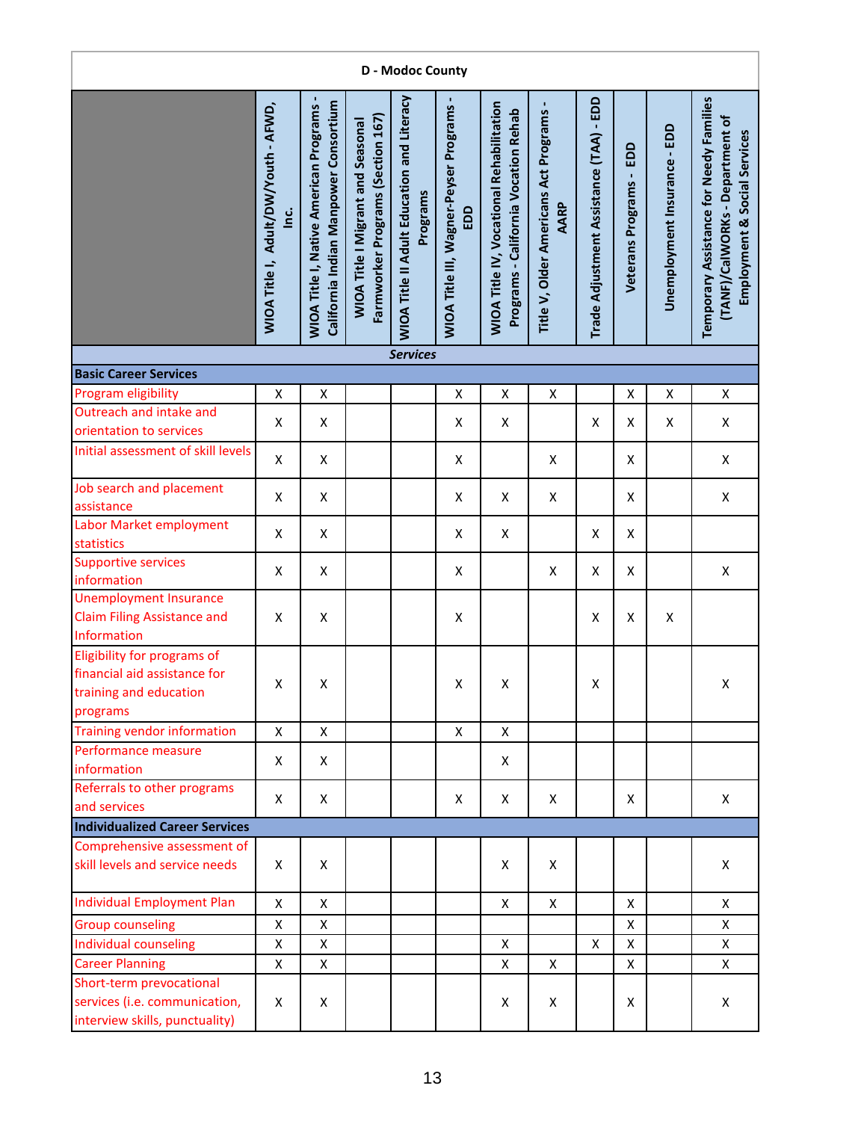| <b>D</b> - Modoc County                                                                           |                                                   |                                                                                        |                                                                               |                                                               |                                                 |                                                                                         |                                               |                                         |                            |                              |                                                                                                               |  |  |
|---------------------------------------------------------------------------------------------------|---------------------------------------------------|----------------------------------------------------------------------------------------|-------------------------------------------------------------------------------|---------------------------------------------------------------|-------------------------------------------------|-----------------------------------------------------------------------------------------|-----------------------------------------------|-----------------------------------------|----------------------------|------------------------------|---------------------------------------------------------------------------------------------------------------|--|--|
|                                                                                                   | WIOA Title I, Adult/DW/Youth - AFWD,<br>$\dot{a}$ | California Indian Manpower Consortium<br><b>WIOA Title I, Native American Programs</b> | Farmworker Programs (Section 167)<br><b>WIOA Title I Migrant and Seasonal</b> | <b>WIOA Title II Adult Education and Literacy</b><br>Programs | WIOA Title III, Wagner-Peyser Programs -<br>EDD | <b>WIOA Title IV, Vocational Rehabilitation</b><br>Programs - California Vocation Rehab | Title V, Older Americans Act Programs<br>AARP | Trade Adjustment Assistance (TAA) - EDD | EDD<br>Veterans Programs - | Unemployment Insurance - EDD | Temporary Assistance for Needy Families<br>(TANF)/CalWORKs - Department of<br>Social Services<br>Employment & |  |  |
|                                                                                                   |                                                   |                                                                                        |                                                                               | <b>Services</b>                                               |                                                 |                                                                                         |                                               |                                         |                            |                              |                                                                                                               |  |  |
| <b>Basic Career Services</b><br>Program eligibility                                               |                                                   |                                                                                        |                                                                               |                                                               |                                                 |                                                                                         |                                               |                                         |                            |                              |                                                                                                               |  |  |
| Outreach and intake and<br>orientation to services                                                | X<br>X                                            | Χ<br>X                                                                                 |                                                                               |                                                               | X<br>X                                          | X<br>X                                                                                  | $\pmb{\mathsf{X}}$                            | X                                       | Χ<br>Χ                     | Χ<br>X                       | X<br>X                                                                                                        |  |  |
| Initial assessment of skill levels                                                                | X                                                 | X                                                                                      |                                                                               |                                                               | X                                               |                                                                                         | X                                             |                                         | X                          |                              | X                                                                                                             |  |  |
| Job search and placement<br>assistance                                                            | $\pmb{\mathsf{X}}$                                | X                                                                                      |                                                                               |                                                               | X                                               | X                                                                                       | X                                             |                                         | X                          |                              | X                                                                                                             |  |  |
| Labor Market employment<br>statistics                                                             | X                                                 | X                                                                                      |                                                                               |                                                               | X                                               | X                                                                                       |                                               | X                                       | X                          |                              |                                                                                                               |  |  |
| Supportive services<br>information                                                                | X                                                 | X                                                                                      |                                                                               |                                                               | X                                               |                                                                                         | X                                             | X                                       | Χ                          |                              | $\pmb{\mathsf{X}}$                                                                                            |  |  |
| <b>Unemployment Insurance</b><br><b>Claim Filing Assistance and</b><br>Information                | X                                                 | X                                                                                      |                                                                               |                                                               | X                                               |                                                                                         |                                               | X                                       | X                          | X                            |                                                                                                               |  |  |
| Eligibility for programs of<br>financial aid assistance for<br>training and education<br>programs | X                                                 | X                                                                                      |                                                                               |                                                               | X                                               | X                                                                                       |                                               | Χ                                       |                            |                              | X                                                                                                             |  |  |
| <b>Training vendor information</b>                                                                | X                                                 | X                                                                                      |                                                                               |                                                               | X                                               | X                                                                                       |                                               |                                         |                            |                              |                                                                                                               |  |  |
| Performance measure<br>information                                                                | Χ                                                 | X                                                                                      |                                                                               |                                                               |                                                 | X                                                                                       |                                               |                                         |                            |                              |                                                                                                               |  |  |
| Referrals to other programs<br>and services                                                       | X                                                 | X                                                                                      |                                                                               |                                                               | X                                               | X                                                                                       | X                                             |                                         | X                          |                              | X                                                                                                             |  |  |
| <b>Individualized Career Services</b>                                                             |                                                   |                                                                                        |                                                                               |                                                               |                                                 |                                                                                         |                                               |                                         |                            |                              |                                                                                                               |  |  |
| Comprehensive assessment of<br>skill levels and service needs                                     | X                                                 | X                                                                                      |                                                                               |                                                               |                                                 | X                                                                                       | X                                             |                                         |                            |                              | X                                                                                                             |  |  |
| <b>Individual Employment Plan</b>                                                                 | $\pmb{\mathsf{X}}$                                | X                                                                                      |                                                                               |                                                               |                                                 | X                                                                                       | X                                             |                                         | X                          |                              | X                                                                                                             |  |  |
| <b>Group counseling</b>                                                                           | X                                                 | X                                                                                      |                                                                               |                                                               |                                                 |                                                                                         |                                               |                                         | X                          |                              | $\mathsf{x}$                                                                                                  |  |  |
| <b>Individual counseling</b>                                                                      | $\pmb{\mathsf{X}}$                                | Χ                                                                                      |                                                                               |                                                               |                                                 | X                                                                                       |                                               | X                                       | X                          |                              | X                                                                                                             |  |  |
| <b>Career Planning</b>                                                                            | X                                                 | X                                                                                      |                                                                               |                                                               |                                                 | Χ                                                                                       | Χ                                             |                                         | X                          |                              | X                                                                                                             |  |  |
| Short-term prevocational<br>services (i.e. communication,<br>interview skills, punctuality)       | X                                                 | X                                                                                      |                                                                               |                                                               |                                                 | X                                                                                       | X                                             |                                         | X                          |                              | X                                                                                                             |  |  |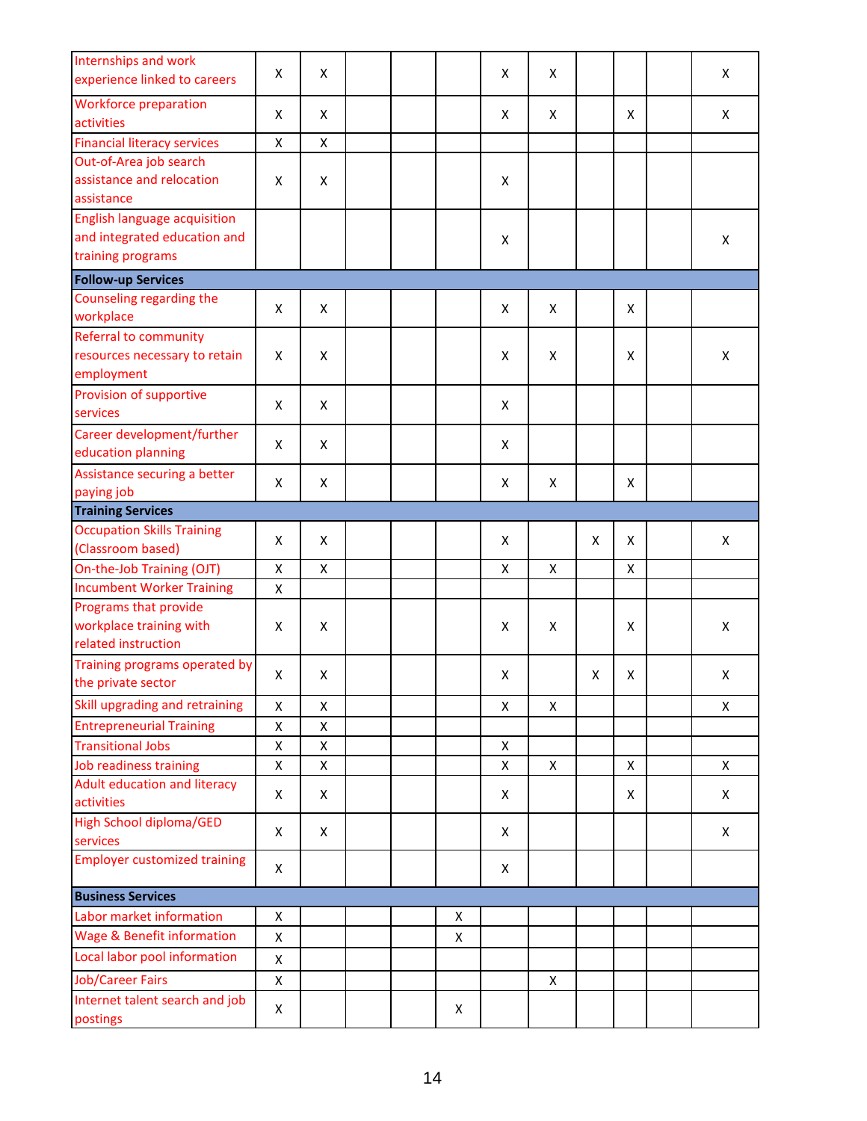| Internships and work<br>experience linked to careers                                     | X                  | X                  |  |   | X | X |   |   | X |
|------------------------------------------------------------------------------------------|--------------------|--------------------|--|---|---|---|---|---|---|
| <b>Workforce preparation</b><br>activities                                               | X                  | X                  |  |   | X | X |   | X | X |
| <b>Financial literacy services</b>                                                       | X                  | $\pmb{\mathsf{X}}$ |  |   |   |   |   |   |   |
| Out-of-Area job search<br>assistance and relocation<br>assistance                        | X                  | X                  |  |   | X |   |   |   |   |
| <b>English language acquisition</b><br>and integrated education and<br>training programs |                    |                    |  |   | X |   |   |   | X |
| <b>Follow-up Services</b>                                                                |                    |                    |  |   |   |   |   |   |   |
| Counseling regarding the<br>workplace                                                    | X                  | X                  |  |   | X | X |   | x |   |
| Referral to community<br>resources necessary to retain<br>employment                     | X                  | X                  |  |   | Χ | X |   | X | X |
| Provision of supportive<br>services                                                      | X                  | X                  |  |   | X |   |   |   |   |
| Career development/further<br>education planning                                         | X                  | X                  |  |   | X |   |   |   |   |
| Assistance securing a better<br>paying job                                               | X                  | X                  |  |   | X | X |   | X |   |
| <b>Training Services</b>                                                                 |                    |                    |  |   |   |   |   |   |   |
| <b>Occupation Skills Training</b><br>(Classroom based)                                   | X                  | X                  |  |   | X |   | X | X | X |
| On-the-Job Training (OJT)                                                                | $\pmb{\mathsf{X}}$ | $\pmb{\mathsf{X}}$ |  |   | X | X |   | X |   |
| <b>Incumbent Worker Training</b>                                                         | X                  |                    |  |   |   |   |   |   |   |
| Programs that provide<br>workplace training with<br>related instruction                  | X                  | X                  |  |   | X | X |   | X | X |
| Training programs operated by<br>the private sector                                      | X                  | X                  |  |   | X |   | X | X | X |
| Skill upgrading and retraining                                                           | X                  | X                  |  |   | X | X |   |   | X |
| <b>Entrepreneurial Training</b>                                                          | X                  | X                  |  |   |   |   |   |   |   |
| <b>Transitional Jobs</b>                                                                 | Χ                  | $\pmb{\mathsf{X}}$ |  |   | X |   |   |   |   |
| Job readiness training                                                                   | X                  | X                  |  |   | X | X |   | X | X |
| <b>Adult education and literacy</b><br>activities                                        | Χ                  | X                  |  |   | X |   |   | X | X |
| <b>High School diploma/GED</b><br>services                                               | X                  | X                  |  |   | X |   |   |   | X |
| <b>Employer customized training</b>                                                      | X                  |                    |  |   | X |   |   |   |   |
| <b>Business Services</b>                                                                 |                    |                    |  |   |   |   |   |   |   |
| Labor market information                                                                 | X                  |                    |  | X |   |   |   |   |   |
| <b>Wage &amp; Benefit information</b>                                                    | X                  |                    |  | X |   |   |   |   |   |
| Local labor pool information                                                             | X                  |                    |  |   |   |   |   |   |   |
| <b>Job/Career Fairs</b>                                                                  | X                  |                    |  |   |   | X |   |   |   |
| Internet talent search and job<br>postings                                               | X                  |                    |  | X |   |   |   |   |   |
|                                                                                          |                    |                    |  |   |   |   |   |   |   |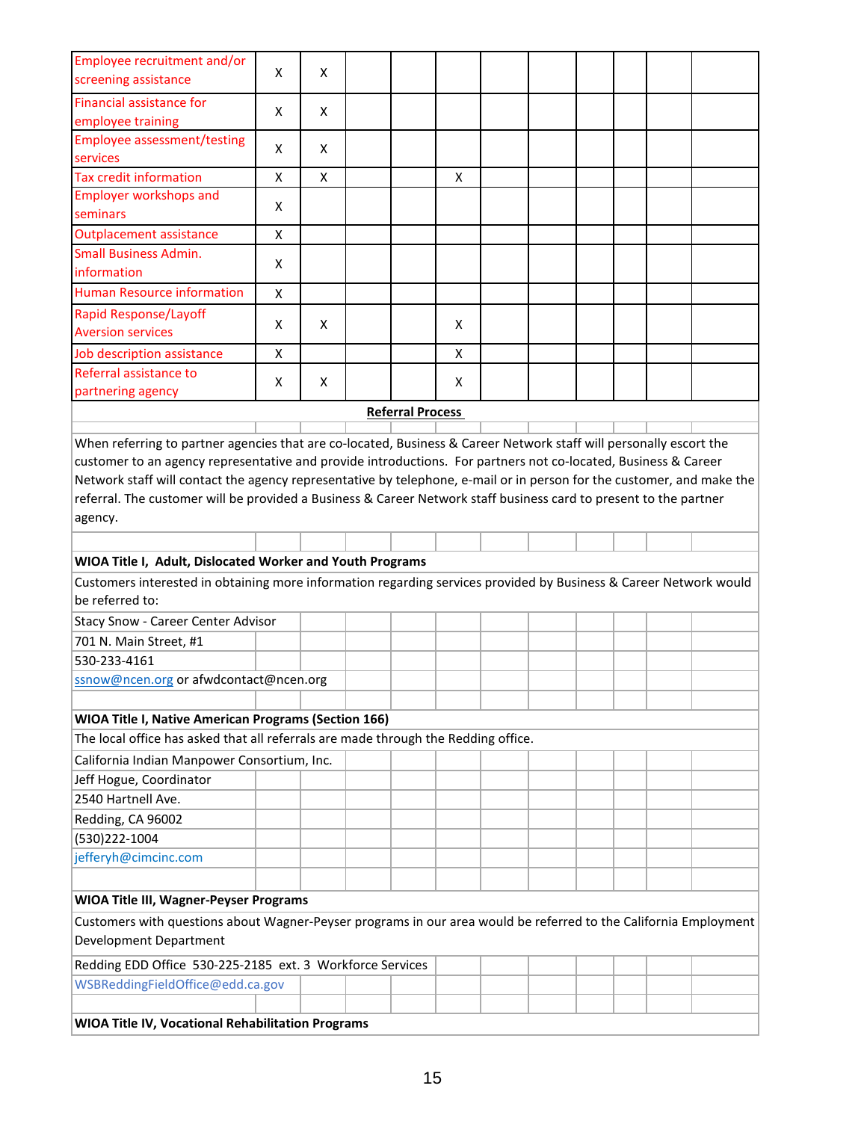| Employee recruitment and/or<br>screening assistance                                                                                                                                                                                                                                                                                                                     | X                  | x  |  |                         |   |  |  |  |  |  |  |  |  |
|-------------------------------------------------------------------------------------------------------------------------------------------------------------------------------------------------------------------------------------------------------------------------------------------------------------------------------------------------------------------------|--------------------|----|--|-------------------------|---|--|--|--|--|--|--|--|--|
| <b>Financial assistance for</b><br>employee training                                                                                                                                                                                                                                                                                                                    | X                  | X. |  |                         |   |  |  |  |  |  |  |  |  |
| <b>Employee assessment/testing</b><br>services                                                                                                                                                                                                                                                                                                                          | X                  | X  |  |                         |   |  |  |  |  |  |  |  |  |
| <b>Tax credit information</b>                                                                                                                                                                                                                                                                                                                                           | $\pmb{\mathsf{X}}$ | X  |  |                         | X |  |  |  |  |  |  |  |  |
| <b>Employer workshops and</b>                                                                                                                                                                                                                                                                                                                                           |                    |    |  |                         |   |  |  |  |  |  |  |  |  |
| seminars                                                                                                                                                                                                                                                                                                                                                                | X                  |    |  |                         |   |  |  |  |  |  |  |  |  |
| <b>Outplacement assistance</b>                                                                                                                                                                                                                                                                                                                                          | X                  |    |  |                         |   |  |  |  |  |  |  |  |  |
| <b>Small Business Admin.</b><br>information                                                                                                                                                                                                                                                                                                                             | X                  |    |  |                         |   |  |  |  |  |  |  |  |  |
| <b>Human Resource information</b>                                                                                                                                                                                                                                                                                                                                       | X                  |    |  |                         |   |  |  |  |  |  |  |  |  |
| <b>Rapid Response/Layoff</b>                                                                                                                                                                                                                                                                                                                                            |                    |    |  |                         |   |  |  |  |  |  |  |  |  |
| <b>Aversion services</b>                                                                                                                                                                                                                                                                                                                                                | X                  | X  |  |                         | X |  |  |  |  |  |  |  |  |
| Job description assistance                                                                                                                                                                                                                                                                                                                                              | X                  |    |  |                         | X |  |  |  |  |  |  |  |  |
| Referral assistance to                                                                                                                                                                                                                                                                                                                                                  | X                  | X. |  |                         | X |  |  |  |  |  |  |  |  |
| partnering agency                                                                                                                                                                                                                                                                                                                                                       |                    |    |  |                         |   |  |  |  |  |  |  |  |  |
|                                                                                                                                                                                                                                                                                                                                                                         |                    |    |  | <b>Referral Process</b> |   |  |  |  |  |  |  |  |  |
| customer to an agency representative and provide introductions. For partners not co-located, Business & Career<br>Network staff will contact the agency representative by telephone, e-mail or in person for the customer, and make the<br>referral. The customer will be provided a Business & Career Network staff business card to present to the partner<br>agency. |                    |    |  |                         |   |  |  |  |  |  |  |  |  |
|                                                                                                                                                                                                                                                                                                                                                                         |                    |    |  |                         |   |  |  |  |  |  |  |  |  |
| WIOA Title I, Adult, Dislocated Worker and Youth Programs                                                                                                                                                                                                                                                                                                               |                    |    |  |                         |   |  |  |  |  |  |  |  |  |
| Customers interested in obtaining more information regarding services provided by Business & Career Network would<br>be referred to:                                                                                                                                                                                                                                    |                    |    |  |                         |   |  |  |  |  |  |  |  |  |
|                                                                                                                                                                                                                                                                                                                                                                         |                    |    |  |                         |   |  |  |  |  |  |  |  |  |
| Stacy Snow - Career Center Advisor                                                                                                                                                                                                                                                                                                                                      |                    |    |  |                         |   |  |  |  |  |  |  |  |  |
| 701 N. Main Street, #1                                                                                                                                                                                                                                                                                                                                                  |                    |    |  |                         |   |  |  |  |  |  |  |  |  |
| 530-233-4161                                                                                                                                                                                                                                                                                                                                                            |                    |    |  |                         |   |  |  |  |  |  |  |  |  |
| ssnow@ncen.org or afwdcontact@ncen.org                                                                                                                                                                                                                                                                                                                                  |                    |    |  |                         |   |  |  |  |  |  |  |  |  |
|                                                                                                                                                                                                                                                                                                                                                                         |                    |    |  |                         |   |  |  |  |  |  |  |  |  |
| <b>WIOA Title I, Native American Programs (Section 166)</b><br>The local office has asked that all referrals are made through the Redding office.                                                                                                                                                                                                                       |                    |    |  |                         |   |  |  |  |  |  |  |  |  |
|                                                                                                                                                                                                                                                                                                                                                                         |                    |    |  |                         |   |  |  |  |  |  |  |  |  |
| California Indian Manpower Consortium, Inc.                                                                                                                                                                                                                                                                                                                             |                    |    |  |                         |   |  |  |  |  |  |  |  |  |
| Jeff Hogue, Coordinator                                                                                                                                                                                                                                                                                                                                                 |                    |    |  |                         |   |  |  |  |  |  |  |  |  |
| 2540 Hartnell Ave.                                                                                                                                                                                                                                                                                                                                                      |                    |    |  |                         |   |  |  |  |  |  |  |  |  |
| Redding, CA 96002                                                                                                                                                                                                                                                                                                                                                       |                    |    |  |                         |   |  |  |  |  |  |  |  |  |
| (530)222-1004                                                                                                                                                                                                                                                                                                                                                           |                    |    |  |                         |   |  |  |  |  |  |  |  |  |
| jefferyh@cimcinc.com                                                                                                                                                                                                                                                                                                                                                    |                    |    |  |                         |   |  |  |  |  |  |  |  |  |
|                                                                                                                                                                                                                                                                                                                                                                         |                    |    |  |                         |   |  |  |  |  |  |  |  |  |
| <b>WIOA Title III, Wagner-Peyser Programs</b>                                                                                                                                                                                                                                                                                                                           |                    |    |  |                         |   |  |  |  |  |  |  |  |  |
| Customers with questions about Wagner-Peyser programs in our area would be referred to the California Employment<br>Development Department                                                                                                                                                                                                                              |                    |    |  |                         |   |  |  |  |  |  |  |  |  |
| Redding EDD Office 530-225-2185 ext. 3 Workforce Services                                                                                                                                                                                                                                                                                                               |                    |    |  |                         |   |  |  |  |  |  |  |  |  |
| WSBReddingFieldOffice@edd.ca.gov                                                                                                                                                                                                                                                                                                                                        |                    |    |  |                         |   |  |  |  |  |  |  |  |  |
|                                                                                                                                                                                                                                                                                                                                                                         |                    |    |  |                         |   |  |  |  |  |  |  |  |  |
| WIOA Title IV, Vocational Rehabilitation Programs                                                                                                                                                                                                                                                                                                                       |                    |    |  |                         |   |  |  |  |  |  |  |  |  |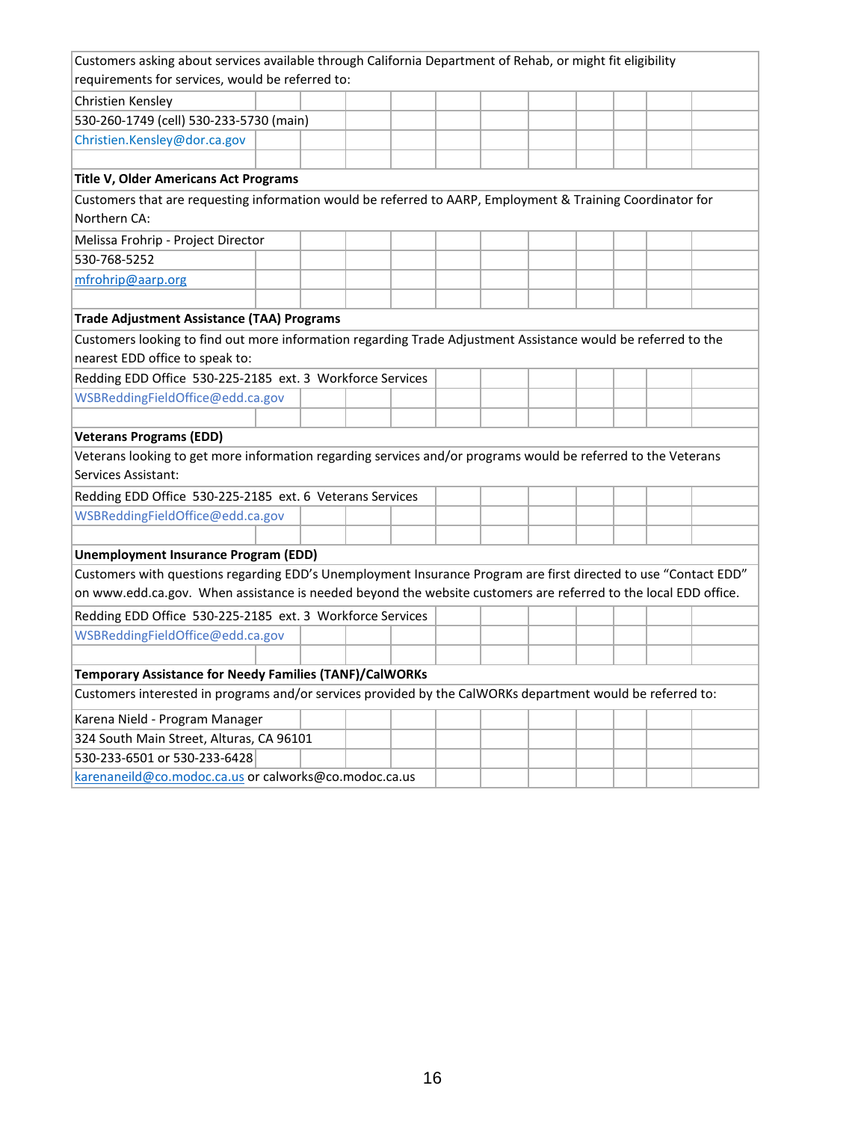| Customers asking about services available through California Department of Rehab, or might fit eligibility      |  |  |  |  |  |  |
|-----------------------------------------------------------------------------------------------------------------|--|--|--|--|--|--|
| requirements for services, would be referred to:                                                                |  |  |  |  |  |  |
| Christien Kensley                                                                                               |  |  |  |  |  |  |
| 530-260-1749 (cell) 530-233-5730 (main)                                                                         |  |  |  |  |  |  |
| Christien.Kensley@dor.ca.gov                                                                                    |  |  |  |  |  |  |
|                                                                                                                 |  |  |  |  |  |  |
| Title V, Older Americans Act Programs                                                                           |  |  |  |  |  |  |
| Customers that are requesting information would be referred to AARP, Employment & Training Coordinator for      |  |  |  |  |  |  |
| Northern CA:                                                                                                    |  |  |  |  |  |  |
| Melissa Frohrip - Project Director                                                                              |  |  |  |  |  |  |
| 530-768-5252                                                                                                    |  |  |  |  |  |  |
| mfrohrip@aarp.org                                                                                               |  |  |  |  |  |  |
|                                                                                                                 |  |  |  |  |  |  |
| <b>Trade Adjustment Assistance (TAA) Programs</b>                                                               |  |  |  |  |  |  |
| Customers looking to find out more information regarding Trade Adjustment Assistance would be referred to the   |  |  |  |  |  |  |
| nearest EDD office to speak to:                                                                                 |  |  |  |  |  |  |
| Redding EDD Office 530-225-2185 ext. 3 Workforce Services                                                       |  |  |  |  |  |  |
| WSBReddingFieldOffice@edd.ca.gov                                                                                |  |  |  |  |  |  |
|                                                                                                                 |  |  |  |  |  |  |
| <b>Veterans Programs (EDD)</b>                                                                                  |  |  |  |  |  |  |
| Veterans looking to get more information regarding services and/or programs would be referred to the Veterans   |  |  |  |  |  |  |
| Services Assistant:                                                                                             |  |  |  |  |  |  |
| Redding EDD Office 530-225-2185 ext. 6 Veterans Services                                                        |  |  |  |  |  |  |
| WSBReddingFieldOffice@edd.ca.gov                                                                                |  |  |  |  |  |  |
|                                                                                                                 |  |  |  |  |  |  |
| <b>Unemployment Insurance Program (EDD)</b>                                                                     |  |  |  |  |  |  |
| Customers with questions regarding EDD's Unemployment Insurance Program are first directed to use "Contact EDD" |  |  |  |  |  |  |
| on www.edd.ca.gov. When assistance is needed beyond the website customers are referred to the local EDD office. |  |  |  |  |  |  |
| Redding EDD Office 530-225-2185 ext. 3 Workforce Services                                                       |  |  |  |  |  |  |
| WSBReddingFieldOffice@edd.ca.gov                                                                                |  |  |  |  |  |  |
|                                                                                                                 |  |  |  |  |  |  |
| Temporary Assistance for Needy Families (TANF)/CalWORKs                                                         |  |  |  |  |  |  |
| Customers interested in programs and/or services provided by the CalWORKs department would be referred to:      |  |  |  |  |  |  |
| Karena Nield - Program Manager                                                                                  |  |  |  |  |  |  |
| 324 South Main Street, Alturas, CA 96101                                                                        |  |  |  |  |  |  |
| 530-233-6501 or 530-233-6428                                                                                    |  |  |  |  |  |  |
| karenaneild@co.modoc.ca.us or calworks@co.modoc.ca.us                                                           |  |  |  |  |  |  |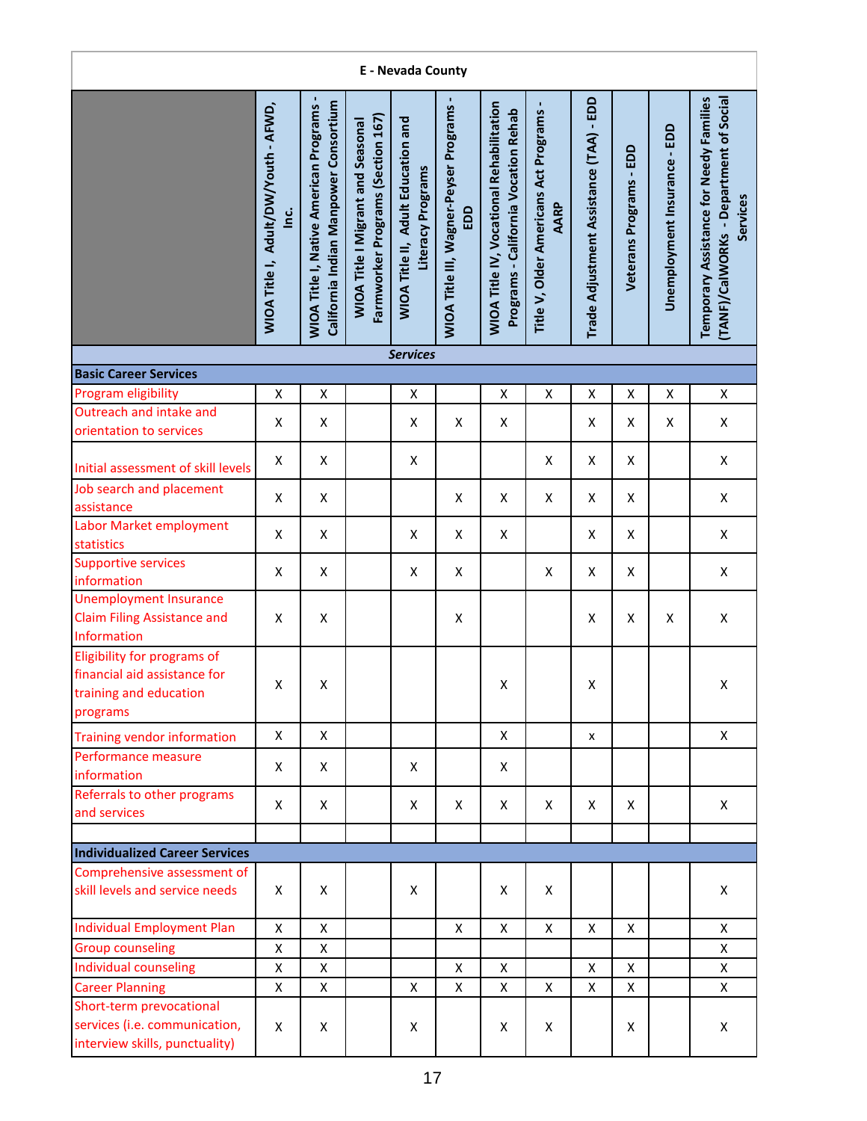| E - Nevada County                                                                                 |                                                       |                                                                                        |                                                                               |                                                                |                                               |                                                                                         |                                                      |                                         |                            |                              |                                                                                               |  |  |
|---------------------------------------------------------------------------------------------------|-------------------------------------------------------|----------------------------------------------------------------------------------------|-------------------------------------------------------------------------------|----------------------------------------------------------------|-----------------------------------------------|-----------------------------------------------------------------------------------------|------------------------------------------------------|-----------------------------------------|----------------------------|------------------------------|-----------------------------------------------------------------------------------------------|--|--|
|                                                                                                   | WIOA Title I, Adult/DW/Youth - AFWD,<br><u>ن</u><br>ا | California Indian Manpower Consortium<br><b>WIOA Title I, Native American Programs</b> | Farmworker Programs (Section 167)<br><b>WIOA Title I Migrant and Seasonal</b> | <b>WIOA Title II, Adult Education and</b><br>Literacy Programs | WIOA Title III, Wagner-Peyser Programs<br>EDD | <b>WIOA Title IV, Vocational Rehabilitation</b><br>Programs - California Vocation Rehab | Title V, Older Americans Act Programs<br><b>AARP</b> | Trade Adjustment Assistance (TAA) - EDD | EDD<br>Veterans Programs - | Unemployment Insurance - EDD | (TANF)/CalWORKs - Department of Social<br>Temporary Assistance for Needy Families<br>Services |  |  |
|                                                                                                   |                                                       |                                                                                        |                                                                               | <b>Services</b>                                                |                                               |                                                                                         |                                                      |                                         |                            |                              |                                                                                               |  |  |
| <b>Basic Career Services</b>                                                                      |                                                       |                                                                                        |                                                                               |                                                                |                                               |                                                                                         |                                                      |                                         |                            |                              |                                                                                               |  |  |
| Program eligibility                                                                               | $\pmb{\mathsf{X}}$                                    | $\pmb{\mathsf{X}}$                                                                     |                                                                               | $\mathsf X$                                                    |                                               | X                                                                                       | X                                                    | Χ                                       | X                          | X                            | X                                                                                             |  |  |
| Outreach and intake and<br>orientation to services                                                | X                                                     | X                                                                                      |                                                                               | X                                                              | X                                             | X                                                                                       |                                                      | X                                       | Χ                          | X                            | X                                                                                             |  |  |
| Initial assessment of skill levels                                                                | X                                                     | X                                                                                      |                                                                               | X                                                              |                                               |                                                                                         | $\pmb{\mathsf{X}}$                                   | X                                       | X                          |                              | X                                                                                             |  |  |
| Job search and placement<br>assistance                                                            | X                                                     | X                                                                                      |                                                                               |                                                                | Χ                                             | X                                                                                       | X                                                    | X                                       | X                          |                              | X                                                                                             |  |  |
| Labor Market employment<br>statistics                                                             | X                                                     | X                                                                                      |                                                                               | X                                                              | X                                             | X                                                                                       |                                                      | X                                       | X                          |                              | X                                                                                             |  |  |
| <b>Supportive services</b><br>information                                                         | $\pmb{\mathsf{X}}$                                    | X                                                                                      |                                                                               | $\pmb{\mathsf{X}}$                                             | X                                             |                                                                                         | X                                                    | X                                       | X                          |                              | X                                                                                             |  |  |
| <b>Unemployment Insurance</b><br><b>Claim Filing Assistance and</b><br>Information                | X                                                     | $\pmb{\mathsf{X}}$                                                                     |                                                                               |                                                                | Χ                                             |                                                                                         |                                                      | X                                       | X                          | X                            | $\pmb{\mathsf{X}}$                                                                            |  |  |
| Eligibility for programs of<br>financial aid assistance for<br>training and education<br>programs | Χ                                                     | Χ                                                                                      |                                                                               |                                                                |                                               | X                                                                                       |                                                      | X                                       |                            |                              | Χ                                                                                             |  |  |
| <b>Training vendor information</b>                                                                | X                                                     | X                                                                                      |                                                                               |                                                                |                                               | X                                                                                       |                                                      | X                                       |                            |                              | X                                                                                             |  |  |
| Performance measure<br>information                                                                | X                                                     | X                                                                                      |                                                                               | X                                                              |                                               | Χ                                                                                       |                                                      |                                         |                            |                              |                                                                                               |  |  |
| Referrals to other programs<br>and services                                                       | X                                                     | X                                                                                      |                                                                               | Χ                                                              | X                                             | Χ                                                                                       | X                                                    | X                                       | X                          |                              | X                                                                                             |  |  |
|                                                                                                   |                                                       |                                                                                        |                                                                               |                                                                |                                               |                                                                                         |                                                      |                                         |                            |                              |                                                                                               |  |  |
| <b>Individualized Career Services</b>                                                             |                                                       |                                                                                        |                                                                               |                                                                |                                               |                                                                                         |                                                      |                                         |                            |                              |                                                                                               |  |  |
| Comprehensive assessment of<br>skill levels and service needs                                     | X                                                     | X                                                                                      |                                                                               | X                                                              |                                               | X                                                                                       | X                                                    |                                         |                            |                              | X                                                                                             |  |  |
| <b>Individual Employment Plan</b>                                                                 | $\pmb{\mathsf{X}}$                                    | $\pmb{\mathsf{X}}$                                                                     |                                                                               |                                                                | X                                             | X                                                                                       | X                                                    | X                                       | X                          |                              | X                                                                                             |  |  |
| <b>Group counseling</b>                                                                           | X                                                     | $\pmb{\mathsf{X}}$                                                                     |                                                                               |                                                                |                                               |                                                                                         |                                                      |                                         |                            |                              | X                                                                                             |  |  |
| <b>Individual counseling</b>                                                                      | Χ                                                     | X                                                                                      |                                                                               |                                                                | X                                             | X                                                                                       |                                                      | X                                       | X                          |                              | X.                                                                                            |  |  |
| <b>Career Planning</b>                                                                            | Χ                                                     | $\pmb{\mathsf{X}}$                                                                     |                                                                               | X                                                              | X                                             | X                                                                                       | X                                                    | X                                       | X                          |                              | X                                                                                             |  |  |
| Short-term prevocational<br>services (i.e. communication,<br>interview skills, punctuality)       | X                                                     | X                                                                                      |                                                                               | X                                                              |                                               | X                                                                                       | X                                                    |                                         | X                          |                              | X                                                                                             |  |  |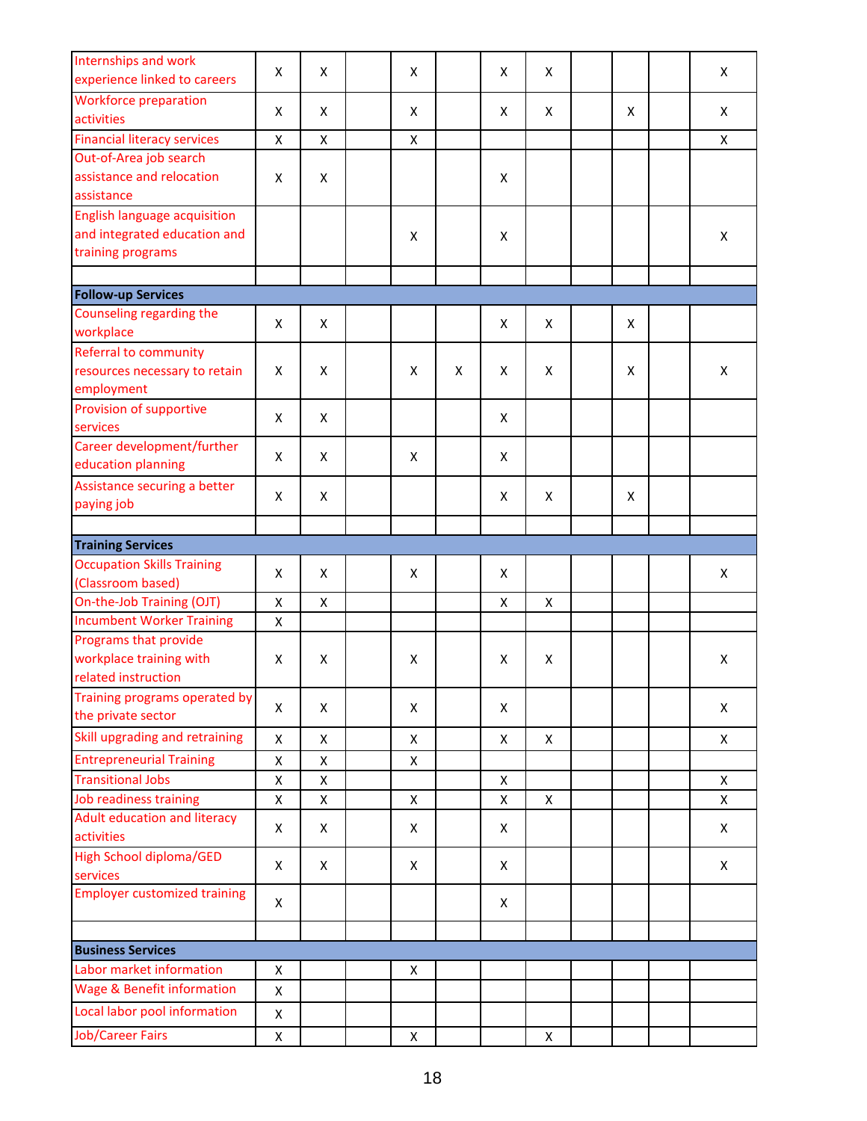| Internships and work<br>experience linked to careers | X                  | X                  | X |   | X | X |   | X            |
|------------------------------------------------------|--------------------|--------------------|---|---|---|---|---|--------------|
| <b>Workforce preparation</b>                         | X                  | X                  | X |   | X | X | X | X            |
| activities                                           |                    |                    |   |   |   |   |   |              |
| <b>Financial literacy services</b>                   | X                  | $\pmb{\mathsf{X}}$ | X |   |   |   |   | $\mathsf{x}$ |
| Out-of-Area job search                               |                    |                    |   |   |   |   |   |              |
| assistance and relocation                            | X                  | X                  |   |   | X |   |   |              |
| assistance                                           |                    |                    |   |   |   |   |   |              |
| <b>English language acquisition</b>                  |                    |                    |   |   |   |   |   |              |
| and integrated education and                         |                    |                    | X |   | X |   |   | X            |
| training programs                                    |                    |                    |   |   |   |   |   |              |
|                                                      |                    |                    |   |   |   |   |   |              |
| <b>Follow-up Services</b>                            |                    |                    |   |   |   |   |   |              |
| Counseling regarding the                             | X                  | X                  |   |   | X | X | X |              |
| workplace                                            |                    |                    |   |   |   |   |   |              |
| Referral to community                                |                    |                    |   |   |   |   |   |              |
| resources necessary to retain                        | X                  | X                  | X | X | X | X | X | X            |
| employment                                           |                    |                    |   |   |   |   |   |              |
| Provision of supportive<br>services                  | X                  | X                  |   |   | X |   |   |              |
| Career development/further                           |                    |                    |   |   |   |   |   |              |
| education planning                                   | X                  | X                  | X |   | X |   |   |              |
| Assistance securing a better                         |                    |                    |   |   |   |   |   |              |
| paying job                                           | X                  | X                  |   |   | X | X | X |              |
|                                                      |                    |                    |   |   |   |   |   |              |
| <b>Training Services</b>                             |                    |                    |   |   |   |   |   |              |
| <b>Occupation Skills Training</b>                    |                    |                    |   |   |   |   |   |              |
| (Classroom based)                                    | X                  | X                  | X |   | X |   |   | X            |
| On-the-Job Training (OJT)                            | X                  | X                  |   |   | X | X |   |              |
| <b>Incumbent Worker Training</b>                     | X                  |                    |   |   |   |   |   |              |
| Programs that provide                                |                    |                    |   |   |   |   |   |              |
| workplace training with                              | X                  | X                  | Χ |   | X | X |   | X            |
| related instruction                                  |                    |                    |   |   |   |   |   |              |
| Training programs operated by                        |                    | X                  |   |   | X |   |   |              |
| the private sector                                   | Χ                  |                    | X |   |   |   |   | X            |
| Skill upgrading and retraining                       | $\pmb{\mathsf{X}}$ | X                  | X |   | Χ | X |   | X            |
| <b>Entrepreneurial Training</b>                      | X                  | X                  | X |   |   |   |   |              |
| <b>Transitional Jobs</b>                             | Χ                  | X                  |   |   | X |   |   | X            |
| Job readiness training                               | X                  | X                  | X |   | X | X |   | X            |
| Adult education and literacy                         |                    |                    |   |   |   |   |   |              |
| activities                                           | X                  | X                  | X |   | X |   |   | X            |
| <b>High School diploma/GED</b>                       | X                  | X                  | X |   | X |   |   | X            |
| services                                             |                    |                    |   |   |   |   |   |              |
| <b>Employer customized training</b>                  | X                  |                    |   |   | X |   |   |              |
|                                                      |                    |                    |   |   |   |   |   |              |
|                                                      |                    |                    |   |   |   |   |   |              |
| <b>Business Services</b>                             |                    |                    |   |   |   |   |   |              |
| Labor market information                             | X                  |                    | X |   |   |   |   |              |
| <b>Wage &amp; Benefit information</b>                | X                  |                    |   |   |   |   |   |              |
| Local labor pool information                         | X                  |                    |   |   |   |   |   |              |
|                                                      |                    |                    |   |   |   |   |   |              |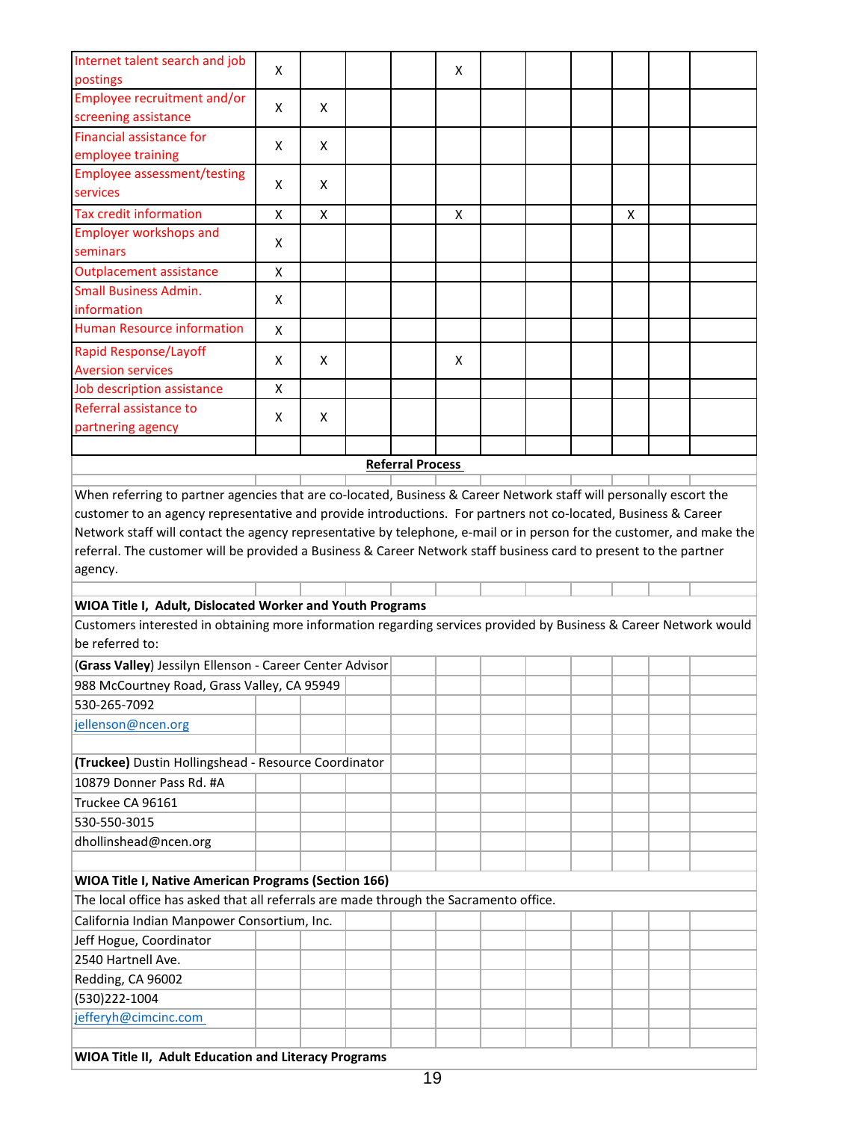| Internet talent search and job                                                                                        | X                  |   |                         | X |  |   |  |
|-----------------------------------------------------------------------------------------------------------------------|--------------------|---|-------------------------|---|--|---|--|
| postings                                                                                                              |                    |   |                         |   |  |   |  |
| Employee recruitment and/or                                                                                           | X                  | X |                         |   |  |   |  |
| screening assistance                                                                                                  |                    |   |                         |   |  |   |  |
| Financial assistance for                                                                                              | X                  | X |                         |   |  |   |  |
| employee training                                                                                                     |                    |   |                         |   |  |   |  |
| <b>Employee assessment/testing</b>                                                                                    | X                  | X |                         |   |  |   |  |
| services                                                                                                              |                    |   |                         |   |  |   |  |
| <b>Tax credit information</b>                                                                                         | X                  | Χ |                         | X |  | X |  |
| <b>Employer workshops and</b>                                                                                         | Χ                  |   |                         |   |  |   |  |
| seminars                                                                                                              |                    |   |                         |   |  |   |  |
| <b>Outplacement assistance</b>                                                                                        | $\pmb{\mathsf{X}}$ |   |                         |   |  |   |  |
| <b>Small Business Admin.</b>                                                                                          | X                  |   |                         |   |  |   |  |
| information                                                                                                           |                    |   |                         |   |  |   |  |
| <b>Human Resource information</b>                                                                                     | X                  |   |                         |   |  |   |  |
| <b>Rapid Response/Layoff</b>                                                                                          |                    |   |                         |   |  |   |  |
| <b>Aversion services</b>                                                                                              | X                  | X |                         | X |  |   |  |
| Job description assistance                                                                                            | X                  |   |                         |   |  |   |  |
| Referral assistance to                                                                                                | X                  | X |                         |   |  |   |  |
| partnering agency                                                                                                     |                    |   |                         |   |  |   |  |
|                                                                                                                       |                    |   |                         |   |  |   |  |
|                                                                                                                       |                    |   | <b>Referral Process</b> |   |  |   |  |
|                                                                                                                       |                    |   |                         |   |  |   |  |
| When referring to partner agencies that are co-located, Business & Career Network staff will personally escort the    |                    |   |                         |   |  |   |  |
| customer to an agency representative and provide introductions. For partners not co-located, Business & Career        |                    |   |                         |   |  |   |  |
| Network staff will contact the agency representative by telephone, e-mail or in person for the customer, and make the |                    |   |                         |   |  |   |  |
| referral. The customer will be provided a Business & Career Network staff business card to present to the partner     |                    |   |                         |   |  |   |  |
| agency.                                                                                                               |                    |   |                         |   |  |   |  |
| WIOA Title I, Adult, Dislocated Worker and Youth Programs                                                             |                    |   |                         |   |  |   |  |
| Customers interested in obtaining more information regarding services provided by Business & Career Network would     |                    |   |                         |   |  |   |  |
| be referred to:                                                                                                       |                    |   |                         |   |  |   |  |
| (Grass Valley) Jessilyn Ellenson - Career Center Advisor                                                              |                    |   |                         |   |  |   |  |
| 988 McCourtney Road, Grass Valley, CA 95949                                                                           |                    |   |                         |   |  |   |  |
| 530-265-7092                                                                                                          |                    |   |                         |   |  |   |  |
|                                                                                                                       |                    |   |                         |   |  |   |  |
| jellenson@ncen.org                                                                                                    |                    |   |                         |   |  |   |  |
| (Truckee) Dustin Hollingshead - Resource Coordinator                                                                  |                    |   |                         |   |  |   |  |
|                                                                                                                       |                    |   |                         |   |  |   |  |
| 10879 Donner Pass Rd. #A                                                                                              |                    |   |                         |   |  |   |  |
| Truckee CA 96161                                                                                                      |                    |   |                         |   |  |   |  |
| 530-550-3015                                                                                                          |                    |   |                         |   |  |   |  |
| dhollinshead@ncen.org                                                                                                 |                    |   |                         |   |  |   |  |
|                                                                                                                       |                    |   |                         |   |  |   |  |
| <b>WIOA Title I, Native American Programs (Section 166)</b>                                                           |                    |   |                         |   |  |   |  |
| The local office has asked that all referrals are made through the Sacramento office.                                 |                    |   |                         |   |  |   |  |
| California Indian Manpower Consortium, Inc.                                                                           |                    |   |                         |   |  |   |  |
| Jeff Hogue, Coordinator                                                                                               |                    |   |                         |   |  |   |  |
| 2540 Hartnell Ave.                                                                                                    |                    |   |                         |   |  |   |  |
| Redding, CA 96002                                                                                                     |                    |   |                         |   |  |   |  |
| (530)222-1004                                                                                                         |                    |   |                         |   |  |   |  |
| jefferyh@cimcinc.com                                                                                                  |                    |   |                         |   |  |   |  |
|                                                                                                                       |                    |   |                         |   |  |   |  |
| WIOA Title II, Adult Education and Literacy Programs                                                                  |                    |   |                         |   |  |   |  |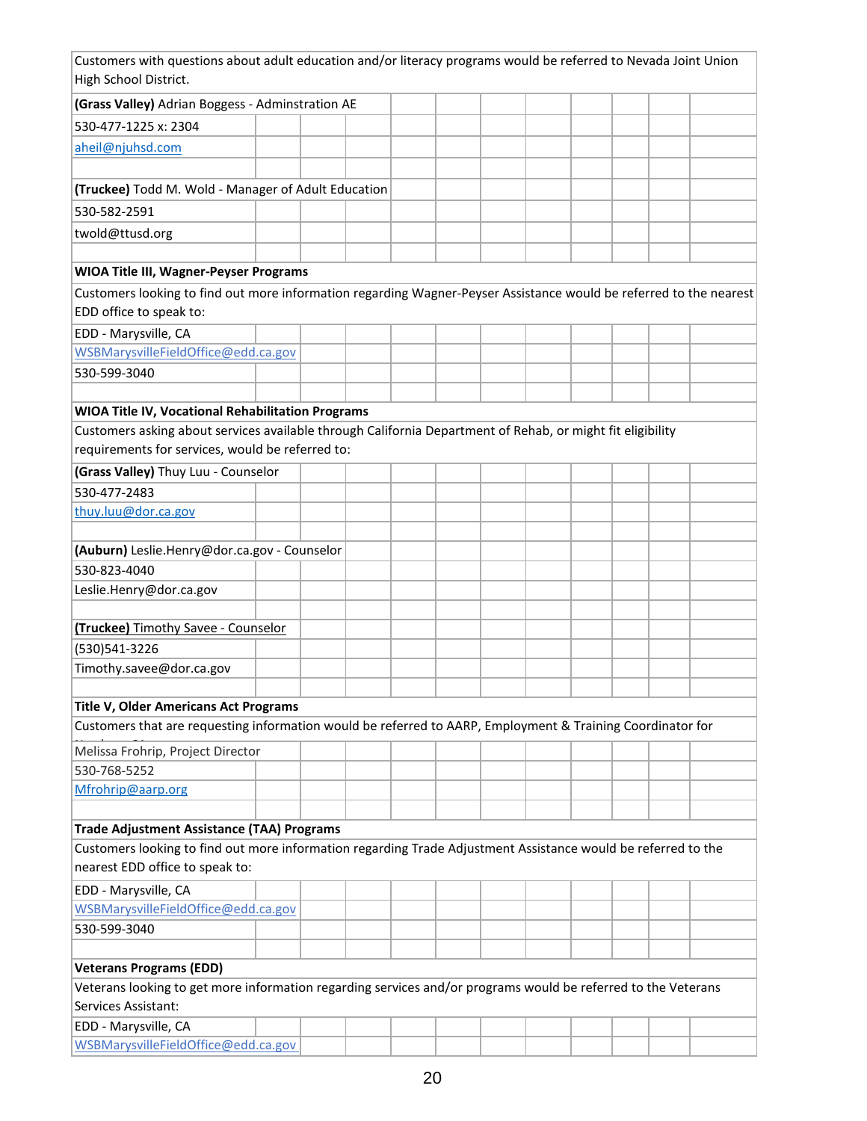| Customers with questions about adult education and/or literacy programs would be referred to Nevada Joint Union<br>High School District. |  |  |  |  |  |  |
|------------------------------------------------------------------------------------------------------------------------------------------|--|--|--|--|--|--|
| (Grass Valley) Adrian Boggess - Adminstration AE                                                                                         |  |  |  |  |  |  |
| 530-477-1225 x: 2304                                                                                                                     |  |  |  |  |  |  |
|                                                                                                                                          |  |  |  |  |  |  |
| aheil@njuhsd.com                                                                                                                         |  |  |  |  |  |  |
| (Truckee) Todd M. Wold - Manager of Adult Education                                                                                      |  |  |  |  |  |  |
| 530-582-2591                                                                                                                             |  |  |  |  |  |  |
|                                                                                                                                          |  |  |  |  |  |  |
| twold@ttusd.org                                                                                                                          |  |  |  |  |  |  |
| <b>WIOA Title III, Wagner-Peyser Programs</b>                                                                                            |  |  |  |  |  |  |
| Customers looking to find out more information regarding Wagner-Peyser Assistance would be referred to the nearest                       |  |  |  |  |  |  |
| EDD office to speak to:                                                                                                                  |  |  |  |  |  |  |
| EDD - Marysville, CA                                                                                                                     |  |  |  |  |  |  |
| WSBMarysvilleFieldOffice@edd.ca.gov                                                                                                      |  |  |  |  |  |  |
| 530-599-3040                                                                                                                             |  |  |  |  |  |  |
|                                                                                                                                          |  |  |  |  |  |  |
| WIOA Title IV, Vocational Rehabilitation Programs                                                                                        |  |  |  |  |  |  |
| Customers asking about services available through California Department of Rehab, or might fit eligibility                               |  |  |  |  |  |  |
| requirements for services, would be referred to:                                                                                         |  |  |  |  |  |  |
| (Grass Valley) Thuy Luu - Counselor                                                                                                      |  |  |  |  |  |  |
| 530-477-2483                                                                                                                             |  |  |  |  |  |  |
| thuy.luu@dor.ca.gov                                                                                                                      |  |  |  |  |  |  |
|                                                                                                                                          |  |  |  |  |  |  |
| (Auburn) Leslie.Henry@dor.ca.gov - Counselor                                                                                             |  |  |  |  |  |  |
| 530-823-4040                                                                                                                             |  |  |  |  |  |  |
| Leslie.Henry@dor.ca.gov                                                                                                                  |  |  |  |  |  |  |
|                                                                                                                                          |  |  |  |  |  |  |
| <b>(Truckee)</b> Timothy Savee - Counselor                                                                                               |  |  |  |  |  |  |
| (530)541-3226                                                                                                                            |  |  |  |  |  |  |
| Timothy.savee@dor.ca.gov                                                                                                                 |  |  |  |  |  |  |
|                                                                                                                                          |  |  |  |  |  |  |
| Title V, Older Americans Act Programs                                                                                                    |  |  |  |  |  |  |
| Customers that are requesting information would be referred to AARP, Employment & Training Coordinator for                               |  |  |  |  |  |  |
| Melissa Frohrip, Project Director                                                                                                        |  |  |  |  |  |  |
| 530-768-5252                                                                                                                             |  |  |  |  |  |  |
| Mfrohrip@aarp.org                                                                                                                        |  |  |  |  |  |  |
|                                                                                                                                          |  |  |  |  |  |  |
| <b>Trade Adjustment Assistance (TAA) Programs</b>                                                                                        |  |  |  |  |  |  |
| Customers looking to find out more information regarding Trade Adjustment Assistance would be referred to the                            |  |  |  |  |  |  |
| nearest EDD office to speak to:                                                                                                          |  |  |  |  |  |  |
| EDD - Marysville, CA                                                                                                                     |  |  |  |  |  |  |
| WSBMarysvilleFieldOffice@edd.ca.gov                                                                                                      |  |  |  |  |  |  |
| 530-599-3040                                                                                                                             |  |  |  |  |  |  |
|                                                                                                                                          |  |  |  |  |  |  |
| <b>Veterans Programs (EDD)</b>                                                                                                           |  |  |  |  |  |  |
| Veterans looking to get more information regarding services and/or programs would be referred to the Veterans                            |  |  |  |  |  |  |
| Services Assistant:                                                                                                                      |  |  |  |  |  |  |
| EDD - Marysville, CA                                                                                                                     |  |  |  |  |  |  |
| WSBMarysvilleFieldOffice@edd.ca.gov                                                                                                      |  |  |  |  |  |  |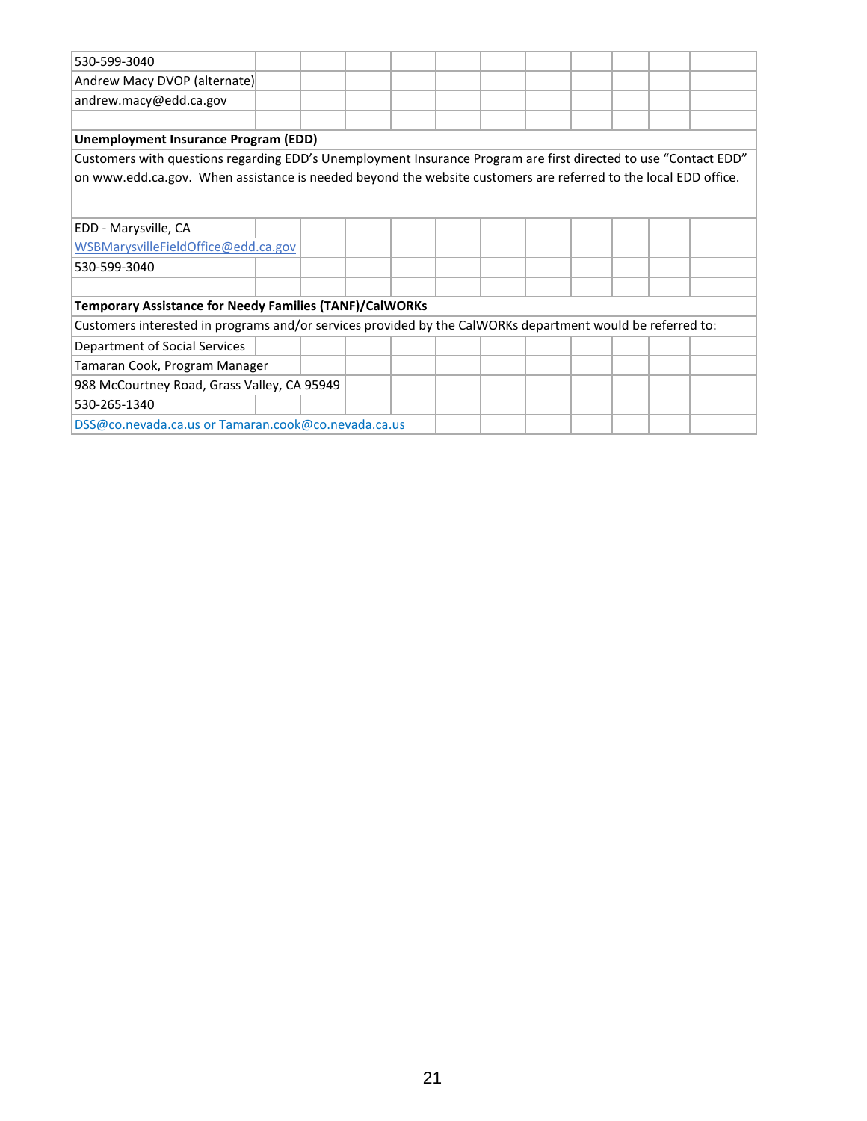| 530-599-3040                                                                                                    |  |  |  |  |  |  |  |  |  |  |  |  |  |
|-----------------------------------------------------------------------------------------------------------------|--|--|--|--|--|--|--|--|--|--|--|--|--|
| Andrew Macy DVOP (alternate)                                                                                    |  |  |  |  |  |  |  |  |  |  |  |  |  |
| andrew.macy@edd.ca.gov                                                                                          |  |  |  |  |  |  |  |  |  |  |  |  |  |
|                                                                                                                 |  |  |  |  |  |  |  |  |  |  |  |  |  |
| <b>Unemployment Insurance Program (EDD)</b>                                                                     |  |  |  |  |  |  |  |  |  |  |  |  |  |
| Customers with questions regarding EDD's Unemployment Insurance Program are first directed to use "Contact EDD" |  |  |  |  |  |  |  |  |  |  |  |  |  |
| on www.edd.ca.gov. When assistance is needed beyond the website customers are referred to the local EDD office. |  |  |  |  |  |  |  |  |  |  |  |  |  |
|                                                                                                                 |  |  |  |  |  |  |  |  |  |  |  |  |  |
|                                                                                                                 |  |  |  |  |  |  |  |  |  |  |  |  |  |
| EDD - Marysville, CA                                                                                            |  |  |  |  |  |  |  |  |  |  |  |  |  |
| WSBMarysvilleFieldOffice@edd.ca.gov                                                                             |  |  |  |  |  |  |  |  |  |  |  |  |  |
| 530-599-3040                                                                                                    |  |  |  |  |  |  |  |  |  |  |  |  |  |
|                                                                                                                 |  |  |  |  |  |  |  |  |  |  |  |  |  |
| <b>Temporary Assistance for Needy Families (TANF)/CalWORKs</b>                                                  |  |  |  |  |  |  |  |  |  |  |  |  |  |
| Customers interested in programs and/or services provided by the CalWORKs department would be referred to:      |  |  |  |  |  |  |  |  |  |  |  |  |  |
| Department of Social Services                                                                                   |  |  |  |  |  |  |  |  |  |  |  |  |  |
| Tamaran Cook, Program Manager                                                                                   |  |  |  |  |  |  |  |  |  |  |  |  |  |
| 988 McCourtney Road, Grass Valley, CA 95949                                                                     |  |  |  |  |  |  |  |  |  |  |  |  |  |
| 530-265-1340                                                                                                    |  |  |  |  |  |  |  |  |  |  |  |  |  |
| DSS@co.nevada.ca.us or Tamaran.cook@co.nevada.ca.us                                                             |  |  |  |  |  |  |  |  |  |  |  |  |  |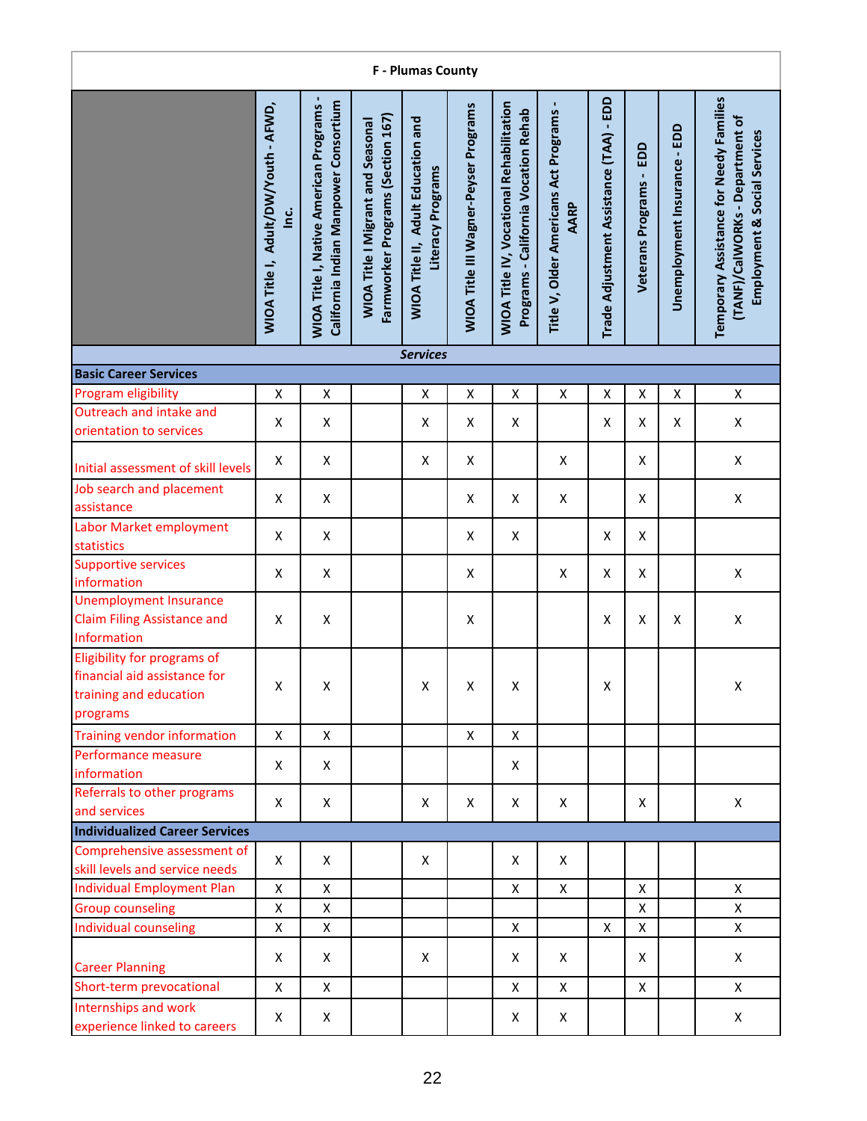| <b>F</b> - Plumas County                                                                          |                                                |                                                                                        |                                                                               |                                                                |                                              |                                                                                         |                                                 |                                         |                            |                              |                                                                                                            |  |  |
|---------------------------------------------------------------------------------------------------|------------------------------------------------|----------------------------------------------------------------------------------------|-------------------------------------------------------------------------------|----------------------------------------------------------------|----------------------------------------------|-----------------------------------------------------------------------------------------|-------------------------------------------------|-----------------------------------------|----------------------------|------------------------------|------------------------------------------------------------------------------------------------------------|--|--|
|                                                                                                   | WIOA Title I, Adult/DW/Youth - AFWD,<br>ن<br>⊇ | California Indian Manpower Consortium<br><b>WIOA Title I, Native American Programs</b> | Farmworker Programs (Section 167)<br><b>WIOA Title I Migrant and Seasonal</b> | <b>WIOA Title II, Adult Education and</b><br>Literacy Programs | <b>WIOA Title III Wagner-Peyser Programs</b> | <b>WIOA Title IV, Vocational Rehabilitation</b><br>Programs - California Vocation Rehab | Title V, Older Americans Act Programs -<br>AARP | Trade Adjustment Assistance (TAA) - EDD | EDD<br>Veterans Programs - | Unemployment Insurance - EDD | Temporary Assistance for Needy Families<br>(TANF)/CalWORKs - Department of<br>Employment & Social Services |  |  |
|                                                                                                   |                                                |                                                                                        |                                                                               | <b>Services</b>                                                |                                              |                                                                                         |                                                 |                                         |                            |                              |                                                                                                            |  |  |
| <b>Basic Career Services</b>                                                                      |                                                |                                                                                        |                                                                               |                                                                |                                              |                                                                                         |                                                 |                                         |                            |                              |                                                                                                            |  |  |
| Program eligibility                                                                               | $\pmb{\mathsf{X}}$                             | X                                                                                      |                                                                               | X                                                              | $\pmb{\mathsf{X}}$                           | Χ                                                                                       | Χ                                               | Χ                                       | X                          | X                            | X                                                                                                          |  |  |
| Outreach and intake and<br>orientation to services                                                | X                                              | X                                                                                      |                                                                               | X                                                              | X                                            | X                                                                                       |                                                 | X                                       | X                          | Χ                            | X                                                                                                          |  |  |
| Initial assessment of skill levels                                                                | X                                              | Χ                                                                                      |                                                                               | X                                                              | X                                            |                                                                                         | $\pmb{\mathsf{X}}$                              |                                         | X                          |                              | X                                                                                                          |  |  |
| Job search and placement<br>assistance                                                            | X                                              | X                                                                                      |                                                                               |                                                                | X                                            | X                                                                                       | Χ                                               |                                         | X                          |                              | X                                                                                                          |  |  |
| Labor Market employment<br>statistics                                                             | X                                              | X                                                                                      |                                                                               |                                                                | X                                            | X                                                                                       |                                                 | X                                       | X                          |                              |                                                                                                            |  |  |
| <b>Supportive services</b><br>information                                                         | X                                              | X                                                                                      |                                                                               |                                                                | X                                            |                                                                                         | $\pmb{\mathsf{X}}$                              | X                                       | X                          |                              | Χ                                                                                                          |  |  |
| <b>Unemployment Insurance</b><br><b>Claim Filing Assistance and</b><br>Information                | X                                              | X                                                                                      |                                                                               |                                                                | X                                            |                                                                                         |                                                 | X                                       | X                          | $\pmb{\mathsf{X}}$           | $\pmb{\mathsf{X}}$                                                                                         |  |  |
| Eligibility for programs of<br>financial aid assistance for<br>training and education<br>programs | Χ                                              | Χ                                                                                      |                                                                               | $\pmb{\mathsf{X}}$                                             | X                                            | $\pmb{\mathsf{X}}$                                                                      |                                                 | Χ                                       |                            |                              | X                                                                                                          |  |  |
| <b>Training vendor information</b>                                                                | $\mathsf{x}$                                   | $\mathsf{x}$                                                                           |                                                                               |                                                                | X                                            | X                                                                                       |                                                 |                                         |                            |                              |                                                                                                            |  |  |
| Performance measure<br>information                                                                | X                                              | X                                                                                      |                                                                               |                                                                |                                              | X                                                                                       |                                                 |                                         |                            |                              |                                                                                                            |  |  |
| Referrals to other programs<br>and services                                                       | X                                              | X                                                                                      |                                                                               | X                                                              | X                                            | X                                                                                       | X                                               |                                         | X                          |                              | X                                                                                                          |  |  |
| <b>Individualized Career Services</b>                                                             |                                                |                                                                                        |                                                                               |                                                                |                                              |                                                                                         |                                                 |                                         |                            |                              |                                                                                                            |  |  |
| Comprehensive assessment of<br>skill levels and service needs                                     | X                                              | X                                                                                      |                                                                               | X                                                              |                                              | X                                                                                       | X                                               |                                         |                            |                              |                                                                                                            |  |  |
| <b>Individual Employment Plan</b>                                                                 | X                                              | X                                                                                      |                                                                               |                                                                |                                              | X                                                                                       | X                                               |                                         | X                          |                              | X                                                                                                          |  |  |
| <b>Group counseling</b>                                                                           | Χ                                              | Χ                                                                                      |                                                                               |                                                                |                                              |                                                                                         |                                                 |                                         | $\mathsf{X}$               |                              | X                                                                                                          |  |  |
| <b>Individual counseling</b>                                                                      | X                                              | X                                                                                      |                                                                               |                                                                |                                              | X                                                                                       |                                                 | X                                       | $\pmb{\mathsf{X}}$         |                              | X                                                                                                          |  |  |
| <b>Career Planning</b>                                                                            | Χ                                              | X                                                                                      |                                                                               | X                                                              |                                              | Χ                                                                                       | X                                               |                                         | X                          |                              | X                                                                                                          |  |  |
| Short-term prevocational                                                                          | X                                              | X                                                                                      |                                                                               |                                                                |                                              | $\pmb{\mathsf{X}}$                                                                      | $\pmb{\mathsf{X}}$                              |                                         | $\mathsf{X}$               |                              | X                                                                                                          |  |  |
| Internships and work<br>experience linked to careers                                              | X                                              | X                                                                                      |                                                                               |                                                                |                                              | X                                                                                       | X                                               |                                         |                            |                              | X                                                                                                          |  |  |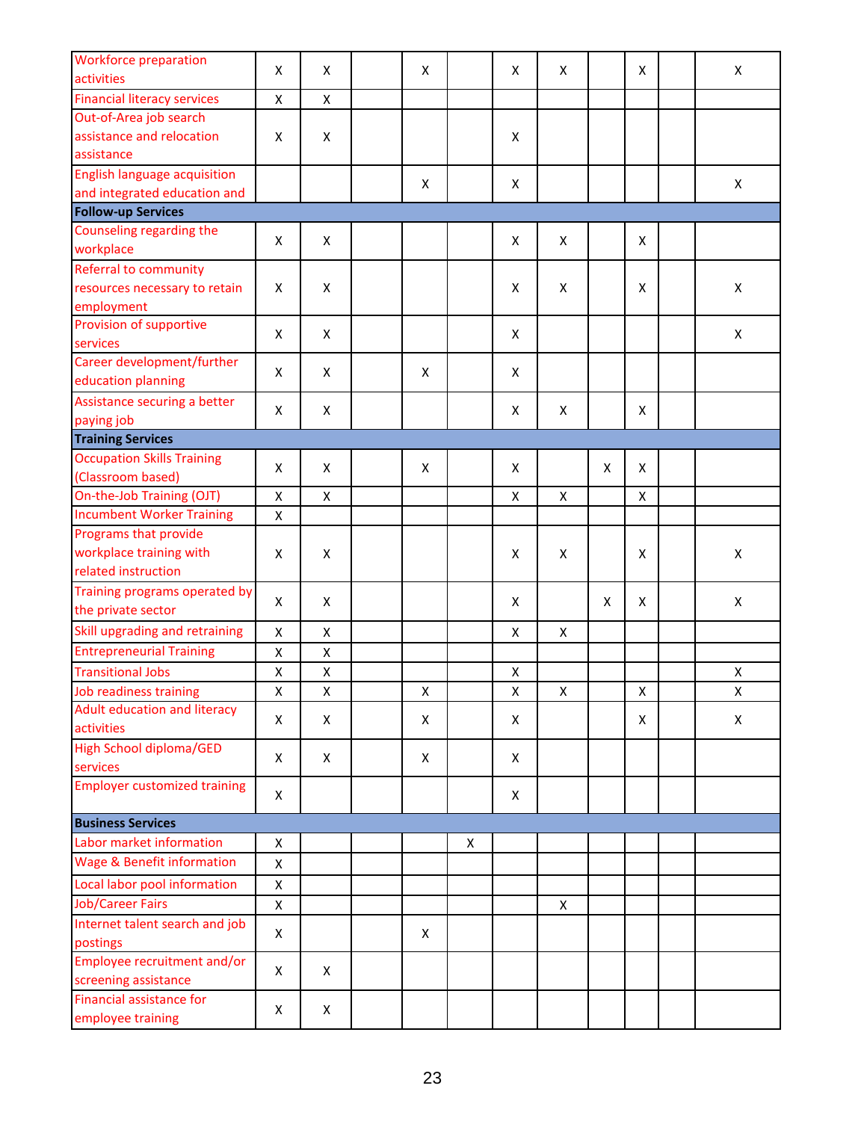| activities<br><b>Financial literacy services</b><br>X<br>X<br>Out-of-Area job search<br>assistance and relocation<br>X<br>X<br>X<br>assistance<br><b>English language acquisition</b><br>X<br>X<br>X<br>and integrated education and<br>Counseling regarding the<br>X<br>X<br>X<br>X<br>X<br>workplace<br>Referral to community<br>X<br>resources necessary to retain<br>X<br>X<br>X<br>X<br>Х<br>employment<br>Provision of supportive<br>X<br>X<br>X<br>Χ<br>services<br>Career development/further<br>X<br>X<br>X<br>X<br>education planning<br>Assistance securing a better<br>X<br>Χ<br>X<br>Χ<br>Χ<br>paying job<br><b>Occupation Skills Training</b><br>X<br>X<br>X<br>X<br>X<br>X<br>(Classroom based)<br>On-the-Job Training (OJT)<br>Χ<br>X<br>X<br>X<br>X<br><b>Incumbent Worker Training</b><br>Χ<br>Programs that provide<br>workplace training with<br>X<br>X<br>X<br>X<br>X<br>X<br>related instruction<br>Training programs operated by<br>X<br>X<br>X<br>X<br>X<br>X<br>the private sector<br>Skill upgrading and retraining<br>X<br>X<br>X<br>X<br><b>Entrepreneurial Training</b><br>X<br>Χ<br><b>Transitional Jobs</b><br>X<br>X<br>X<br>X<br>Job readiness training<br>X<br>X<br>X<br>X<br>Χ<br>Χ<br>Χ<br>Adult education and literacy<br>X<br>X<br>X<br>X<br>X<br>X<br>activities<br><b>High School diploma/GED</b><br>X<br>X<br>X<br>X<br>services<br><b>Employer customized training</b><br>X<br>X<br>Labor market information<br>X<br>X<br><b>Wage &amp; Benefit information</b><br>X<br>Local labor pool information<br>X<br><b>Job/Career Fairs</b><br>$\mathsf{X}$<br>X<br>Internet talent search and job<br>X<br>X<br>postings<br>Employee recruitment and/or<br>X<br>X<br>screening assistance<br>Financial assistance for<br>X<br>X<br>employee training | <b>Workforce preparation</b> | X | X | X | X | X | X | X |
|-----------------------------------------------------------------------------------------------------------------------------------------------------------------------------------------------------------------------------------------------------------------------------------------------------------------------------------------------------------------------------------------------------------------------------------------------------------------------------------------------------------------------------------------------------------------------------------------------------------------------------------------------------------------------------------------------------------------------------------------------------------------------------------------------------------------------------------------------------------------------------------------------------------------------------------------------------------------------------------------------------------------------------------------------------------------------------------------------------------------------------------------------------------------------------------------------------------------------------------------------------------------------------------------------------------------------------------------------------------------------------------------------------------------------------------------------------------------------------------------------------------------------------------------------------------------------------------------------------------------------------------------------------------------------------------------------------------------------------------------------------------------------------------------|------------------------------|---|---|---|---|---|---|---|
|                                                                                                                                                                                                                                                                                                                                                                                                                                                                                                                                                                                                                                                                                                                                                                                                                                                                                                                                                                                                                                                                                                                                                                                                                                                                                                                                                                                                                                                                                                                                                                                                                                                                                                                                                                                         |                              |   |   |   |   |   |   |   |
|                                                                                                                                                                                                                                                                                                                                                                                                                                                                                                                                                                                                                                                                                                                                                                                                                                                                                                                                                                                                                                                                                                                                                                                                                                                                                                                                                                                                                                                                                                                                                                                                                                                                                                                                                                                         |                              |   |   |   |   |   |   |   |
|                                                                                                                                                                                                                                                                                                                                                                                                                                                                                                                                                                                                                                                                                                                                                                                                                                                                                                                                                                                                                                                                                                                                                                                                                                                                                                                                                                                                                                                                                                                                                                                                                                                                                                                                                                                         |                              |   |   |   |   |   |   |   |
|                                                                                                                                                                                                                                                                                                                                                                                                                                                                                                                                                                                                                                                                                                                                                                                                                                                                                                                                                                                                                                                                                                                                                                                                                                                                                                                                                                                                                                                                                                                                                                                                                                                                                                                                                                                         |                              |   |   |   |   |   |   |   |
|                                                                                                                                                                                                                                                                                                                                                                                                                                                                                                                                                                                                                                                                                                                                                                                                                                                                                                                                                                                                                                                                                                                                                                                                                                                                                                                                                                                                                                                                                                                                                                                                                                                                                                                                                                                         |                              |   |   |   |   |   |   |   |
|                                                                                                                                                                                                                                                                                                                                                                                                                                                                                                                                                                                                                                                                                                                                                                                                                                                                                                                                                                                                                                                                                                                                                                                                                                                                                                                                                                                                                                                                                                                                                                                                                                                                                                                                                                                         |                              |   |   |   |   |   |   |   |
|                                                                                                                                                                                                                                                                                                                                                                                                                                                                                                                                                                                                                                                                                                                                                                                                                                                                                                                                                                                                                                                                                                                                                                                                                                                                                                                                                                                                                                                                                                                                                                                                                                                                                                                                                                                         |                              |   |   |   |   |   |   |   |
|                                                                                                                                                                                                                                                                                                                                                                                                                                                                                                                                                                                                                                                                                                                                                                                                                                                                                                                                                                                                                                                                                                                                                                                                                                                                                                                                                                                                                                                                                                                                                                                                                                                                                                                                                                                         | <b>Follow-up Services</b>    |   |   |   |   |   |   |   |
|                                                                                                                                                                                                                                                                                                                                                                                                                                                                                                                                                                                                                                                                                                                                                                                                                                                                                                                                                                                                                                                                                                                                                                                                                                                                                                                                                                                                                                                                                                                                                                                                                                                                                                                                                                                         |                              |   |   |   |   |   |   |   |
|                                                                                                                                                                                                                                                                                                                                                                                                                                                                                                                                                                                                                                                                                                                                                                                                                                                                                                                                                                                                                                                                                                                                                                                                                                                                                                                                                                                                                                                                                                                                                                                                                                                                                                                                                                                         |                              |   |   |   |   |   |   |   |
|                                                                                                                                                                                                                                                                                                                                                                                                                                                                                                                                                                                                                                                                                                                                                                                                                                                                                                                                                                                                                                                                                                                                                                                                                                                                                                                                                                                                                                                                                                                                                                                                                                                                                                                                                                                         |                              |   |   |   |   |   |   |   |
|                                                                                                                                                                                                                                                                                                                                                                                                                                                                                                                                                                                                                                                                                                                                                                                                                                                                                                                                                                                                                                                                                                                                                                                                                                                                                                                                                                                                                                                                                                                                                                                                                                                                                                                                                                                         |                              |   |   |   |   |   |   |   |
|                                                                                                                                                                                                                                                                                                                                                                                                                                                                                                                                                                                                                                                                                                                                                                                                                                                                                                                                                                                                                                                                                                                                                                                                                                                                                                                                                                                                                                                                                                                                                                                                                                                                                                                                                                                         |                              |   |   |   |   |   |   |   |
|                                                                                                                                                                                                                                                                                                                                                                                                                                                                                                                                                                                                                                                                                                                                                                                                                                                                                                                                                                                                                                                                                                                                                                                                                                                                                                                                                                                                                                                                                                                                                                                                                                                                                                                                                                                         |                              |   |   |   |   |   |   |   |
|                                                                                                                                                                                                                                                                                                                                                                                                                                                                                                                                                                                                                                                                                                                                                                                                                                                                                                                                                                                                                                                                                                                                                                                                                                                                                                                                                                                                                                                                                                                                                                                                                                                                                                                                                                                         |                              |   |   |   |   |   |   |   |
|                                                                                                                                                                                                                                                                                                                                                                                                                                                                                                                                                                                                                                                                                                                                                                                                                                                                                                                                                                                                                                                                                                                                                                                                                                                                                                                                                                                                                                                                                                                                                                                                                                                                                                                                                                                         |                              |   |   |   |   |   |   |   |
|                                                                                                                                                                                                                                                                                                                                                                                                                                                                                                                                                                                                                                                                                                                                                                                                                                                                                                                                                                                                                                                                                                                                                                                                                                                                                                                                                                                                                                                                                                                                                                                                                                                                                                                                                                                         |                              |   |   |   |   |   |   |   |
|                                                                                                                                                                                                                                                                                                                                                                                                                                                                                                                                                                                                                                                                                                                                                                                                                                                                                                                                                                                                                                                                                                                                                                                                                                                                                                                                                                                                                                                                                                                                                                                                                                                                                                                                                                                         |                              |   |   |   |   |   |   |   |
|                                                                                                                                                                                                                                                                                                                                                                                                                                                                                                                                                                                                                                                                                                                                                                                                                                                                                                                                                                                                                                                                                                                                                                                                                                                                                                                                                                                                                                                                                                                                                                                                                                                                                                                                                                                         |                              |   |   |   |   |   |   |   |
|                                                                                                                                                                                                                                                                                                                                                                                                                                                                                                                                                                                                                                                                                                                                                                                                                                                                                                                                                                                                                                                                                                                                                                                                                                                                                                                                                                                                                                                                                                                                                                                                                                                                                                                                                                                         | <b>Training Services</b>     |   |   |   |   |   |   |   |
|                                                                                                                                                                                                                                                                                                                                                                                                                                                                                                                                                                                                                                                                                                                                                                                                                                                                                                                                                                                                                                                                                                                                                                                                                                                                                                                                                                                                                                                                                                                                                                                                                                                                                                                                                                                         |                              |   |   |   |   |   |   |   |
|                                                                                                                                                                                                                                                                                                                                                                                                                                                                                                                                                                                                                                                                                                                                                                                                                                                                                                                                                                                                                                                                                                                                                                                                                                                                                                                                                                                                                                                                                                                                                                                                                                                                                                                                                                                         |                              |   |   |   |   |   |   |   |
|                                                                                                                                                                                                                                                                                                                                                                                                                                                                                                                                                                                                                                                                                                                                                                                                                                                                                                                                                                                                                                                                                                                                                                                                                                                                                                                                                                                                                                                                                                                                                                                                                                                                                                                                                                                         |                              |   |   |   |   |   |   |   |
|                                                                                                                                                                                                                                                                                                                                                                                                                                                                                                                                                                                                                                                                                                                                                                                                                                                                                                                                                                                                                                                                                                                                                                                                                                                                                                                                                                                                                                                                                                                                                                                                                                                                                                                                                                                         |                              |   |   |   |   |   |   |   |
|                                                                                                                                                                                                                                                                                                                                                                                                                                                                                                                                                                                                                                                                                                                                                                                                                                                                                                                                                                                                                                                                                                                                                                                                                                                                                                                                                                                                                                                                                                                                                                                                                                                                                                                                                                                         |                              |   |   |   |   |   |   |   |
|                                                                                                                                                                                                                                                                                                                                                                                                                                                                                                                                                                                                                                                                                                                                                                                                                                                                                                                                                                                                                                                                                                                                                                                                                                                                                                                                                                                                                                                                                                                                                                                                                                                                                                                                                                                         |                              |   |   |   |   |   |   |   |
|                                                                                                                                                                                                                                                                                                                                                                                                                                                                                                                                                                                                                                                                                                                                                                                                                                                                                                                                                                                                                                                                                                                                                                                                                                                                                                                                                                                                                                                                                                                                                                                                                                                                                                                                                                                         |                              |   |   |   |   |   |   |   |
|                                                                                                                                                                                                                                                                                                                                                                                                                                                                                                                                                                                                                                                                                                                                                                                                                                                                                                                                                                                                                                                                                                                                                                                                                                                                                                                                                                                                                                                                                                                                                                                                                                                                                                                                                                                         |                              |   |   |   |   |   |   |   |
|                                                                                                                                                                                                                                                                                                                                                                                                                                                                                                                                                                                                                                                                                                                                                                                                                                                                                                                                                                                                                                                                                                                                                                                                                                                                                                                                                                                                                                                                                                                                                                                                                                                                                                                                                                                         |                              |   |   |   |   |   |   |   |
|                                                                                                                                                                                                                                                                                                                                                                                                                                                                                                                                                                                                                                                                                                                                                                                                                                                                                                                                                                                                                                                                                                                                                                                                                                                                                                                                                                                                                                                                                                                                                                                                                                                                                                                                                                                         |                              |   |   |   |   |   |   |   |
|                                                                                                                                                                                                                                                                                                                                                                                                                                                                                                                                                                                                                                                                                                                                                                                                                                                                                                                                                                                                                                                                                                                                                                                                                                                                                                                                                                                                                                                                                                                                                                                                                                                                                                                                                                                         |                              |   |   |   |   |   |   |   |
|                                                                                                                                                                                                                                                                                                                                                                                                                                                                                                                                                                                                                                                                                                                                                                                                                                                                                                                                                                                                                                                                                                                                                                                                                                                                                                                                                                                                                                                                                                                                                                                                                                                                                                                                                                                         |                              |   |   |   |   |   |   |   |
|                                                                                                                                                                                                                                                                                                                                                                                                                                                                                                                                                                                                                                                                                                                                                                                                                                                                                                                                                                                                                                                                                                                                                                                                                                                                                                                                                                                                                                                                                                                                                                                                                                                                                                                                                                                         |                              |   |   |   |   |   |   |   |
|                                                                                                                                                                                                                                                                                                                                                                                                                                                                                                                                                                                                                                                                                                                                                                                                                                                                                                                                                                                                                                                                                                                                                                                                                                                                                                                                                                                                                                                                                                                                                                                                                                                                                                                                                                                         |                              |   |   |   |   |   |   |   |
|                                                                                                                                                                                                                                                                                                                                                                                                                                                                                                                                                                                                                                                                                                                                                                                                                                                                                                                                                                                                                                                                                                                                                                                                                                                                                                                                                                                                                                                                                                                                                                                                                                                                                                                                                                                         |                              |   |   |   |   |   |   |   |
|                                                                                                                                                                                                                                                                                                                                                                                                                                                                                                                                                                                                                                                                                                                                                                                                                                                                                                                                                                                                                                                                                                                                                                                                                                                                                                                                                                                                                                                                                                                                                                                                                                                                                                                                                                                         |                              |   |   |   |   |   |   |   |
|                                                                                                                                                                                                                                                                                                                                                                                                                                                                                                                                                                                                                                                                                                                                                                                                                                                                                                                                                                                                                                                                                                                                                                                                                                                                                                                                                                                                                                                                                                                                                                                                                                                                                                                                                                                         |                              |   |   |   |   |   |   |   |
|                                                                                                                                                                                                                                                                                                                                                                                                                                                                                                                                                                                                                                                                                                                                                                                                                                                                                                                                                                                                                                                                                                                                                                                                                                                                                                                                                                                                                                                                                                                                                                                                                                                                                                                                                                                         |                              |   |   |   |   |   |   |   |
|                                                                                                                                                                                                                                                                                                                                                                                                                                                                                                                                                                                                                                                                                                                                                                                                                                                                                                                                                                                                                                                                                                                                                                                                                                                                                                                                                                                                                                                                                                                                                                                                                                                                                                                                                                                         |                              |   |   |   |   |   |   |   |
|                                                                                                                                                                                                                                                                                                                                                                                                                                                                                                                                                                                                                                                                                                                                                                                                                                                                                                                                                                                                                                                                                                                                                                                                                                                                                                                                                                                                                                                                                                                                                                                                                                                                                                                                                                                         | <b>Business Services</b>     |   |   |   |   |   |   |   |
|                                                                                                                                                                                                                                                                                                                                                                                                                                                                                                                                                                                                                                                                                                                                                                                                                                                                                                                                                                                                                                                                                                                                                                                                                                                                                                                                                                                                                                                                                                                                                                                                                                                                                                                                                                                         |                              |   |   |   |   |   |   |   |
|                                                                                                                                                                                                                                                                                                                                                                                                                                                                                                                                                                                                                                                                                                                                                                                                                                                                                                                                                                                                                                                                                                                                                                                                                                                                                                                                                                                                                                                                                                                                                                                                                                                                                                                                                                                         |                              |   |   |   |   |   |   |   |
|                                                                                                                                                                                                                                                                                                                                                                                                                                                                                                                                                                                                                                                                                                                                                                                                                                                                                                                                                                                                                                                                                                                                                                                                                                                                                                                                                                                                                                                                                                                                                                                                                                                                                                                                                                                         |                              |   |   |   |   |   |   |   |
|                                                                                                                                                                                                                                                                                                                                                                                                                                                                                                                                                                                                                                                                                                                                                                                                                                                                                                                                                                                                                                                                                                                                                                                                                                                                                                                                                                                                                                                                                                                                                                                                                                                                                                                                                                                         |                              |   |   |   |   |   |   |   |
|                                                                                                                                                                                                                                                                                                                                                                                                                                                                                                                                                                                                                                                                                                                                                                                                                                                                                                                                                                                                                                                                                                                                                                                                                                                                                                                                                                                                                                                                                                                                                                                                                                                                                                                                                                                         |                              |   |   |   |   |   |   |   |
|                                                                                                                                                                                                                                                                                                                                                                                                                                                                                                                                                                                                                                                                                                                                                                                                                                                                                                                                                                                                                                                                                                                                                                                                                                                                                                                                                                                                                                                                                                                                                                                                                                                                                                                                                                                         |                              |   |   |   |   |   |   |   |
|                                                                                                                                                                                                                                                                                                                                                                                                                                                                                                                                                                                                                                                                                                                                                                                                                                                                                                                                                                                                                                                                                                                                                                                                                                                                                                                                                                                                                                                                                                                                                                                                                                                                                                                                                                                         |                              |   |   |   |   |   |   |   |
|                                                                                                                                                                                                                                                                                                                                                                                                                                                                                                                                                                                                                                                                                                                                                                                                                                                                                                                                                                                                                                                                                                                                                                                                                                                                                                                                                                                                                                                                                                                                                                                                                                                                                                                                                                                         |                              |   |   |   |   |   |   |   |
|                                                                                                                                                                                                                                                                                                                                                                                                                                                                                                                                                                                                                                                                                                                                                                                                                                                                                                                                                                                                                                                                                                                                                                                                                                                                                                                                                                                                                                                                                                                                                                                                                                                                                                                                                                                         |                              |   |   |   |   |   |   |   |
|                                                                                                                                                                                                                                                                                                                                                                                                                                                                                                                                                                                                                                                                                                                                                                                                                                                                                                                                                                                                                                                                                                                                                                                                                                                                                                                                                                                                                                                                                                                                                                                                                                                                                                                                                                                         |                              |   |   |   |   |   |   |   |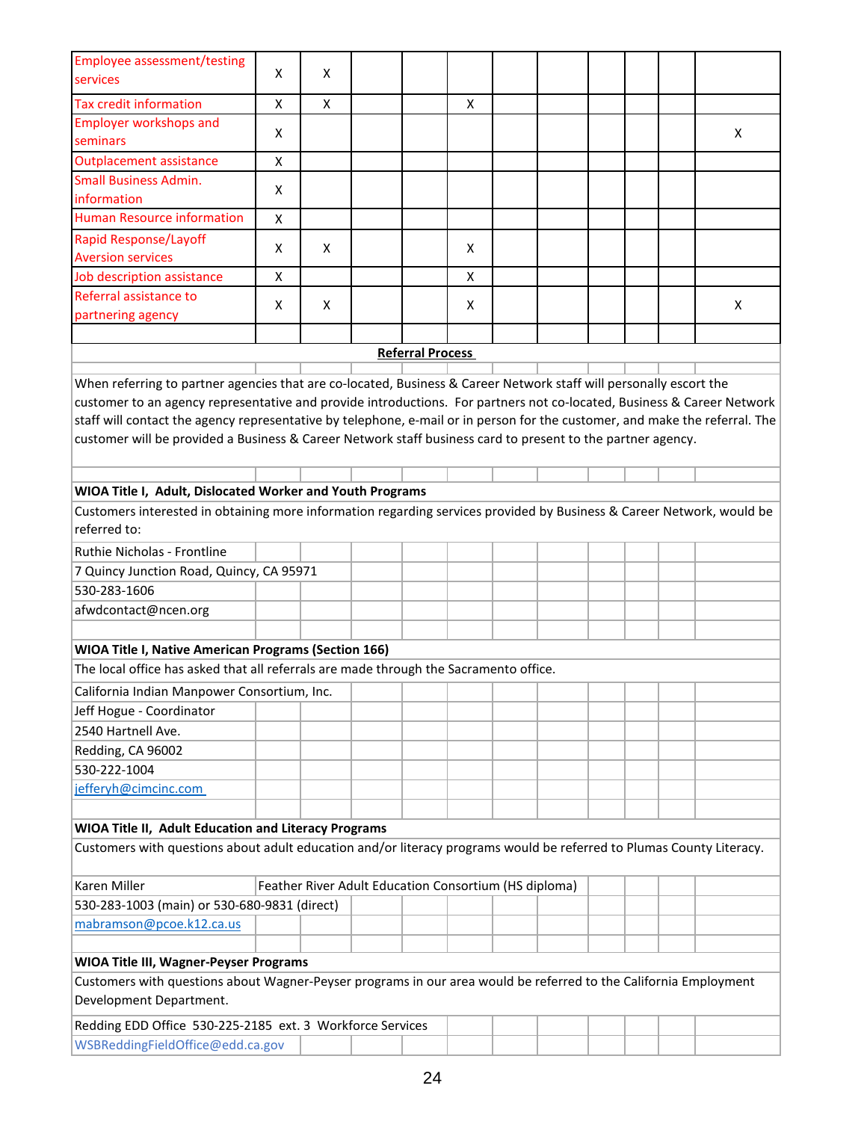| <b>Employee assessment/testing</b>                                                                                                    |   |   |                                                       |                         |                    |  |  |  |  |  |   |
|---------------------------------------------------------------------------------------------------------------------------------------|---|---|-------------------------------------------------------|-------------------------|--------------------|--|--|--|--|--|---|
| services                                                                                                                              | X | X |                                                       |                         |                    |  |  |  |  |  |   |
| <b>Tax credit information</b>                                                                                                         | X | X |                                                       |                         | X                  |  |  |  |  |  |   |
| <b>Employer workshops and</b>                                                                                                         |   |   |                                                       |                         |                    |  |  |  |  |  |   |
| seminars                                                                                                                              | X |   |                                                       |                         |                    |  |  |  |  |  | x |
| <b>Outplacement assistance</b>                                                                                                        | X |   |                                                       |                         |                    |  |  |  |  |  |   |
| <b>Small Business Admin.</b>                                                                                                          |   |   |                                                       |                         |                    |  |  |  |  |  |   |
| information                                                                                                                           | X |   |                                                       |                         |                    |  |  |  |  |  |   |
| <b>Human Resource information</b>                                                                                                     | X |   |                                                       |                         |                    |  |  |  |  |  |   |
| Rapid Response/Layoff                                                                                                                 |   |   |                                                       |                         |                    |  |  |  |  |  |   |
| <b>Aversion services</b>                                                                                                              | Χ | X |                                                       |                         | Χ                  |  |  |  |  |  |   |
| Job description assistance                                                                                                            | X |   |                                                       |                         | $\pmb{\mathsf{X}}$ |  |  |  |  |  |   |
| Referral assistance to                                                                                                                | X | X |                                                       |                         | X                  |  |  |  |  |  | X |
| partnering agency                                                                                                                     |   |   |                                                       |                         |                    |  |  |  |  |  |   |
|                                                                                                                                       |   |   |                                                       |                         |                    |  |  |  |  |  |   |
|                                                                                                                                       |   |   |                                                       | <b>Referral Process</b> |                    |  |  |  |  |  |   |
| When referring to partner agencies that are co-located, Business & Career Network staff will personally escort the                    |   |   |                                                       |                         |                    |  |  |  |  |  |   |
| customer to an agency representative and provide introductions. For partners not co-located, Business & Career Network                |   |   |                                                       |                         |                    |  |  |  |  |  |   |
| staff will contact the agency representative by telephone, e-mail or in person for the customer, and make the referral. The           |   |   |                                                       |                         |                    |  |  |  |  |  |   |
| customer will be provided a Business & Career Network staff business card to present to the partner agency.                           |   |   |                                                       |                         |                    |  |  |  |  |  |   |
|                                                                                                                                       |   |   |                                                       |                         |                    |  |  |  |  |  |   |
|                                                                                                                                       |   |   |                                                       |                         |                    |  |  |  |  |  |   |
| WIOA Title I, Adult, Dislocated Worker and Youth Programs                                                                             |   |   |                                                       |                         |                    |  |  |  |  |  |   |
| Customers interested in obtaining more information regarding services provided by Business & Career Network, would be<br>referred to: |   |   |                                                       |                         |                    |  |  |  |  |  |   |
| Ruthie Nicholas - Frontline                                                                                                           |   |   |                                                       |                         |                    |  |  |  |  |  |   |
| 7 Quincy Junction Road, Quincy, CA 95971                                                                                              |   |   |                                                       |                         |                    |  |  |  |  |  |   |
| 530-283-1606                                                                                                                          |   |   |                                                       |                         |                    |  |  |  |  |  |   |
| afwdcontact@ncen.org                                                                                                                  |   |   |                                                       |                         |                    |  |  |  |  |  |   |
|                                                                                                                                       |   |   |                                                       |                         |                    |  |  |  |  |  |   |
| WIOA Title I, Native American Programs (Section 166)                                                                                  |   |   |                                                       |                         |                    |  |  |  |  |  |   |
| The local office has asked that all referrals are made through the Sacramento office.                                                 |   |   |                                                       |                         |                    |  |  |  |  |  |   |
|                                                                                                                                       |   |   |                                                       |                         |                    |  |  |  |  |  |   |
| California Indian Manpower Consortium, Inc.                                                                                           |   |   |                                                       |                         |                    |  |  |  |  |  |   |
| Jeff Hogue - Coordinator                                                                                                              |   |   |                                                       |                         |                    |  |  |  |  |  |   |
| 2540 Hartnell Ave.                                                                                                                    |   |   |                                                       |                         |                    |  |  |  |  |  |   |
| Redding, CA 96002                                                                                                                     |   |   |                                                       |                         |                    |  |  |  |  |  |   |
| 530-222-1004                                                                                                                          |   |   |                                                       |                         |                    |  |  |  |  |  |   |
| jefferyh@cimcinc.com                                                                                                                  |   |   |                                                       |                         |                    |  |  |  |  |  |   |
|                                                                                                                                       |   |   |                                                       |                         |                    |  |  |  |  |  |   |
| WIOA Title II, Adult Education and Literacy Programs                                                                                  |   |   |                                                       |                         |                    |  |  |  |  |  |   |
| Customers with questions about adult education and/or literacy programs would be referred to Plumas County Literacy.                  |   |   |                                                       |                         |                    |  |  |  |  |  |   |
| Karen Miller                                                                                                                          |   |   | Feather River Adult Education Consortium (HS diploma) |                         |                    |  |  |  |  |  |   |
| 530-283-1003 (main) or 530-680-9831 (direct)                                                                                          |   |   |                                                       |                         |                    |  |  |  |  |  |   |
| mabramson@pcoe.k12.ca.us                                                                                                              |   |   |                                                       |                         |                    |  |  |  |  |  |   |
|                                                                                                                                       |   |   |                                                       |                         |                    |  |  |  |  |  |   |
| <b>WIOA Title III, Wagner-Peyser Programs</b>                                                                                         |   |   |                                                       |                         |                    |  |  |  |  |  |   |
| Customers with questions about Wagner-Peyser programs in our area would be referred to the California Employment                      |   |   |                                                       |                         |                    |  |  |  |  |  |   |
| Development Department.                                                                                                               |   |   |                                                       |                         |                    |  |  |  |  |  |   |
| Redding EDD Office 530-225-2185 ext. 3 Workforce Services                                                                             |   |   |                                                       |                         |                    |  |  |  |  |  |   |
| WSBReddingFieldOffice@edd.ca.gov                                                                                                      |   |   |                                                       |                         |                    |  |  |  |  |  |   |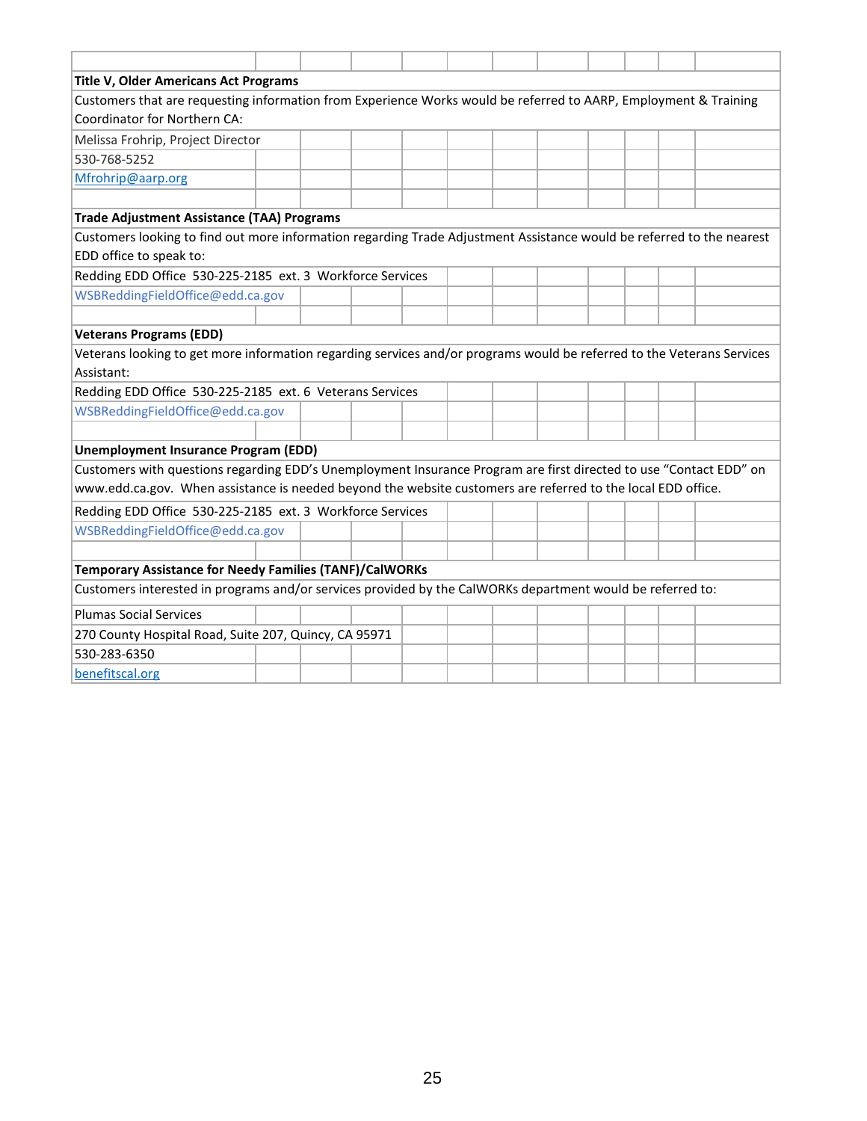| Title V, Older Americans Act Programs                                                                                  |  |  |  |  |  |  |  |  |  |  |  |  |  |
|------------------------------------------------------------------------------------------------------------------------|--|--|--|--|--|--|--|--|--|--|--|--|--|
| Customers that are requesting information from Experience Works would be referred to AARP, Employment & Training       |  |  |  |  |  |  |  |  |  |  |  |  |  |
| Coordinator for Northern CA:                                                                                           |  |  |  |  |  |  |  |  |  |  |  |  |  |
| Melissa Frohrip, Project Director                                                                                      |  |  |  |  |  |  |  |  |  |  |  |  |  |
| 530-768-5252                                                                                                           |  |  |  |  |  |  |  |  |  |  |  |  |  |
| Mfrohrip@aarp.org                                                                                                      |  |  |  |  |  |  |  |  |  |  |  |  |  |
|                                                                                                                        |  |  |  |  |  |  |  |  |  |  |  |  |  |
| <b>Trade Adjustment Assistance (TAA) Programs</b>                                                                      |  |  |  |  |  |  |  |  |  |  |  |  |  |
| Customers looking to find out more information regarding Trade Adjustment Assistance would be referred to the nearest  |  |  |  |  |  |  |  |  |  |  |  |  |  |
| EDD office to speak to:                                                                                                |  |  |  |  |  |  |  |  |  |  |  |  |  |
| Redding EDD Office 530-225-2185 ext. 3 Workforce Services                                                              |  |  |  |  |  |  |  |  |  |  |  |  |  |
| WSBReddingFieldOffice@edd.ca.gov                                                                                       |  |  |  |  |  |  |  |  |  |  |  |  |  |
|                                                                                                                        |  |  |  |  |  |  |  |  |  |  |  |  |  |
| <b>Veterans Programs (EDD)</b>                                                                                         |  |  |  |  |  |  |  |  |  |  |  |  |  |
| Veterans looking to get more information regarding services and/or programs would be referred to the Veterans Services |  |  |  |  |  |  |  |  |  |  |  |  |  |
| Assistant:                                                                                                             |  |  |  |  |  |  |  |  |  |  |  |  |  |
| Redding EDD Office 530-225-2185 ext. 6 Veterans Services                                                               |  |  |  |  |  |  |  |  |  |  |  |  |  |
| WSBReddingFieldOffice@edd.ca.gov                                                                                       |  |  |  |  |  |  |  |  |  |  |  |  |  |
|                                                                                                                        |  |  |  |  |  |  |  |  |  |  |  |  |  |
| <b>Unemployment Insurance Program (EDD)</b>                                                                            |  |  |  |  |  |  |  |  |  |  |  |  |  |
| Customers with questions regarding EDD's Unemployment Insurance Program are first directed to use "Contact EDD" on     |  |  |  |  |  |  |  |  |  |  |  |  |  |
| www.edd.ca.gov. When assistance is needed beyond the website customers are referred to the local EDD office.           |  |  |  |  |  |  |  |  |  |  |  |  |  |
| Redding EDD Office 530-225-2185 ext. 3 Workforce Services                                                              |  |  |  |  |  |  |  |  |  |  |  |  |  |
| WSBReddingFieldOffice@edd.ca.gov                                                                                       |  |  |  |  |  |  |  |  |  |  |  |  |  |
|                                                                                                                        |  |  |  |  |  |  |  |  |  |  |  |  |  |
| <b>Temporary Assistance for Needy Families (TANF)/CalWORKs</b>                                                         |  |  |  |  |  |  |  |  |  |  |  |  |  |
| Customers interested in programs and/or services provided by the CalWORKs department would be referred to:             |  |  |  |  |  |  |  |  |  |  |  |  |  |
| <b>Plumas Social Services</b>                                                                                          |  |  |  |  |  |  |  |  |  |  |  |  |  |
| 270 County Hospital Road, Suite 207, Quincy, CA 95971                                                                  |  |  |  |  |  |  |  |  |  |  |  |  |  |
| 530-283-6350                                                                                                           |  |  |  |  |  |  |  |  |  |  |  |  |  |
| benefitscal.org                                                                                                        |  |  |  |  |  |  |  |  |  |  |  |  |  |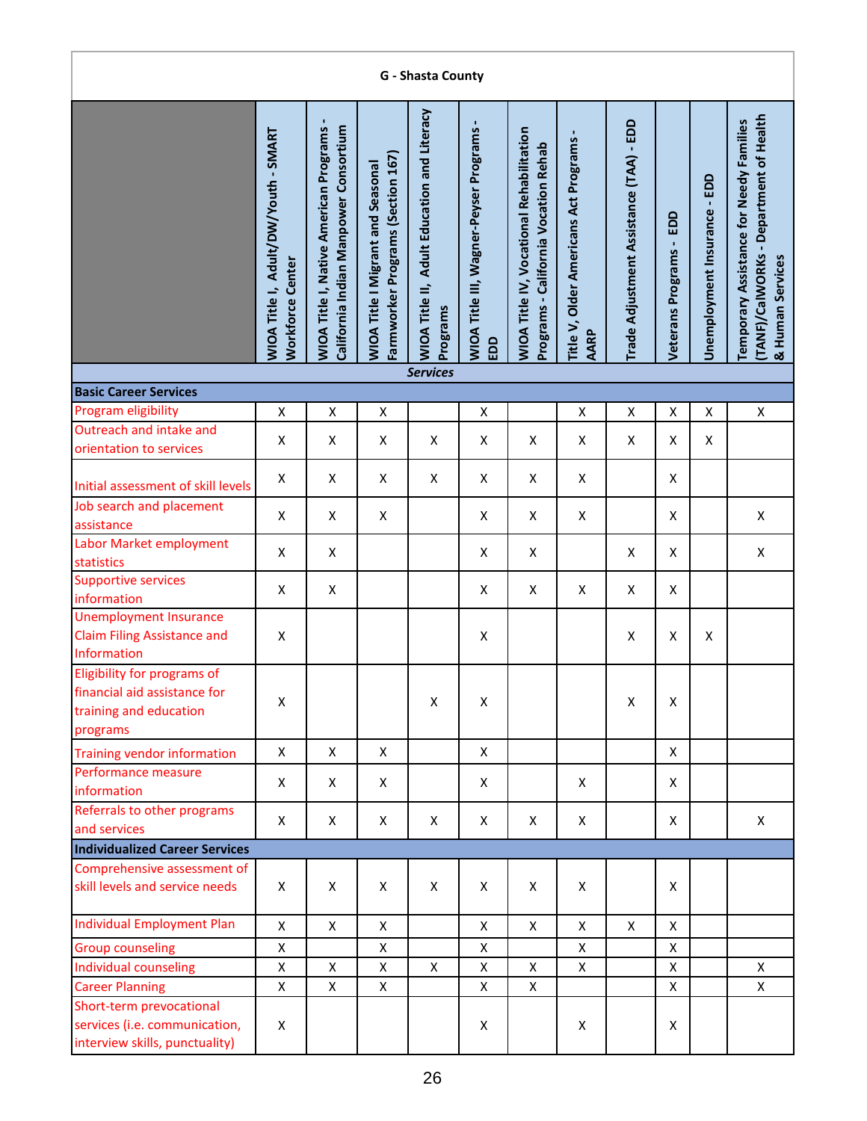| G - Shasta County                                                                                                                                     |                                                                 |                                                                                         |                                                                               |                                                         |                                                 |                                                                                         |                                                 |                                         |                            |                              |                                                                                                       |  |  |
|-------------------------------------------------------------------------------------------------------------------------------------------------------|-----------------------------------------------------------------|-----------------------------------------------------------------------------------------|-------------------------------------------------------------------------------|---------------------------------------------------------|-------------------------------------------------|-----------------------------------------------------------------------------------------|-------------------------------------------------|-----------------------------------------|----------------------------|------------------------------|-------------------------------------------------------------------------------------------------------|--|--|
|                                                                                                                                                       | WIOA Title I, Adult/DW/Youth - SMART<br><b>Workforce Center</b> | <b>WIOA Title I, Native American Programs-</b><br>California Indian Manpower Consortium | Farmworker Programs (Section 167)<br><b>WIOA Title I Migrant and Seasonal</b> | WIOA Title II, Adult Education and Literacy<br>Programs | WIOA Title III, Wagner-Peyser Programs -<br>EDD | <b>WIOA Title IV, Vocational Rehabilitation</b><br>Programs - California Vocation Rehab | Title V, Older Americans Act Programs -<br>AARP | Trade Adjustment Assistance (TAA) - EDD | EDD<br>Veterans Programs - | Unemployment Insurance - EDD | (TANF)/CalWORKs - Department of Health<br>Temporary Assistance for Needy Families<br>& Human Services |  |  |
| <b>Services</b><br><b>Basic Career Services</b>                                                                                                       |                                                                 |                                                                                         |                                                                               |                                                         |                                                 |                                                                                         |                                                 |                                         |                            |                              |                                                                                                       |  |  |
| Program eligibility<br>Χ<br>X<br>$\pmb{\mathsf{X}}$<br>$\pmb{\mathsf{X}}$<br>$\pmb{\mathsf{X}}$<br>X<br>X<br>$\pmb{\mathsf{X}}$<br>$\pmb{\mathsf{X}}$ |                                                                 |                                                                                         |                                                                               |                                                         |                                                 |                                                                                         |                                                 |                                         |                            |                              |                                                                                                       |  |  |
| Outreach and intake and                                                                                                                               |                                                                 |                                                                                         |                                                                               |                                                         |                                                 |                                                                                         |                                                 |                                         |                            |                              |                                                                                                       |  |  |
| orientation to services                                                                                                                               | X                                                               | X                                                                                       | X                                                                             | X                                                       | X                                               | X                                                                                       | X                                               | X                                       | X                          | X                            |                                                                                                       |  |  |
| Initial assessment of skill levels                                                                                                                    | X                                                               | X                                                                                       | X                                                                             | X                                                       | X                                               | X                                                                                       | X                                               |                                         | X                          |                              |                                                                                                       |  |  |
| Job search and placement<br>assistance                                                                                                                | $\pmb{\times}$                                                  | X                                                                                       | X                                                                             |                                                         | X                                               | X                                                                                       | X                                               |                                         | X                          |                              | Χ                                                                                                     |  |  |
| Labor Market employment<br>statistics                                                                                                                 | $\pmb{\times}$                                                  | X                                                                                       |                                                                               |                                                         | $\pmb{\mathsf{X}}$                              | X                                                                                       |                                                 | X                                       | X                          |                              | Χ                                                                                                     |  |  |
| <b>Supportive services</b><br>information                                                                                                             | X                                                               | X                                                                                       |                                                                               |                                                         | X                                               | X                                                                                       | X                                               | X                                       | X                          |                              |                                                                                                       |  |  |
| <b>Unemployment Insurance</b><br><b>Claim Filing Assistance and</b><br>Information                                                                    | X                                                               |                                                                                         |                                                                               |                                                         | Χ                                               |                                                                                         |                                                 | X                                       | X                          | X                            |                                                                                                       |  |  |
| Eligibility for programs of<br>financial aid assistance for<br>training and education<br>programs                                                     | X                                                               |                                                                                         |                                                                               | X                                                       | X                                               |                                                                                         |                                                 | X                                       | X                          |                              |                                                                                                       |  |  |
| <b>Training vendor information</b>                                                                                                                    | X                                                               | X                                                                                       | X                                                                             |                                                         | X                                               |                                                                                         |                                                 |                                         | X                          |                              |                                                                                                       |  |  |
| Performance measure<br>information                                                                                                                    | X                                                               | X                                                                                       | X                                                                             |                                                         | Χ                                               |                                                                                         | X                                               |                                         | X                          |                              |                                                                                                       |  |  |
| Referrals to other programs<br>and services                                                                                                           | X                                                               | X                                                                                       | X                                                                             | X                                                       | X                                               | X                                                                                       | X                                               |                                         | X                          |                              | X                                                                                                     |  |  |
| <b>Individualized Career Services</b>                                                                                                                 |                                                                 |                                                                                         |                                                                               |                                                         |                                                 |                                                                                         |                                                 |                                         |                            |                              |                                                                                                       |  |  |
| Comprehensive assessment of<br>skill levels and service needs                                                                                         | X                                                               | X                                                                                       | X                                                                             | X                                                       | X                                               | Χ                                                                                       | X                                               |                                         | X                          |                              |                                                                                                       |  |  |
| <b>Individual Employment Plan</b>                                                                                                                     | $\mathsf{X}$                                                    | $\pmb{\times}$                                                                          | X                                                                             |                                                         | $\pmb{\mathsf{X}}$                              | $\mathsf{x}$                                                                            | X                                               | X                                       | X                          |                              |                                                                                                       |  |  |
| <b>Group counseling</b>                                                                                                                               | $\mathsf{X}$                                                    |                                                                                         | X                                                                             |                                                         | X                                               |                                                                                         | X                                               |                                         | X                          |                              |                                                                                                       |  |  |
| Individual counseling                                                                                                                                 | X                                                               | X                                                                                       | X                                                                             | X                                                       | X                                               | X                                                                                       | X                                               |                                         | $\pmb{\times}$             |                              | X                                                                                                     |  |  |
| <b>Career Planning</b>                                                                                                                                | X                                                               | X                                                                                       | Χ                                                                             |                                                         | X                                               | X                                                                                       |                                                 |                                         | X                          |                              | X                                                                                                     |  |  |
| Short-term prevocational<br>services (i.e. communication,<br>interview skills, punctuality)                                                           | X                                                               |                                                                                         |                                                                               |                                                         | X                                               |                                                                                         | X                                               |                                         | X                          |                              |                                                                                                       |  |  |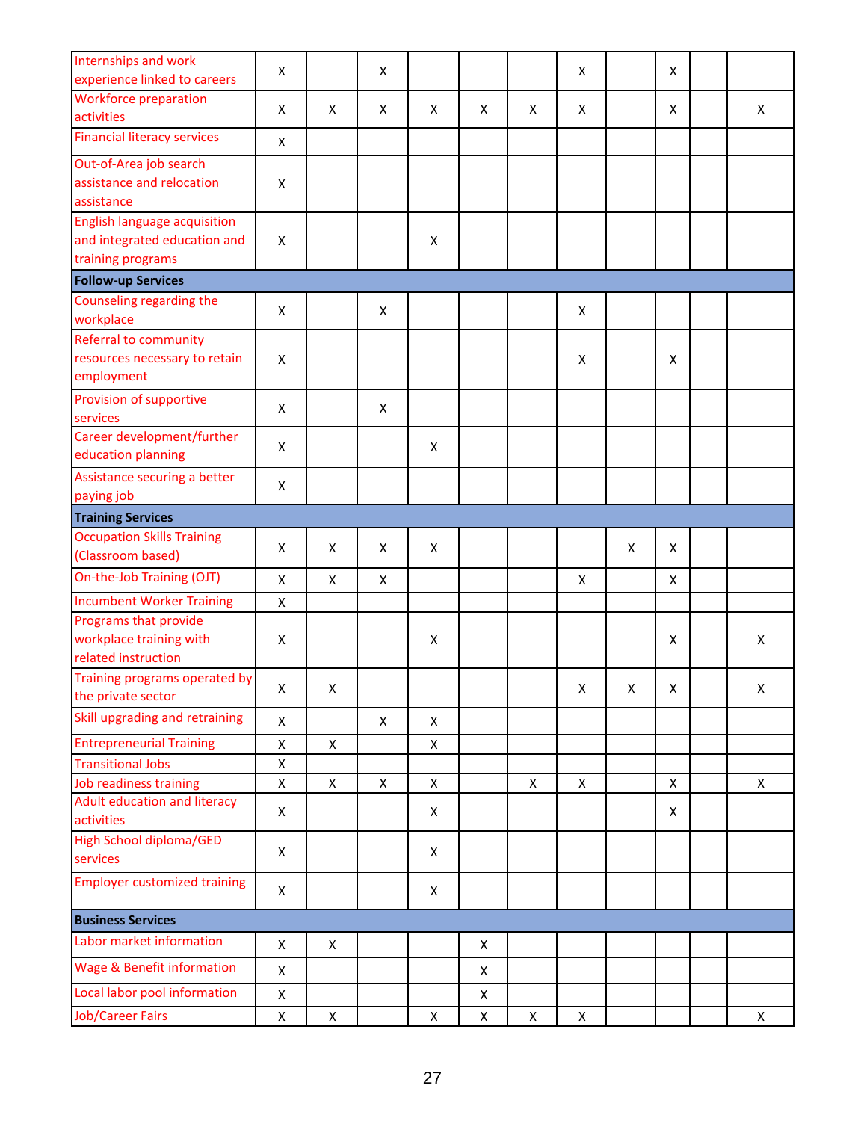| Internships and work                  | X            |                    | X |                    |   |   | X |   | X |   |
|---------------------------------------|--------------|--------------------|---|--------------------|---|---|---|---|---|---|
| experience linked to careers          |              |                    |   |                    |   |   |   |   |   |   |
| <b>Workforce preparation</b>          | X            | X                  | X | X                  | X | X | X |   | X | X |
| activities                            |              |                    |   |                    |   |   |   |   |   |   |
| <b>Financial literacy services</b>    | X            |                    |   |                    |   |   |   |   |   |   |
| Out-of-Area job search                |              |                    |   |                    |   |   |   |   |   |   |
| assistance and relocation             | X            |                    |   |                    |   |   |   |   |   |   |
| assistance                            |              |                    |   |                    |   |   |   |   |   |   |
| <b>English language acquisition</b>   |              |                    |   |                    |   |   |   |   |   |   |
| and integrated education and          | X            |                    |   | $\pmb{\mathsf{X}}$ |   |   |   |   |   |   |
| training programs                     |              |                    |   |                    |   |   |   |   |   |   |
| <b>Follow-up Services</b>             |              |                    |   |                    |   |   |   |   |   |   |
| Counseling regarding the              | X            |                    | X |                    |   |   | X |   |   |   |
| workplace                             |              |                    |   |                    |   |   |   |   |   |   |
| <b>Referral to community</b>          |              |                    |   |                    |   |   |   |   |   |   |
| resources necessary to retain         | X            |                    |   |                    |   |   | X |   | X |   |
| employment                            |              |                    |   |                    |   |   |   |   |   |   |
| Provision of supportive<br>services   | X            |                    | X |                    |   |   |   |   |   |   |
| Career development/further            |              |                    |   |                    |   |   |   |   |   |   |
| education planning                    | X            |                    |   | X                  |   |   |   |   |   |   |
| Assistance securing a better          | X            |                    |   |                    |   |   |   |   |   |   |
| paying job                            |              |                    |   |                    |   |   |   |   |   |   |
| <b>Training Services</b>              |              |                    |   |                    |   |   |   |   |   |   |
| <b>Occupation Skills Training</b>     | X            | X                  | X | X                  |   |   |   | X | X |   |
| (Classroom based)                     |              |                    |   |                    |   |   |   |   |   |   |
| On-the-Job Training (OJT)             | $\mathsf{X}$ | $\pmb{\mathsf{X}}$ | X |                    |   |   | X |   | X |   |
| <b>Incumbent Worker Training</b>      | $\mathsf{X}$ |                    |   |                    |   |   |   |   |   |   |
| Programs that provide                 |              |                    |   |                    |   |   |   |   |   |   |
| workplace training with               | X            |                    |   | X                  |   |   |   |   | X | X |
| related instruction                   |              |                    |   |                    |   |   |   |   |   |   |
| Training programs operated by         | X            | Х                  |   |                    |   |   | Χ | X | Χ | X |
| the private sector                    |              |                    |   |                    |   |   |   |   |   |   |
| Skill upgrading and retraining        | $\mathsf{X}$ |                    | X | X                  |   |   |   |   |   |   |
| <b>Entrepreneurial Training</b>       | $\mathsf{X}$ | $\pmb{\mathsf{X}}$ |   | X                  |   |   |   |   |   |   |
| <b>Transitional Jobs</b>              | $\mathsf{X}$ |                    |   |                    |   |   |   |   |   |   |
| Job readiness training                | $\mathsf X$  | X                  | X | X                  |   | X | X |   | X | X |
| Adult education and literacy          | $\mathsf{X}$ |                    |   | X                  |   |   |   |   | X |   |
| activities                            |              |                    |   |                    |   |   |   |   |   |   |
| <b>High School diploma/GED</b>        | X            |                    |   | X                  |   |   |   |   |   |   |
| services                              |              |                    |   |                    |   |   |   |   |   |   |
| <b>Employer customized training</b>   | $\mathsf{X}$ |                    |   | X                  |   |   |   |   |   |   |
| <b>Business Services</b>              |              |                    |   |                    |   |   |   |   |   |   |
| Labor market information              | $\mathsf{X}$ | X                  |   |                    | X |   |   |   |   |   |
| <b>Wage &amp; Benefit information</b> | $\mathsf X$  |                    |   |                    | X |   |   |   |   |   |
| Local labor pool information          | X            |                    |   |                    | X |   |   |   |   |   |
| <b>Job/Career Fairs</b>               | X            | $\pmb{\mathsf{X}}$ |   | Χ                  | X | X | X |   |   | X |
|                                       |              |                    |   |                    |   |   |   |   |   |   |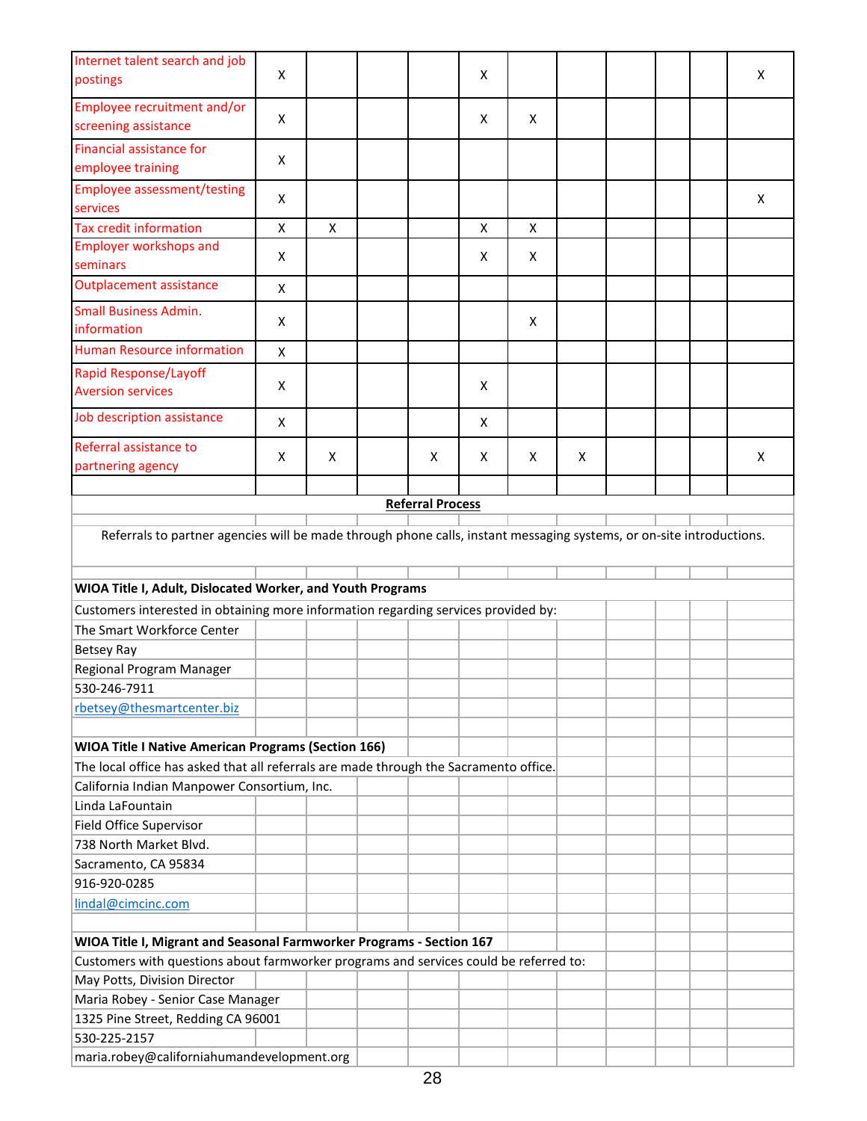| Internet talent search and job<br>postings                                                                           | X                  |   |                         | X |   |   |  | X |
|----------------------------------------------------------------------------------------------------------------------|--------------------|---|-------------------------|---|---|---|--|---|
| Employee recruitment and/or                                                                                          |                    |   |                         |   |   |   |  |   |
| screening assistance                                                                                                 | X                  |   |                         | x | X |   |  |   |
| Financial assistance for<br>employee training                                                                        | X                  |   |                         |   |   |   |  |   |
| <b>Employee assessment/testing</b><br>services                                                                       | X                  |   |                         |   |   |   |  | X |
| <b>Tax credit information</b>                                                                                        | X                  | X |                         | X | X |   |  |   |
| <b>Employer workshops and</b><br>seminars                                                                            | X                  |   |                         | x | X |   |  |   |
| <b>Outplacement assistance</b>                                                                                       | X                  |   |                         |   |   |   |  |   |
|                                                                                                                      |                    |   |                         |   |   |   |  |   |
| <b>Small Business Admin.</b><br>information                                                                          | X                  |   |                         |   | X |   |  |   |
| <b>Human Resource information</b>                                                                                    | $\pmb{\mathsf{X}}$ |   |                         |   |   |   |  |   |
| <b>Rapid Response/Layoff</b><br><b>Aversion services</b>                                                             | X                  |   |                         | X |   |   |  |   |
| Job description assistance                                                                                           | X                  |   |                         | X |   |   |  |   |
| Referral assistance to                                                                                               | X                  | X | X                       | X | X | X |  | X |
| partnering agency                                                                                                    |                    |   |                         |   |   |   |  |   |
|                                                                                                                      |                    |   |                         |   |   |   |  |   |
|                                                                                                                      |                    |   | <b>Referral Process</b> |   |   |   |  |   |
| Referrals to partner agencies will be made through phone calls, instant messaging systems, or on-site introductions. |                    |   |                         |   |   |   |  |   |
| WIOA Title I, Adult, Dislocated Worker, and Youth Programs                                                           |                    |   |                         |   |   |   |  |   |
| Customers interested in obtaining more information regarding services provided by:                                   |                    |   |                         |   |   |   |  |   |
| The Smart Workforce Center                                                                                           |                    |   |                         |   |   |   |  |   |
| <b>Betsey Ray</b>                                                                                                    |                    |   |                         |   |   |   |  |   |
| Regional Program Manager                                                                                             |                    |   |                         |   |   |   |  |   |
| 530-246-7911                                                                                                         |                    |   |                         |   |   |   |  |   |
| rbetsey@thesmartcenter.biz                                                                                           |                    |   |                         |   |   |   |  |   |
| <b>WIOA Title I Native American Programs (Section 166)</b>                                                           |                    |   |                         |   |   |   |  |   |
| The local office has asked that all referrals are made through the Sacramento office.                                |                    |   |                         |   |   |   |  |   |
| California Indian Manpower Consortium, Inc.                                                                          |                    |   |                         |   |   |   |  |   |
| Linda LaFountain                                                                                                     |                    |   |                         |   |   |   |  |   |
| Field Office Supervisor                                                                                              |                    |   |                         |   |   |   |  |   |
| 738 North Market Blvd.                                                                                               |                    |   |                         |   |   |   |  |   |
| Sacramento, CA 95834                                                                                                 |                    |   |                         |   |   |   |  |   |
| 916-920-0285                                                                                                         |                    |   |                         |   |   |   |  |   |
| lindal@cimcinc.com                                                                                                   |                    |   |                         |   |   |   |  |   |
|                                                                                                                      |                    |   |                         |   |   |   |  |   |
| WIOA Title I, Migrant and Seasonal Farmworker Programs - Section 167                                                 |                    |   |                         |   |   |   |  |   |
| Customers with questions about farmworker programs and services could be referred to:                                |                    |   |                         |   |   |   |  |   |
| May Potts, Division Director                                                                                         |                    |   |                         |   |   |   |  |   |
| Maria Robey - Senior Case Manager                                                                                    |                    |   |                         |   |   |   |  |   |
| 1325 Pine Street, Redding CA 96001                                                                                   |                    |   |                         |   |   |   |  |   |
| 530-225-2157                                                                                                         |                    |   |                         |   |   |   |  |   |
| maria.robey@californiahumandevelopment.org                                                                           |                    |   |                         |   |   |   |  |   |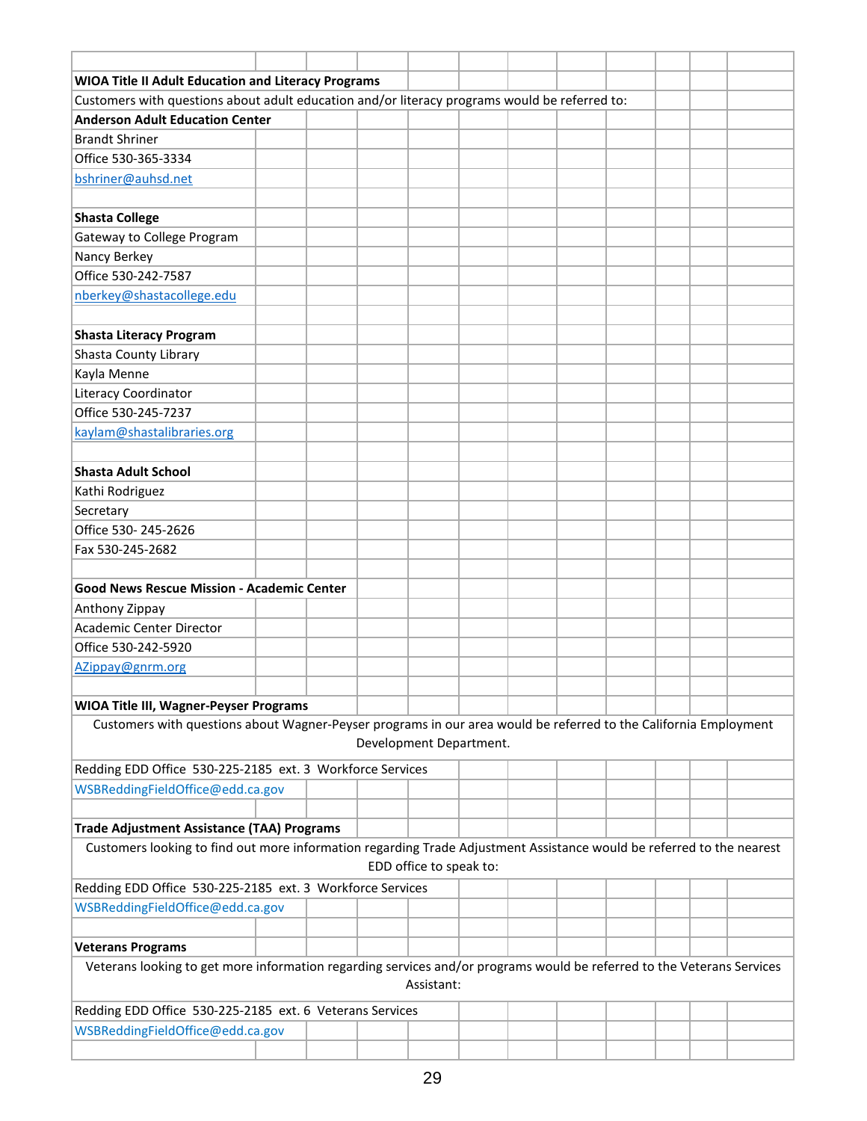| <b>WIOA Title II Adult Education and Literacy Programs</b>                                                             |  |                         |                         |  |  |  |
|------------------------------------------------------------------------------------------------------------------------|--|-------------------------|-------------------------|--|--|--|
| Customers with questions about adult education and/or literacy programs would be referred to:                          |  |                         |                         |  |  |  |
| <b>Anderson Adult Education Center</b>                                                                                 |  |                         |                         |  |  |  |
| <b>Brandt Shriner</b>                                                                                                  |  |                         |                         |  |  |  |
| Office 530-365-3334                                                                                                    |  |                         |                         |  |  |  |
| bshriner@auhsd.net                                                                                                     |  |                         |                         |  |  |  |
|                                                                                                                        |  |                         |                         |  |  |  |
|                                                                                                                        |  |                         |                         |  |  |  |
| <b>Shasta College</b>                                                                                                  |  |                         |                         |  |  |  |
| Gateway to College Program                                                                                             |  |                         |                         |  |  |  |
| Nancy Berkey                                                                                                           |  |                         |                         |  |  |  |
| Office 530-242-7587                                                                                                    |  |                         |                         |  |  |  |
| nberkey@shastacollege.edu                                                                                              |  |                         |                         |  |  |  |
|                                                                                                                        |  |                         |                         |  |  |  |
| <b>Shasta Literacy Program</b>                                                                                         |  |                         |                         |  |  |  |
| Shasta County Library                                                                                                  |  |                         |                         |  |  |  |
| Kayla Menne                                                                                                            |  |                         |                         |  |  |  |
| Literacy Coordinator                                                                                                   |  |                         |                         |  |  |  |
| Office 530-245-7237                                                                                                    |  |                         |                         |  |  |  |
| kaylam@shastalibraries.org                                                                                             |  |                         |                         |  |  |  |
|                                                                                                                        |  |                         |                         |  |  |  |
| <b>Shasta Adult School</b>                                                                                             |  |                         |                         |  |  |  |
| Kathi Rodriguez                                                                                                        |  |                         |                         |  |  |  |
| Secretary                                                                                                              |  |                         |                         |  |  |  |
| Office 530-245-2626                                                                                                    |  |                         |                         |  |  |  |
| Fax 530-245-2682                                                                                                       |  |                         |                         |  |  |  |
|                                                                                                                        |  |                         |                         |  |  |  |
| <b>Good News Rescue Mission - Academic Center</b>                                                                      |  |                         |                         |  |  |  |
| Anthony Zippay                                                                                                         |  |                         |                         |  |  |  |
| <b>Academic Center Director</b>                                                                                        |  |                         |                         |  |  |  |
| Office 530-242-5920                                                                                                    |  |                         |                         |  |  |  |
| AZippay@gnrm.org                                                                                                       |  |                         |                         |  |  |  |
|                                                                                                                        |  |                         |                         |  |  |  |
| <b>WIOA Title III, Wagner-Peyser Programs</b>                                                                          |  |                         |                         |  |  |  |
| Customers with questions about Wagner-Peyser programs in our area would be referred to the California Employment       |  |                         |                         |  |  |  |
|                                                                                                                        |  |                         | Development Department. |  |  |  |
| Redding EDD Office 530-225-2185 ext. 3 Workforce Services                                                              |  |                         |                         |  |  |  |
| WSBReddingFieldOffice@edd.ca.gov                                                                                       |  |                         |                         |  |  |  |
|                                                                                                                        |  |                         |                         |  |  |  |
| <b>Trade Adjustment Assistance (TAA) Programs</b>                                                                      |  |                         |                         |  |  |  |
| Customers looking to find out more information regarding Trade Adjustment Assistance would be referred to the nearest  |  |                         |                         |  |  |  |
|                                                                                                                        |  | EDD office to speak to: |                         |  |  |  |
|                                                                                                                        |  |                         |                         |  |  |  |
| Redding EDD Office 530-225-2185 ext. 3 Workforce Services                                                              |  |                         |                         |  |  |  |
| WSBReddingFieldOffice@edd.ca.gov                                                                                       |  |                         |                         |  |  |  |
|                                                                                                                        |  |                         |                         |  |  |  |
| <b>Veterans Programs</b>                                                                                               |  |                         |                         |  |  |  |
| Veterans looking to get more information regarding services and/or programs would be referred to the Veterans Services |  |                         |                         |  |  |  |
|                                                                                                                        |  | Assistant:              |                         |  |  |  |
| Redding EDD Office 530-225-2185 ext. 6 Veterans Services                                                               |  |                         |                         |  |  |  |
| WSBReddingFieldOffice@edd.ca.gov                                                                                       |  |                         |                         |  |  |  |
|                                                                                                                        |  |                         |                         |  |  |  |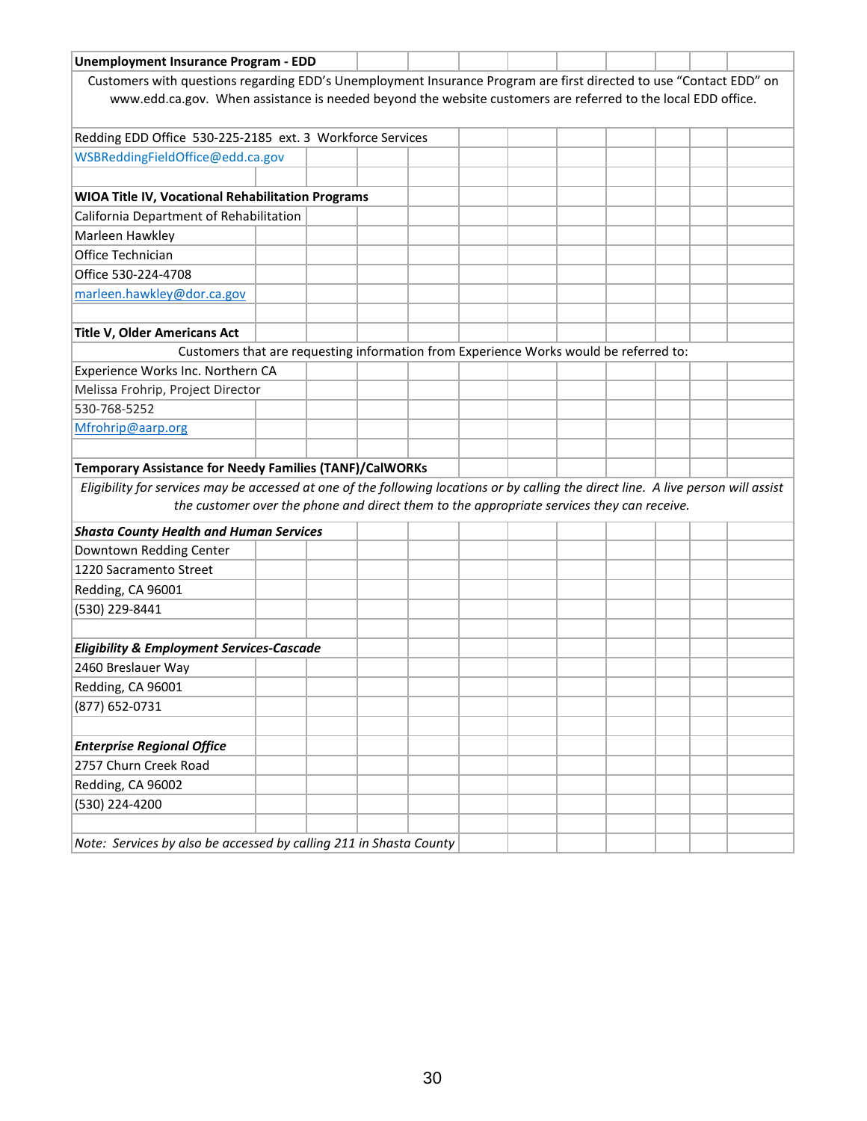| <b>Unemployment Insurance Program - EDD</b>                                                                                         |                                                                                                                    |  |  |  |  |  |  |  |  |  |  |  |
|-------------------------------------------------------------------------------------------------------------------------------------|--------------------------------------------------------------------------------------------------------------------|--|--|--|--|--|--|--|--|--|--|--|
|                                                                                                                                     | Customers with questions regarding EDD's Unemployment Insurance Program are first directed to use "Contact EDD" on |  |  |  |  |  |  |  |  |  |  |  |
| www.edd.ca.gov. When assistance is needed beyond the website customers are referred to the local EDD office.                        |                                                                                                                    |  |  |  |  |  |  |  |  |  |  |  |
|                                                                                                                                     |                                                                                                                    |  |  |  |  |  |  |  |  |  |  |  |
| Redding EDD Office 530-225-2185 ext. 3 Workforce Services                                                                           |                                                                                                                    |  |  |  |  |  |  |  |  |  |  |  |
| WSBReddingFieldOffice@edd.ca.gov                                                                                                    |                                                                                                                    |  |  |  |  |  |  |  |  |  |  |  |
|                                                                                                                                     |                                                                                                                    |  |  |  |  |  |  |  |  |  |  |  |
| <b>WIOA Title IV, Vocational Rehabilitation Programs</b>                                                                            |                                                                                                                    |  |  |  |  |  |  |  |  |  |  |  |
| California Department of Rehabilitation                                                                                             |                                                                                                                    |  |  |  |  |  |  |  |  |  |  |  |
| Marleen Hawkley                                                                                                                     |                                                                                                                    |  |  |  |  |  |  |  |  |  |  |  |
| Office Technician                                                                                                                   |                                                                                                                    |  |  |  |  |  |  |  |  |  |  |  |
| Office 530-224-4708                                                                                                                 |                                                                                                                    |  |  |  |  |  |  |  |  |  |  |  |
| marleen.hawkley@dor.ca.gov                                                                                                          |                                                                                                                    |  |  |  |  |  |  |  |  |  |  |  |
|                                                                                                                                     |                                                                                                                    |  |  |  |  |  |  |  |  |  |  |  |
| <b>Title V, Older Americans Act</b>                                                                                                 |                                                                                                                    |  |  |  |  |  |  |  |  |  |  |  |
| Customers that are requesting information from Experience Works would be referred to:                                               |                                                                                                                    |  |  |  |  |  |  |  |  |  |  |  |
| Experience Works Inc. Northern CA                                                                                                   |                                                                                                                    |  |  |  |  |  |  |  |  |  |  |  |
| Melissa Frohrip, Project Director                                                                                                   |                                                                                                                    |  |  |  |  |  |  |  |  |  |  |  |
| 530-768-5252                                                                                                                        |                                                                                                                    |  |  |  |  |  |  |  |  |  |  |  |
| Mfrohrip@aarp.org                                                                                                                   |                                                                                                                    |  |  |  |  |  |  |  |  |  |  |  |
|                                                                                                                                     |                                                                                                                    |  |  |  |  |  |  |  |  |  |  |  |
| <b>Temporary Assistance for Needy Families (TANF)/CalWORKs</b>                                                                      |                                                                                                                    |  |  |  |  |  |  |  |  |  |  |  |
| Eligibility for services may be accessed at one of the following locations or by calling the direct line. A live person will assist |                                                                                                                    |  |  |  |  |  |  |  |  |  |  |  |
| the customer over the phone and direct them to the appropriate services they can receive.                                           |                                                                                                                    |  |  |  |  |  |  |  |  |  |  |  |
| <b>Shasta County Health and Human Services</b>                                                                                      |                                                                                                                    |  |  |  |  |  |  |  |  |  |  |  |
| Downtown Redding Center                                                                                                             |                                                                                                                    |  |  |  |  |  |  |  |  |  |  |  |
| 1220 Sacramento Street                                                                                                              |                                                                                                                    |  |  |  |  |  |  |  |  |  |  |  |
| Redding, CA 96001                                                                                                                   |                                                                                                                    |  |  |  |  |  |  |  |  |  |  |  |
| (530) 229-8441                                                                                                                      |                                                                                                                    |  |  |  |  |  |  |  |  |  |  |  |
|                                                                                                                                     |                                                                                                                    |  |  |  |  |  |  |  |  |  |  |  |
| <b>Eligibility &amp; Employment Services-Cascade</b>                                                                                |                                                                                                                    |  |  |  |  |  |  |  |  |  |  |  |
| 2460 Breslauer Way                                                                                                                  |                                                                                                                    |  |  |  |  |  |  |  |  |  |  |  |
| Redding, CA 96001                                                                                                                   |                                                                                                                    |  |  |  |  |  |  |  |  |  |  |  |
| (877) 652-0731                                                                                                                      |                                                                                                                    |  |  |  |  |  |  |  |  |  |  |  |
|                                                                                                                                     |                                                                                                                    |  |  |  |  |  |  |  |  |  |  |  |
| <b>Enterprise Regional Office</b>                                                                                                   |                                                                                                                    |  |  |  |  |  |  |  |  |  |  |  |
| 2757 Churn Creek Road                                                                                                               |                                                                                                                    |  |  |  |  |  |  |  |  |  |  |  |
| Redding, CA 96002                                                                                                                   |                                                                                                                    |  |  |  |  |  |  |  |  |  |  |  |
| (530) 224-4200                                                                                                                      |                                                                                                                    |  |  |  |  |  |  |  |  |  |  |  |
|                                                                                                                                     |                                                                                                                    |  |  |  |  |  |  |  |  |  |  |  |
| Note: Services by also be accessed by calling 211 in Shasta County                                                                  |                                                                                                                    |  |  |  |  |  |  |  |  |  |  |  |
|                                                                                                                                     |                                                                                                                    |  |  |  |  |  |  |  |  |  |  |  |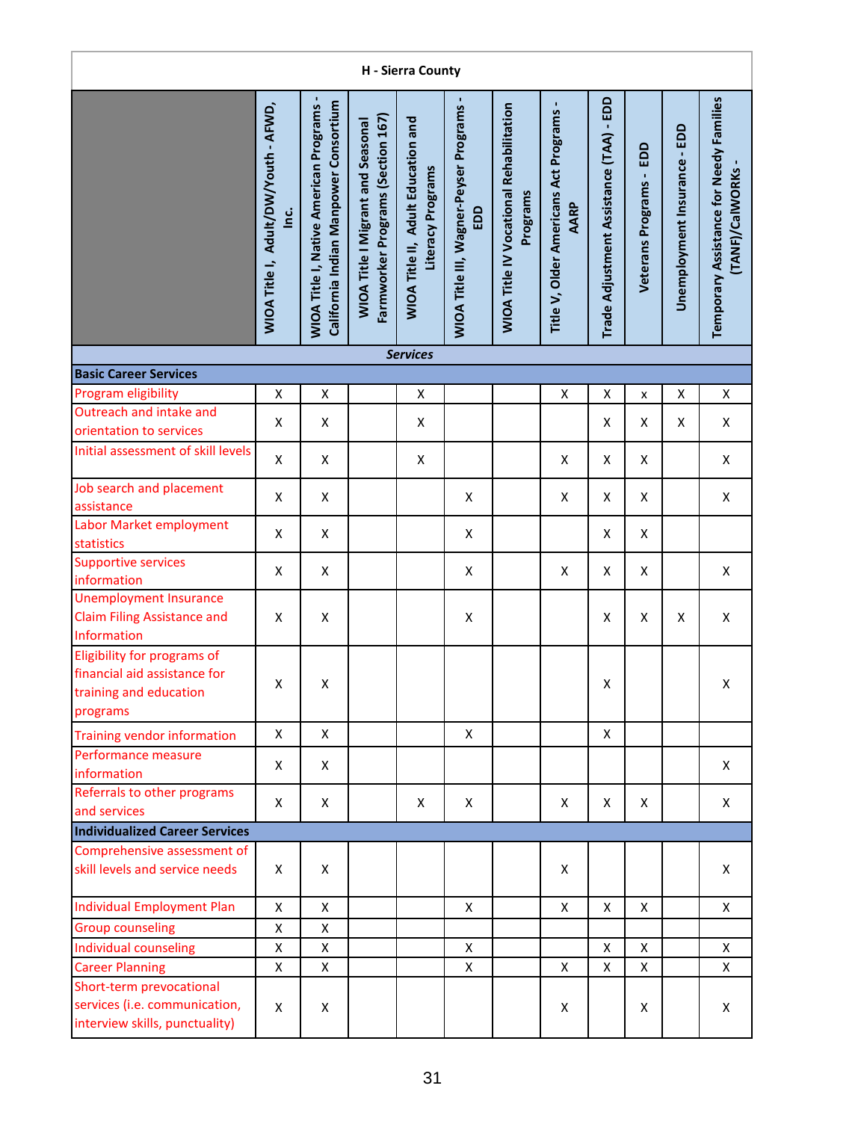| H - Sierra County                                                                                 |                                                     |                                                                                          |                                                                               |                                                                |                                               |                                                            |                                                 |                                         |                           |                              |                                                            |  |  |
|---------------------------------------------------------------------------------------------------|-----------------------------------------------------|------------------------------------------------------------------------------------------|-------------------------------------------------------------------------------|----------------------------------------------------------------|-----------------------------------------------|------------------------------------------------------------|-------------------------------------------------|-----------------------------------------|---------------------------|------------------------------|------------------------------------------------------------|--|--|
|                                                                                                   | WIOA Title I, Adult/DW/Youth - AFWD,<br><u>inc.</u> | <b>WIOA Title I, Native American Programs -</b><br>California Indian Manpower Consortium | Farmworker Programs (Section 167)<br><b>WIOA Title I Migrant and Seasonal</b> | <b>WIOA Title II, Adult Education and</b><br>Literacy Programs | WIOA Title III, Wagner-Peyser Programs<br>EDD | <b>WIOA Title IV Vocational Rehabilitation</b><br>Programs | Title V, Older Americans Act Programs -<br>AARP | Trade Adjustment Assistance (TAA) - EDD | EDD<br>Veterans Programs- | Unemployment Insurance - EDD | Temporary Assistance for Needy Families<br>(TANF)/CalWORKs |  |  |
|                                                                                                   |                                                     |                                                                                          |                                                                               | <b>Services</b>                                                |                                               |                                                            |                                                 |                                         |                           |                              |                                                            |  |  |
| <b>Basic Career Services</b>                                                                      |                                                     |                                                                                          |                                                                               |                                                                |                                               |                                                            |                                                 |                                         |                           |                              |                                                            |  |  |
| Program eligibility                                                                               | Χ                                                   | Χ                                                                                        |                                                                               | Χ                                                              |                                               |                                                            | X                                               | Χ                                       | x                         | X                            | X                                                          |  |  |
| Outreach and intake and                                                                           | X                                                   | X                                                                                        |                                                                               | Χ                                                              |                                               |                                                            |                                                 | Χ                                       | X                         | Χ                            | X                                                          |  |  |
| orientation to services<br>Initial assessment of skill levels                                     | X                                                   | $\pmb{\mathsf{X}}$                                                                       |                                                                               | Χ                                                              |                                               |                                                            | X                                               | X                                       | Χ                         |                              | X                                                          |  |  |
|                                                                                                   |                                                     |                                                                                          |                                                                               |                                                                |                                               |                                                            |                                                 |                                         |                           |                              |                                                            |  |  |
| Job search and placement<br>assistance                                                            | X                                                   | X                                                                                        |                                                                               |                                                                | X                                             |                                                            | X                                               | X                                       | X                         |                              | X                                                          |  |  |
| Labor Market employment<br>statistics                                                             | X                                                   | $\pmb{\mathsf{X}}$                                                                       |                                                                               |                                                                | X                                             |                                                            |                                                 | X                                       | X                         |                              |                                                            |  |  |
| Supportive services<br>information                                                                | X                                                   | Χ                                                                                        |                                                                               |                                                                | Χ                                             |                                                            | X                                               | X                                       | X                         |                              | X                                                          |  |  |
| <b>Unemployment Insurance</b><br><b>Claim Filing Assistance and</b><br>Information                | X                                                   | Χ                                                                                        |                                                                               |                                                                | Χ                                             |                                                            |                                                 | X                                       | X                         | X                            | $\pmb{\mathsf{X}}$                                         |  |  |
| Eligibility for programs of<br>financial aid assistance for<br>training and education<br>programs | Χ                                                   | Χ                                                                                        |                                                                               |                                                                |                                               |                                                            |                                                 | X                                       |                           |                              | X                                                          |  |  |
| <b>Training vendor information</b>                                                                | Χ                                                   | X                                                                                        |                                                                               |                                                                | X                                             |                                                            |                                                 | X                                       |                           |                              |                                                            |  |  |
| Performance measure<br>information                                                                | Χ                                                   | X                                                                                        |                                                                               |                                                                |                                               |                                                            |                                                 |                                         |                           |                              | X                                                          |  |  |
| Referrals to other programs<br>and services                                                       | X                                                   | X                                                                                        |                                                                               | X                                                              | X                                             |                                                            | X                                               | X                                       | X                         |                              | X                                                          |  |  |
| <b>Individualized Career Services</b>                                                             |                                                     |                                                                                          |                                                                               |                                                                |                                               |                                                            |                                                 |                                         |                           |                              |                                                            |  |  |
| Comprehensive assessment of<br>skill levels and service needs                                     | X                                                   | X                                                                                        |                                                                               |                                                                |                                               |                                                            | X                                               |                                         |                           |                              | X                                                          |  |  |
| <b>Individual Employment Plan</b>                                                                 | $\pmb{\mathsf{X}}$                                  | X                                                                                        |                                                                               |                                                                | X                                             |                                                            | X                                               | X                                       | X                         |                              | X                                                          |  |  |
| <b>Group counseling</b>                                                                           | $\pmb{\mathsf{X}}$                                  | X                                                                                        |                                                                               |                                                                |                                               |                                                            |                                                 |                                         |                           |                              |                                                            |  |  |
| Individual counseling                                                                             | Χ                                                   | X                                                                                        |                                                                               |                                                                | X                                             |                                                            |                                                 | X                                       | X                         |                              | X                                                          |  |  |
| <b>Career Planning</b>                                                                            | Χ                                                   | Χ                                                                                        |                                                                               |                                                                | Χ                                             |                                                            | X                                               | X                                       | X                         |                              | X                                                          |  |  |
| Short-term prevocational<br>services (i.e. communication,<br>interview skills, punctuality)       | X                                                   | X                                                                                        |                                                                               |                                                                |                                               |                                                            | Χ                                               |                                         | Χ                         |                              | X                                                          |  |  |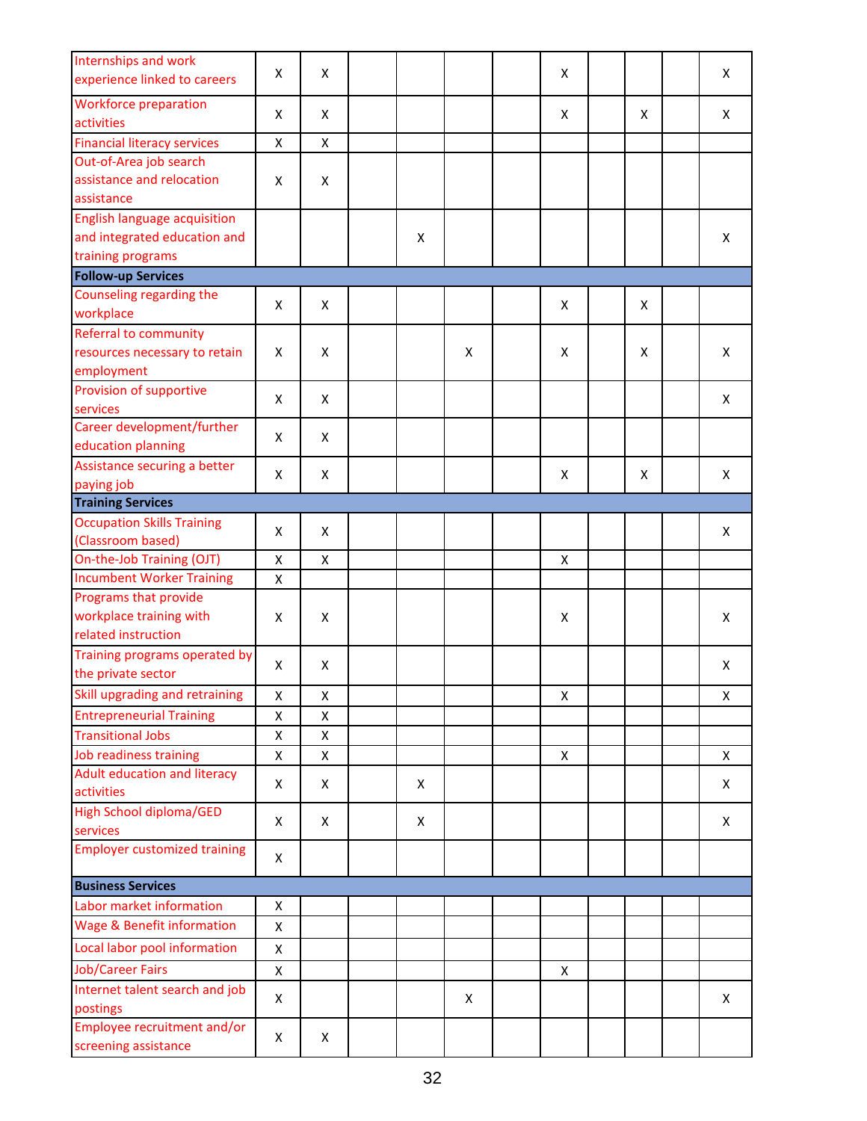| Internships and work<br>experience linked to careers | X | X |   |   | X |   | X |
|------------------------------------------------------|---|---|---|---|---|---|---|
| <b>Workforce preparation</b>                         |   |   |   |   |   |   |   |
| activities                                           | X | X |   |   | X | X | X |
| <b>Financial literacy services</b>                   | X | X |   |   |   |   |   |
| Out-of-Area job search                               |   |   |   |   |   |   |   |
| assistance and relocation                            | X | X |   |   |   |   |   |
| assistance                                           |   |   |   |   |   |   |   |
| <b>English language acquisition</b>                  |   |   |   |   |   |   |   |
| and integrated education and                         |   |   | X |   |   |   | X |
| training programs                                    |   |   |   |   |   |   |   |
| <b>Follow-up Services</b>                            |   |   |   |   |   |   |   |
| Counseling regarding the                             |   |   |   |   |   |   |   |
| workplace                                            | X | X |   |   | X | X |   |
| Referral to community                                |   |   |   |   |   |   |   |
| resources necessary to retain                        | X | X |   | X | X |   | X |
|                                                      |   |   |   |   |   | X |   |
| employment                                           |   |   |   |   |   |   |   |
| Provision of supportive                              | X | X |   |   |   |   | X |
| services                                             |   |   |   |   |   |   |   |
| Career development/further                           | X | X |   |   |   |   |   |
| education planning                                   |   |   |   |   |   |   |   |
| Assistance securing a better                         | X | X |   |   | X | X | X |
| paying job                                           |   |   |   |   |   |   |   |
| <b>Training Services</b>                             |   |   |   |   |   |   |   |
| <b>Occupation Skills Training</b>                    | X | X |   |   |   |   | X |
| (Classroom based)                                    |   |   |   |   |   |   |   |
| On-the-Job Training (OJT)                            | X | X |   |   | X |   |   |
| <b>Incumbent Worker Training</b>                     | X |   |   |   |   |   |   |
| Programs that provide                                |   |   |   |   |   |   |   |
| workplace training with                              | X | X |   |   | X |   | X |
| related instruction                                  |   |   |   |   |   |   |   |
| Training programs operated by                        | X | X |   |   |   |   | Χ |
| the private sector                                   |   |   |   |   |   |   |   |
| Skill upgrading and retraining                       | X | X |   |   | X |   | Χ |
| <b>Entrepreneurial Training</b>                      | X | X |   |   |   |   |   |
| <b>Transitional Jobs</b>                             | X | X |   |   |   |   |   |
| Job readiness training                               | X | X |   |   | Χ |   | Χ |
| Adult education and literacy                         | X | X | X |   |   |   | X |
| activities                                           |   |   |   |   |   |   |   |
| <b>High School diploma/GED</b>                       | X | X | X |   |   |   | X |
| services                                             |   |   |   |   |   |   |   |
| <b>Employer customized training</b>                  | X |   |   |   |   |   |   |
|                                                      |   |   |   |   |   |   |   |
| <b>Business Services</b>                             |   |   |   |   |   |   |   |
| Labor market information                             | X |   |   |   |   |   |   |
| <b>Wage &amp; Benefit information</b>                | X |   |   |   |   |   |   |
| Local labor pool information                         | X |   |   |   |   |   |   |
| <b>Job/Career Fairs</b>                              | X |   |   |   | X |   |   |
| Internet talent search and job                       | X |   |   | X |   |   | Χ |
| postings                                             |   |   |   |   |   |   |   |
| Employee recruitment and/or                          |   |   |   |   |   |   |   |
| screening assistance                                 | X | X |   |   |   |   |   |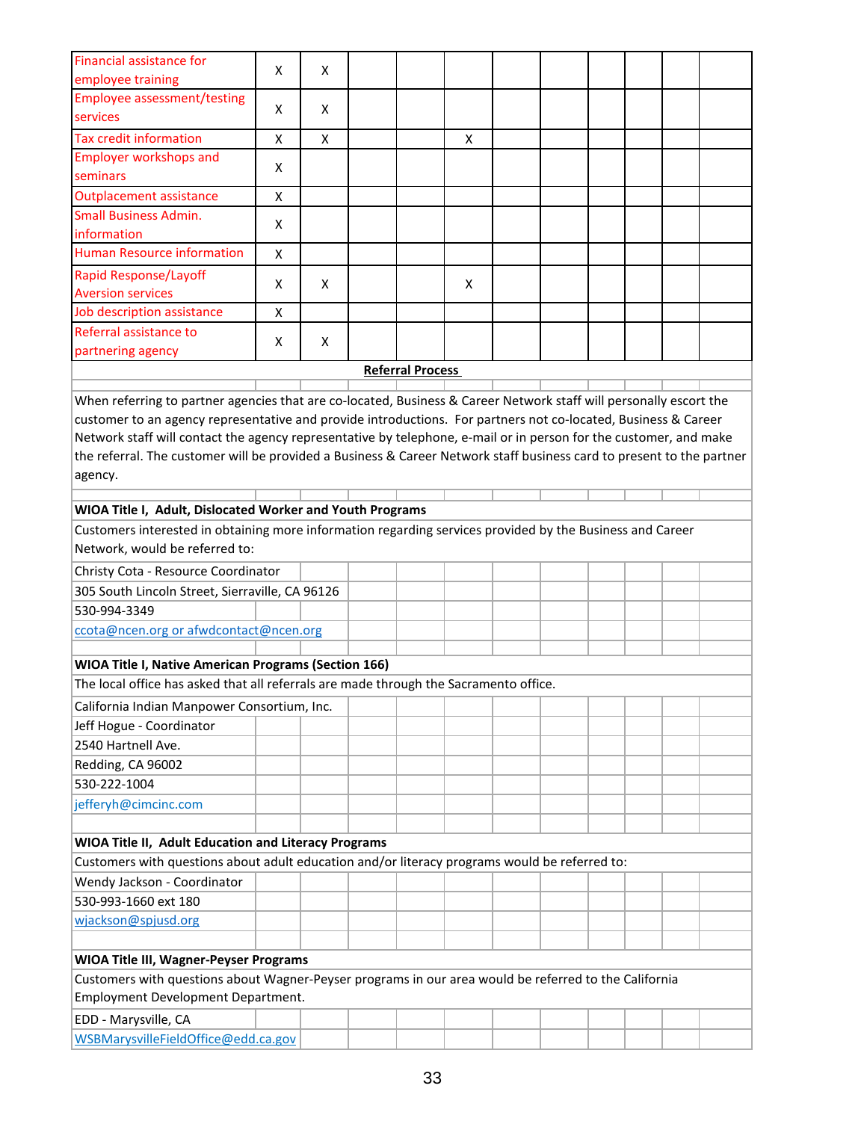| Financial assistance for                                                                                              | X | X |                         |   |  |  |  |
|-----------------------------------------------------------------------------------------------------------------------|---|---|-------------------------|---|--|--|--|
| employee training                                                                                                     |   |   |                         |   |  |  |  |
| <b>Employee assessment/testing</b><br>services                                                                        | X | X |                         |   |  |  |  |
| <b>Tax credit information</b>                                                                                         | X | X |                         | X |  |  |  |
| <b>Employer workshops and</b>                                                                                         |   |   |                         |   |  |  |  |
| seminars                                                                                                              | X |   |                         |   |  |  |  |
| <b>Outplacement assistance</b>                                                                                        | X |   |                         |   |  |  |  |
| <b>Small Business Admin.</b>                                                                                          |   |   |                         |   |  |  |  |
| information                                                                                                           | X |   |                         |   |  |  |  |
| <b>Human Resource information</b>                                                                                     | X |   |                         |   |  |  |  |
| Rapid Response/Layoff                                                                                                 | X | X |                         | X |  |  |  |
| <b>Aversion services</b>                                                                                              |   |   |                         |   |  |  |  |
| Job description assistance                                                                                            | X |   |                         |   |  |  |  |
| Referral assistance to                                                                                                | X | X |                         |   |  |  |  |
| partnering agency                                                                                                     |   |   |                         |   |  |  |  |
|                                                                                                                       |   |   | <b>Referral Process</b> |   |  |  |  |
| When referring to partner agencies that are co-located, Business & Career Network staff will personally escort the    |   |   |                         |   |  |  |  |
| customer to an agency representative and provide introductions. For partners not co-located, Business & Career        |   |   |                         |   |  |  |  |
| Network staff will contact the agency representative by telephone, e-mail or in person for the customer, and make     |   |   |                         |   |  |  |  |
| the referral. The customer will be provided a Business & Career Network staff business card to present to the partner |   |   |                         |   |  |  |  |
| agency.                                                                                                               |   |   |                         |   |  |  |  |
|                                                                                                                       |   |   |                         |   |  |  |  |
| WIOA Title I, Adult, Dislocated Worker and Youth Programs                                                             |   |   |                         |   |  |  |  |
| Customers interested in obtaining more information regarding services provided by the Business and Career             |   |   |                         |   |  |  |  |
| Network, would be referred to:                                                                                        |   |   |                         |   |  |  |  |
| Christy Cota - Resource Coordinator                                                                                   |   |   |                         |   |  |  |  |
| 305 South Lincoln Street, Sierraville, CA 96126                                                                       |   |   |                         |   |  |  |  |
| 530-994-3349                                                                                                          |   |   |                         |   |  |  |  |
| ccota@ncen.org or afwdcontact@ncen.org                                                                                |   |   |                         |   |  |  |  |
|                                                                                                                       |   |   |                         |   |  |  |  |
| WIOA Title I, Native American Programs (Section 166)                                                                  |   |   |                         |   |  |  |  |
| The local office has asked that all referrals are made through the Sacramento office.                                 |   |   |                         |   |  |  |  |
| California Indian Manpower Consortium, Inc.                                                                           |   |   |                         |   |  |  |  |
| Jeff Hogue - Coordinator                                                                                              |   |   |                         |   |  |  |  |
| 2540 Hartnell Ave.                                                                                                    |   |   |                         |   |  |  |  |
| Redding, CA 96002                                                                                                     |   |   |                         |   |  |  |  |
| 530-222-1004                                                                                                          |   |   |                         |   |  |  |  |
| jefferyh@cimcinc.com                                                                                                  |   |   |                         |   |  |  |  |
|                                                                                                                       |   |   |                         |   |  |  |  |
| WIOA Title II, Adult Education and Literacy Programs                                                                  |   |   |                         |   |  |  |  |
| Customers with questions about adult education and/or literacy programs would be referred to:                         |   |   |                         |   |  |  |  |
| Wendy Jackson - Coordinator                                                                                           |   |   |                         |   |  |  |  |
| 530-993-1660 ext 180                                                                                                  |   |   |                         |   |  |  |  |
| wjackson@spjusd.org                                                                                                   |   |   |                         |   |  |  |  |
|                                                                                                                       |   |   |                         |   |  |  |  |
| <b>WIOA Title III, Wagner-Peyser Programs</b>                                                                         |   |   |                         |   |  |  |  |
| Customers with questions about Wagner-Peyser programs in our area would be referred to the California                 |   |   |                         |   |  |  |  |
| Employment Development Department.                                                                                    |   |   |                         |   |  |  |  |
| EDD - Marysville, CA                                                                                                  |   |   |                         |   |  |  |  |
| WSBMarysvilleFieldOffice@edd.ca.gov                                                                                   |   |   |                         |   |  |  |  |
|                                                                                                                       |   |   |                         |   |  |  |  |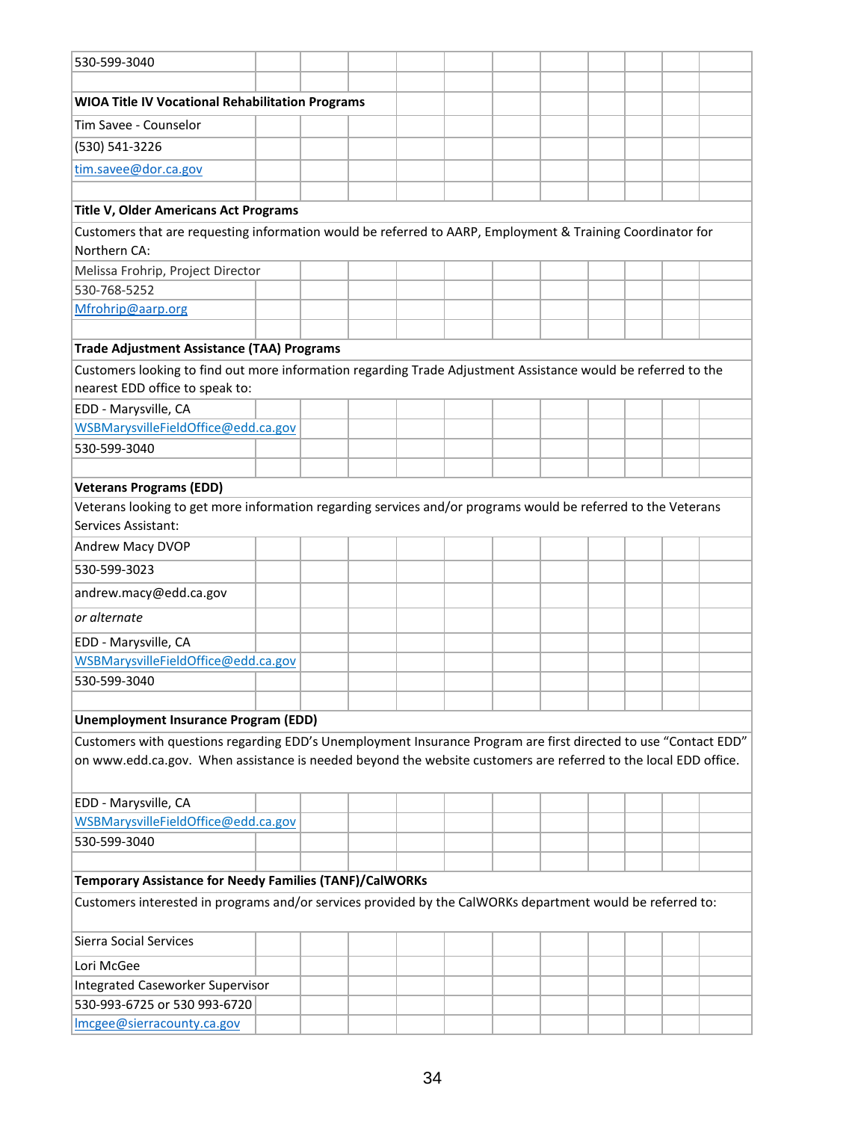| 530-599-3040                                                                                                                         |                                                                                                            |  |  |  |  |  |  |  |  |  |  |  |
|--------------------------------------------------------------------------------------------------------------------------------------|------------------------------------------------------------------------------------------------------------|--|--|--|--|--|--|--|--|--|--|--|
|                                                                                                                                      |                                                                                                            |  |  |  |  |  |  |  |  |  |  |  |
| <b>WIOA Title IV Vocational Rehabilitation Programs</b>                                                                              |                                                                                                            |  |  |  |  |  |  |  |  |  |  |  |
| Tim Savee - Counselor                                                                                                                |                                                                                                            |  |  |  |  |  |  |  |  |  |  |  |
| (530) 541-3226                                                                                                                       |                                                                                                            |  |  |  |  |  |  |  |  |  |  |  |
| tim.savee@dor.ca.gov                                                                                                                 |                                                                                                            |  |  |  |  |  |  |  |  |  |  |  |
|                                                                                                                                      |                                                                                                            |  |  |  |  |  |  |  |  |  |  |  |
| <b>Title V, Older Americans Act Programs</b>                                                                                         |                                                                                                            |  |  |  |  |  |  |  |  |  |  |  |
| Customers that are requesting information would be referred to AARP, Employment & Training Coordinator for                           |                                                                                                            |  |  |  |  |  |  |  |  |  |  |  |
| Northern CA:                                                                                                                         |                                                                                                            |  |  |  |  |  |  |  |  |  |  |  |
| Melissa Frohrip, Project Director                                                                                                    |                                                                                                            |  |  |  |  |  |  |  |  |  |  |  |
| 530-768-5252                                                                                                                         |                                                                                                            |  |  |  |  |  |  |  |  |  |  |  |
| Mfrohrip@aarp.org                                                                                                                    |                                                                                                            |  |  |  |  |  |  |  |  |  |  |  |
|                                                                                                                                      |                                                                                                            |  |  |  |  |  |  |  |  |  |  |  |
| <b>Trade Adjustment Assistance (TAA) Programs</b>                                                                                    |                                                                                                            |  |  |  |  |  |  |  |  |  |  |  |
| Customers looking to find out more information regarding Trade Adjustment Assistance would be referred to the                        |                                                                                                            |  |  |  |  |  |  |  |  |  |  |  |
| nearest EDD office to speak to:                                                                                                      |                                                                                                            |  |  |  |  |  |  |  |  |  |  |  |
| EDD - Marysville, CA                                                                                                                 |                                                                                                            |  |  |  |  |  |  |  |  |  |  |  |
| WSBMarysvilleFieldOffice@edd.ca.gov                                                                                                  |                                                                                                            |  |  |  |  |  |  |  |  |  |  |  |
| 530-599-3040                                                                                                                         |                                                                                                            |  |  |  |  |  |  |  |  |  |  |  |
|                                                                                                                                      |                                                                                                            |  |  |  |  |  |  |  |  |  |  |  |
| <b>Veterans Programs (EDD)</b>                                                                                                       |                                                                                                            |  |  |  |  |  |  |  |  |  |  |  |
| Veterans looking to get more information regarding services and/or programs would be referred to the Veterans<br>Services Assistant: |                                                                                                            |  |  |  |  |  |  |  |  |  |  |  |
| Andrew Macy DVOP                                                                                                                     |                                                                                                            |  |  |  |  |  |  |  |  |  |  |  |
| 530-599-3023                                                                                                                         |                                                                                                            |  |  |  |  |  |  |  |  |  |  |  |
| andrew.macy@edd.ca.gov                                                                                                               |                                                                                                            |  |  |  |  |  |  |  |  |  |  |  |
| or alternate                                                                                                                         |                                                                                                            |  |  |  |  |  |  |  |  |  |  |  |
| EDD - Marysville, CA                                                                                                                 |                                                                                                            |  |  |  |  |  |  |  |  |  |  |  |
| WSBMarysvilleFieldOffice@edd.ca.gov                                                                                                  |                                                                                                            |  |  |  |  |  |  |  |  |  |  |  |
| 530-599-3040                                                                                                                         |                                                                                                            |  |  |  |  |  |  |  |  |  |  |  |
|                                                                                                                                      |                                                                                                            |  |  |  |  |  |  |  |  |  |  |  |
| <b>Unemployment Insurance Program (EDD)</b>                                                                                          |                                                                                                            |  |  |  |  |  |  |  |  |  |  |  |
| Customers with questions regarding EDD's Unemployment Insurance Program are first directed to use "Contact EDD"                      |                                                                                                            |  |  |  |  |  |  |  |  |  |  |  |
| on www.edd.ca.gov. When assistance is needed beyond the website customers are referred to the local EDD office.                      |                                                                                                            |  |  |  |  |  |  |  |  |  |  |  |
|                                                                                                                                      |                                                                                                            |  |  |  |  |  |  |  |  |  |  |  |
| EDD - Marysville, CA                                                                                                                 |                                                                                                            |  |  |  |  |  |  |  |  |  |  |  |
| WSBMarysvilleFieldOffice@edd.ca.gov                                                                                                  |                                                                                                            |  |  |  |  |  |  |  |  |  |  |  |
| 530-599-3040                                                                                                                         |                                                                                                            |  |  |  |  |  |  |  |  |  |  |  |
|                                                                                                                                      |                                                                                                            |  |  |  |  |  |  |  |  |  |  |  |
| Temporary Assistance for Needy Families (TANF)/CalWORKs                                                                              |                                                                                                            |  |  |  |  |  |  |  |  |  |  |  |
|                                                                                                                                      | Customers interested in programs and/or services provided by the CalWORKs department would be referred to: |  |  |  |  |  |  |  |  |  |  |  |
| <b>Sierra Social Services</b>                                                                                                        |                                                                                                            |  |  |  |  |  |  |  |  |  |  |  |
| Lori McGee                                                                                                                           |                                                                                                            |  |  |  |  |  |  |  |  |  |  |  |
| <b>Integrated Caseworker Supervisor</b>                                                                                              |                                                                                                            |  |  |  |  |  |  |  |  |  |  |  |
| 530-993-6725 or 530 993-6720                                                                                                         |                                                                                                            |  |  |  |  |  |  |  |  |  |  |  |
| Imcgee@sierracounty.ca.gov                                                                                                           |                                                                                                            |  |  |  |  |  |  |  |  |  |  |  |
|                                                                                                                                      |                                                                                                            |  |  |  |  |  |  |  |  |  |  |  |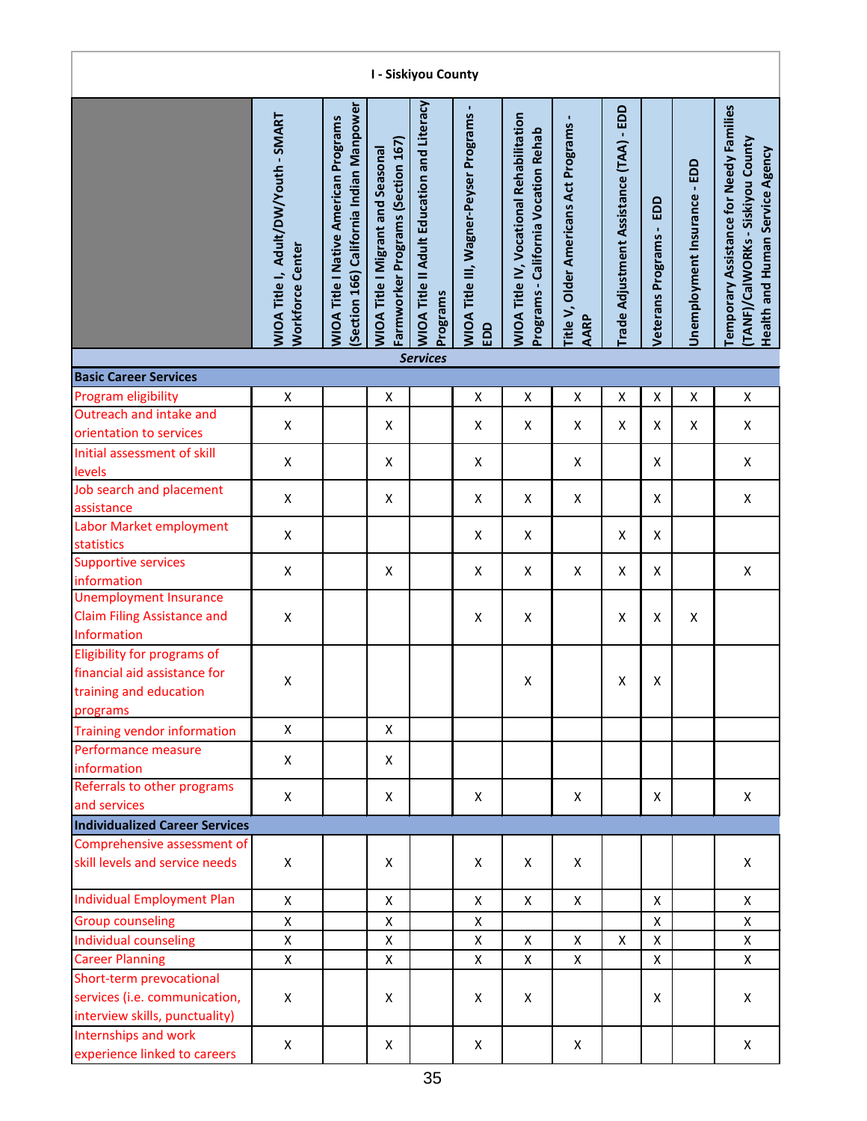| I - Siskiyou County                                                                               |                                                          |                                                                                         |                                                                               |                                                               |                                               |                                                                                  |                                                        |                                         |                                   |                              |                                                                                                                               |  |  |
|---------------------------------------------------------------------------------------------------|----------------------------------------------------------|-----------------------------------------------------------------------------------------|-------------------------------------------------------------------------------|---------------------------------------------------------------|-----------------------------------------------|----------------------------------------------------------------------------------|--------------------------------------------------------|-----------------------------------------|-----------------------------------|------------------------------|-------------------------------------------------------------------------------------------------------------------------------|--|--|
|                                                                                                   | WIOA Title I, Adult/DW/Youth - SMART<br>Workforce Center | Section 166) California Indian Manpower<br><b>WIOA Title I Native American Programs</b> | Farmworker Programs (Section 167)<br><b>WIOA Title I Migrant and Seasonal</b> | <b>WIOA Title II Adult Education and Literacy</b><br>Programs | WIOA Title III, Wagner-Peyser Programs<br>EDD | WIOA Title IV, Vocational Rehabilitation<br>Programs - California Vocation Rehab | Title V, Older Americans Act Programs -<br><b>AARP</b> | Trade Adjustment Assistance (TAA) - EDD | EDD<br><b>Veterans Programs -</b> | Unemployment Insurance - EDD | <b>Temporary Assistance for Needy Families</b><br>(TANF)/CalWORKs - Siskiyou County<br><b>Health and Human Service Agency</b> |  |  |
|                                                                                                   |                                                          |                                                                                         |                                                                               | <b>Services</b>                                               |                                               |                                                                                  |                                                        |                                         |                                   |                              |                                                                                                                               |  |  |
| <b>Basic Career Services</b>                                                                      |                                                          |                                                                                         |                                                                               |                                                               |                                               |                                                                                  |                                                        |                                         |                                   |                              |                                                                                                                               |  |  |
| Program eligibility                                                                               | $\pmb{\mathsf{X}}$                                       |                                                                                         | X                                                                             |                                                               | X                                             | X                                                                                | Χ                                                      | $\pmb{\mathsf{X}}$                      | Χ                                 | X                            | X                                                                                                                             |  |  |
| Outreach and intake and<br>orientation to services                                                | Χ                                                        |                                                                                         | X                                                                             |                                                               | X                                             | X                                                                                | Χ                                                      | X                                       | X                                 | X                            | X                                                                                                                             |  |  |
| Initial assessment of skill<br>levels                                                             | X                                                        |                                                                                         | X                                                                             |                                                               | X                                             |                                                                                  | X                                                      |                                         | X                                 |                              | X                                                                                                                             |  |  |
| Job search and placement<br>assistance                                                            | X                                                        |                                                                                         | X                                                                             |                                                               | X                                             | X                                                                                | X                                                      |                                         | X                                 |                              | X                                                                                                                             |  |  |
| Labor Market employment<br>statistics                                                             | X                                                        |                                                                                         |                                                                               |                                                               | X                                             | X                                                                                |                                                        | X                                       | X                                 |                              |                                                                                                                               |  |  |
| <b>Supportive services</b><br>information                                                         | X                                                        |                                                                                         | X                                                                             |                                                               | X                                             | X                                                                                | X                                                      | X                                       | X                                 |                              | X                                                                                                                             |  |  |
| <b>Unemployment Insurance</b><br><b>Claim Filing Assistance and</b><br>Information                | X                                                        |                                                                                         |                                                                               |                                                               | X                                             | X                                                                                |                                                        | X                                       | X                                 | $\pmb{\mathsf{X}}$           |                                                                                                                               |  |  |
| Eligibility for programs of<br>financial aid assistance for<br>training and education<br>programs | X                                                        |                                                                                         |                                                                               |                                                               |                                               | X                                                                                |                                                        | X                                       | X                                 |                              |                                                                                                                               |  |  |
| <b>Training vendor information</b>                                                                | $\mathsf{x}$                                             |                                                                                         | X                                                                             |                                                               |                                               |                                                                                  |                                                        |                                         |                                   |                              |                                                                                                                               |  |  |
| Performance measure<br>information                                                                | X                                                        |                                                                                         | X                                                                             |                                                               |                                               |                                                                                  |                                                        |                                         |                                   |                              |                                                                                                                               |  |  |
| Referrals to other programs<br>and services                                                       | X                                                        |                                                                                         | X                                                                             |                                                               | X                                             |                                                                                  | X                                                      |                                         | X                                 |                              | X                                                                                                                             |  |  |
| <b>Individualized Career Services</b>                                                             |                                                          |                                                                                         |                                                                               |                                                               |                                               |                                                                                  |                                                        |                                         |                                   |                              |                                                                                                                               |  |  |
| Comprehensive assessment of<br>skill levels and service needs                                     | X                                                        |                                                                                         | X                                                                             |                                                               | X                                             | X                                                                                | X                                                      |                                         |                                   |                              | X                                                                                                                             |  |  |
| <b>Individual Employment Plan</b>                                                                 | X                                                        |                                                                                         | X                                                                             |                                                               | X                                             | X                                                                                | X                                                      |                                         | X                                 |                              | X                                                                                                                             |  |  |
| <b>Group counseling</b>                                                                           | X                                                        |                                                                                         | X                                                                             |                                                               | X                                             |                                                                                  |                                                        |                                         | Χ                                 |                              | X                                                                                                                             |  |  |
| Individual counseling                                                                             | X                                                        |                                                                                         | $\mathsf{X}$                                                                  |                                                               | X                                             | $\mathsf{X}$                                                                     | Χ                                                      | X                                       | Χ                                 |                              | $\mathsf{X}$                                                                                                                  |  |  |
| <b>Career Planning</b>                                                                            | X                                                        |                                                                                         | X                                                                             |                                                               | X                                             | X                                                                                | X                                                      |                                         | X                                 |                              | X                                                                                                                             |  |  |
| Short-term prevocational<br>services (i.e. communication,<br>interview skills, punctuality)       | X                                                        |                                                                                         | X                                                                             |                                                               | X                                             | X                                                                                |                                                        |                                         | x                                 |                              | X                                                                                                                             |  |  |
| Internships and work<br>experience linked to careers                                              | X                                                        |                                                                                         | X                                                                             |                                                               | X                                             |                                                                                  | X                                                      |                                         |                                   |                              | X                                                                                                                             |  |  |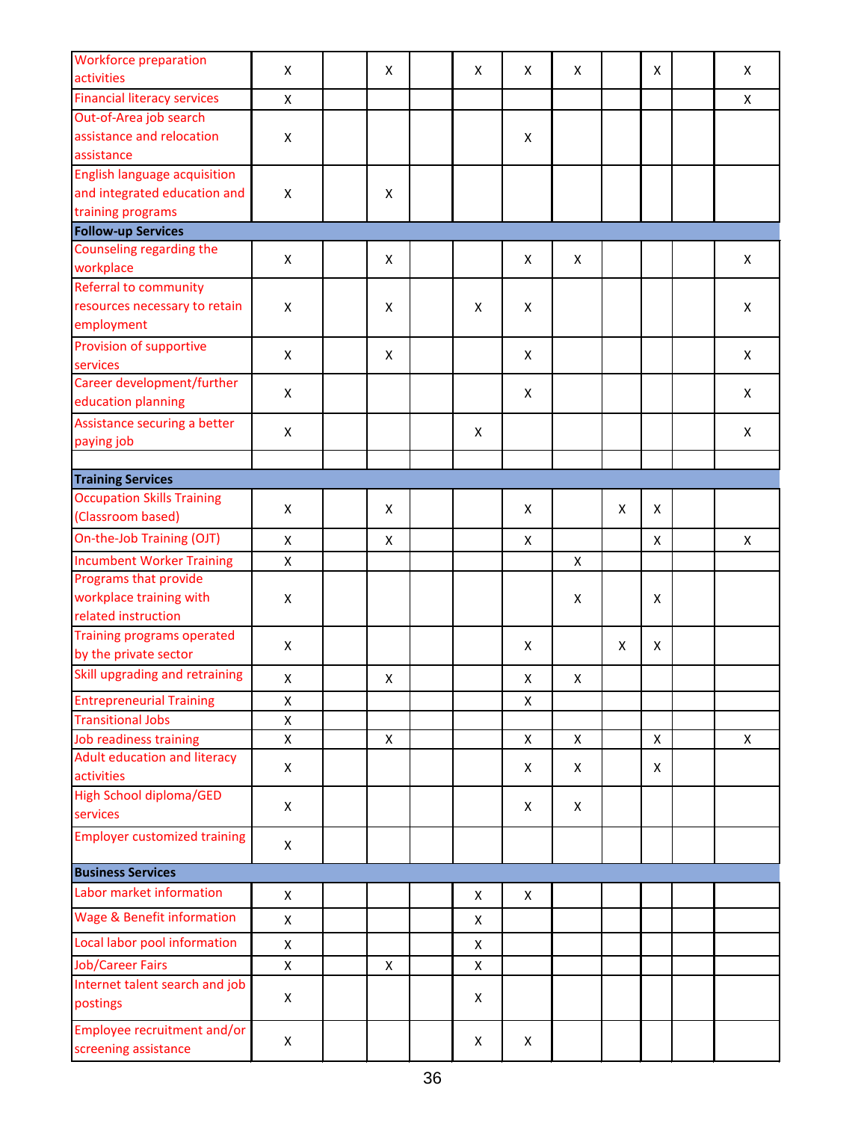| <b>Workforce preparation</b>                     |              |                    |   |                    |                    |   |                |              |
|--------------------------------------------------|--------------|--------------------|---|--------------------|--------------------|---|----------------|--------------|
| activities                                       | X            | X                  | X | X                  | X                  |   | X              | X            |
| <b>Financial literacy services</b>               | X            |                    |   |                    |                    |   |                | X            |
| Out-of-Area job search                           |              |                    |   |                    |                    |   |                |              |
| assistance and relocation                        | Χ            |                    |   | X                  |                    |   |                |              |
| assistance                                       |              |                    |   |                    |                    |   |                |              |
| <b>English language acquisition</b>              |              |                    |   |                    |                    |   |                |              |
| and integrated education and                     | Χ            | X                  |   |                    |                    |   |                |              |
| training programs                                |              |                    |   |                    |                    |   |                |              |
| <b>Follow-up Services</b>                        |              |                    |   |                    |                    |   |                |              |
| Counseling regarding the                         | X            | X                  |   | X                  | X                  |   |                | X            |
| workplace                                        |              |                    |   |                    |                    |   |                |              |
| Referral to community                            |              |                    |   |                    |                    |   |                |              |
| resources necessary to retain                    | X            | X                  | X | X                  |                    |   |                | X            |
| employment                                       |              |                    |   |                    |                    |   |                |              |
| Provision of supportive                          | Χ            | $\pmb{\mathsf{X}}$ |   | X                  |                    |   |                | X            |
| services                                         |              |                    |   |                    |                    |   |                |              |
| Career development/further<br>education planning | X            |                    |   | X                  |                    |   |                | X            |
|                                                  |              |                    |   |                    |                    |   |                |              |
| Assistance securing a better                     | Χ            |                    | X |                    |                    |   |                | X            |
| paying job                                       |              |                    |   |                    |                    |   |                |              |
| <b>Training Services</b>                         |              |                    |   |                    |                    |   |                |              |
| <b>Occupation Skills Training</b>                |              |                    |   |                    |                    |   |                |              |
| (Classroom based)                                | Χ            | $\pmb{\mathsf{X}}$ |   | X                  |                    | X | $\pmb{\times}$ |              |
| On-the-Job Training (OJT)                        | X            | $\pmb{\mathsf{X}}$ |   | $\pmb{\times}$     |                    |   | X              | $\mathsf{x}$ |
| <b>Incumbent Worker Training</b>                 | X            |                    |   |                    | X                  |   |                |              |
| Programs that provide                            |              |                    |   |                    |                    |   |                |              |
| workplace training with                          | Χ            |                    |   |                    | X                  |   | X              |              |
| related instruction                              |              |                    |   |                    |                    |   |                |              |
| <b>Training programs operated</b>                |              |                    |   |                    |                    |   |                |              |
| by the private sector                            | X            |                    |   | X                  |                    | X | X              |              |
| Skill upgrading and retraining                   | X            | $\pmb{\mathsf{X}}$ |   | $\pmb{\mathsf{X}}$ | $\pmb{\mathsf{X}}$ |   |                |              |
| <b>Entrepreneurial Training</b>                  | X            |                    |   | $\pmb{\times}$     |                    |   |                |              |
| <b>Transitional Jobs</b>                         | $\mathsf{X}$ |                    |   |                    |                    |   |                |              |
| <b>Job readiness training</b>                    | X            | X                  |   | X                  | X                  |   | $\pmb{\times}$ | X            |
| Adult education and literacy                     |              |                    |   |                    |                    |   |                |              |
| activities                                       | X            |                    |   | X                  | X                  |   | X              |              |
| <b>High School diploma/GED</b>                   |              |                    |   |                    |                    |   |                |              |
| services                                         | X            |                    |   | X                  | X                  |   |                |              |
| <b>Employer customized training</b>              |              |                    |   |                    |                    |   |                |              |
|                                                  | X            |                    |   |                    |                    |   |                |              |
| <b>Business Services</b>                         |              |                    |   |                    |                    |   |                |              |
| Labor market information                         | X            |                    | X | X                  |                    |   |                |              |
| Wage & Benefit information                       | $\mathsf{X}$ |                    | X |                    |                    |   |                |              |
|                                                  |              |                    |   |                    |                    |   |                |              |
| Local labor pool information                     | X            |                    | X |                    |                    |   |                |              |
| <b>Job/Career Fairs</b>                          | X            | X                  | X |                    |                    |   |                |              |
| Internet talent search and job                   | X            |                    | X |                    |                    |   |                |              |
| postings                                         |              |                    |   |                    |                    |   |                |              |
| Employee recruitment and/or                      |              |                    |   |                    |                    |   |                |              |
| screening assistance                             | X            |                    | X | X                  |                    |   |                |              |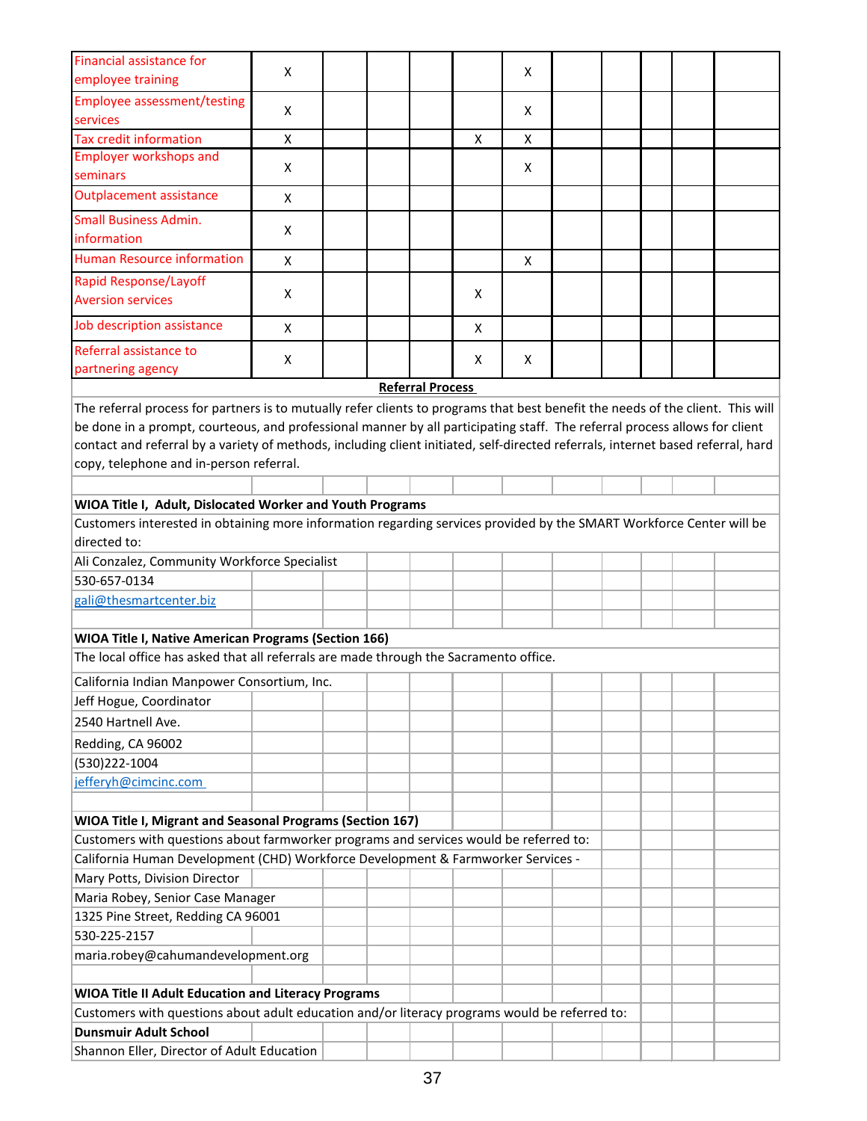| Financial assistance for<br>employee training                                                                                    | X |  |                         |   | X |  |  |  |
|----------------------------------------------------------------------------------------------------------------------------------|---|--|-------------------------|---|---|--|--|--|
| <b>Employee assessment/testing</b>                                                                                               |   |  |                         |   |   |  |  |  |
| services                                                                                                                         | X |  |                         |   | X |  |  |  |
| <b>Tax credit information</b>                                                                                                    | X |  |                         | X | X |  |  |  |
| <b>Employer workshops and</b><br>seminars                                                                                        | X |  |                         |   | X |  |  |  |
| <b>Outplacement assistance</b>                                                                                                   | X |  |                         |   |   |  |  |  |
| <b>Small Business Admin.</b>                                                                                                     |   |  |                         |   |   |  |  |  |
| information                                                                                                                      | X |  |                         |   |   |  |  |  |
| <b>Human Resource information</b>                                                                                                | X |  |                         |   | X |  |  |  |
| <b>Rapid Response/Layoff</b>                                                                                                     | X |  |                         | X |   |  |  |  |
| <b>Aversion services</b>                                                                                                         |   |  |                         |   |   |  |  |  |
| Job description assistance                                                                                                       | X |  |                         | X |   |  |  |  |
| Referral assistance to                                                                                                           | X |  |                         | X | X |  |  |  |
| partnering agency                                                                                                                |   |  |                         |   |   |  |  |  |
|                                                                                                                                  |   |  | <b>Referral Process</b> |   |   |  |  |  |
| The referral process for partners is to mutually refer clients to programs that best benefit the needs of the client. This will  |   |  |                         |   |   |  |  |  |
| be done in a prompt, courteous, and professional manner by all participating staff. The referral process allows for client       |   |  |                         |   |   |  |  |  |
| contact and referral by a variety of methods, including client initiated, self-directed referrals, internet based referral, hard |   |  |                         |   |   |  |  |  |
| copy, telephone and in-person referral.                                                                                          |   |  |                         |   |   |  |  |  |
|                                                                                                                                  |   |  |                         |   |   |  |  |  |
| WIOA Title I, Adult, Dislocated Worker and Youth Programs                                                                        |   |  |                         |   |   |  |  |  |
| Customers interested in obtaining more information regarding services provided by the SMART Workforce Center will be             |   |  |                         |   |   |  |  |  |
| directed to:                                                                                                                     |   |  |                         |   |   |  |  |  |
| Ali Conzalez, Community Workforce Specialist                                                                                     |   |  |                         |   |   |  |  |  |
| 530-657-0134                                                                                                                     |   |  |                         |   |   |  |  |  |
| gali@thesmartcenter.biz                                                                                                          |   |  |                         |   |   |  |  |  |
|                                                                                                                                  |   |  |                         |   |   |  |  |  |
| WIOA Title I, Native American Programs (Section 166)                                                                             |   |  |                         |   |   |  |  |  |
| The local office has asked that all referrals are made through the Sacramento office.                                            |   |  |                         |   |   |  |  |  |
| California Indian Manpower Consortium, Inc.                                                                                      |   |  |                         |   |   |  |  |  |
| Jeff Hogue, Coordinator                                                                                                          |   |  |                         |   |   |  |  |  |
| 2540 Hartnell Ave.                                                                                                               |   |  |                         |   |   |  |  |  |
| Redding, CA 96002                                                                                                                |   |  |                         |   |   |  |  |  |
| (530)222-1004                                                                                                                    |   |  |                         |   |   |  |  |  |
| jefferyh@cimcinc.com                                                                                                             |   |  |                         |   |   |  |  |  |
|                                                                                                                                  |   |  |                         |   |   |  |  |  |
| WIOA Title I, Migrant and Seasonal Programs (Section 167)                                                                        |   |  |                         |   |   |  |  |  |
| Customers with questions about farmworker programs and services would be referred to:                                            |   |  |                         |   |   |  |  |  |
| California Human Development (CHD) Workforce Development & Farmworker Services -                                                 |   |  |                         |   |   |  |  |  |
| Mary Potts, Division Director                                                                                                    |   |  |                         |   |   |  |  |  |
| Maria Robey, Senior Case Manager                                                                                                 |   |  |                         |   |   |  |  |  |
| 1325 Pine Street, Redding CA 96001                                                                                               |   |  |                         |   |   |  |  |  |
| 530-225-2157                                                                                                                     |   |  |                         |   |   |  |  |  |
| maria.robey@cahumandevelopment.org                                                                                               |   |  |                         |   |   |  |  |  |
|                                                                                                                                  |   |  |                         |   |   |  |  |  |
| <b>WIOA Title II Adult Education and Literacy Programs</b>                                                                       |   |  |                         |   |   |  |  |  |
| Customers with questions about adult education and/or literacy programs would be referred to:                                    |   |  |                         |   |   |  |  |  |
| <b>Dunsmuir Adult School</b>                                                                                                     |   |  |                         |   |   |  |  |  |
| Shannon Eller, Director of Adult Education                                                                                       |   |  |                         |   |   |  |  |  |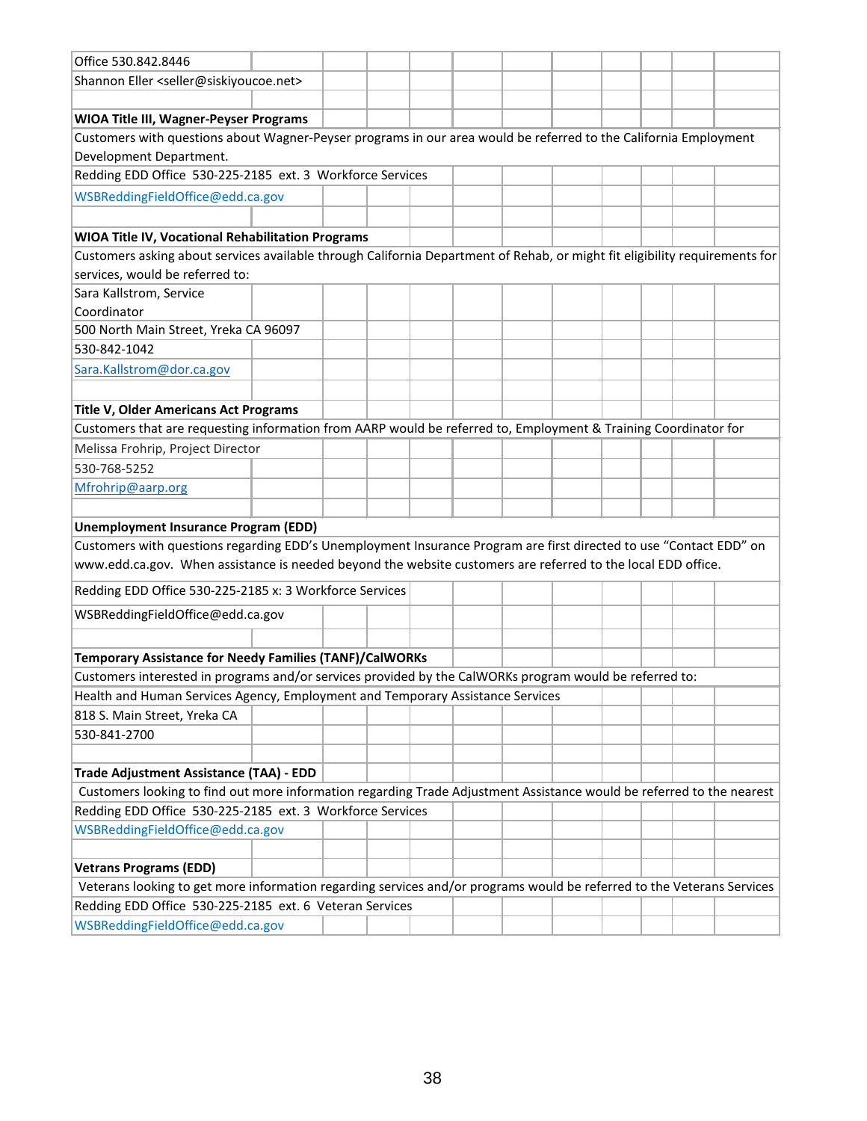| Office 530.842.8446                                                                                                         |  |  |  |  |  |  |
|-----------------------------------------------------------------------------------------------------------------------------|--|--|--|--|--|--|
| Shannon Eller <seller@siskiyoucoe.net></seller@siskiyoucoe.net>                                                             |  |  |  |  |  |  |
|                                                                                                                             |  |  |  |  |  |  |
| WIOA Title III, Wagner-Peyser Programs                                                                                      |  |  |  |  |  |  |
| Customers with questions about Wagner-Peyser programs in our area would be referred to the California Employment            |  |  |  |  |  |  |
| Development Department.                                                                                                     |  |  |  |  |  |  |
| Redding EDD Office 530-225-2185 ext. 3 Workforce Services                                                                   |  |  |  |  |  |  |
| WSBReddingFieldOffice@edd.ca.gov                                                                                            |  |  |  |  |  |  |
|                                                                                                                             |  |  |  |  |  |  |
| WIOA Title IV, Vocational Rehabilitation Programs                                                                           |  |  |  |  |  |  |
| Customers asking about services available through California Department of Rehab, or might fit eligibility requirements for |  |  |  |  |  |  |
| services, would be referred to:                                                                                             |  |  |  |  |  |  |
| Sara Kallstrom, Service                                                                                                     |  |  |  |  |  |  |
| Coordinator                                                                                                                 |  |  |  |  |  |  |
| 500 North Main Street, Yreka CA 96097                                                                                       |  |  |  |  |  |  |
| 530-842-1042                                                                                                                |  |  |  |  |  |  |
| Sara.Kallstrom@dor.ca.gov                                                                                                   |  |  |  |  |  |  |
|                                                                                                                             |  |  |  |  |  |  |
| <b>Title V, Older Americans Act Programs</b>                                                                                |  |  |  |  |  |  |
| Customers that are requesting information from AARP would be referred to, Employment & Training Coordinator for             |  |  |  |  |  |  |
| Melissa Frohrip, Project Director                                                                                           |  |  |  |  |  |  |
| 530-768-5252                                                                                                                |  |  |  |  |  |  |
| Mfrohrip@aarp.org                                                                                                           |  |  |  |  |  |  |
|                                                                                                                             |  |  |  |  |  |  |
| <b>Unemployment Insurance Program (EDD)</b>                                                                                 |  |  |  |  |  |  |
| Customers with questions regarding EDD's Unemployment Insurance Program are first directed to use "Contact EDD" on          |  |  |  |  |  |  |
| www.edd.ca.gov. When assistance is needed beyond the website customers are referred to the local EDD office.                |  |  |  |  |  |  |
| Redding EDD Office 530-225-2185 x: 3 Workforce Services                                                                     |  |  |  |  |  |  |
| WSBReddingFieldOffice@edd.ca.gov                                                                                            |  |  |  |  |  |  |
|                                                                                                                             |  |  |  |  |  |  |
| <b>Temporary Assistance for Needy Families (TANF)/CalWORKs</b>                                                              |  |  |  |  |  |  |
| Customers interested in programs and/or services provided by the CalWORKs program would be referred to:                     |  |  |  |  |  |  |
| Health and Human Services Agency, Employment and Temporary Assistance Services                                              |  |  |  |  |  |  |
| 818 S. Main Street, Yreka CA                                                                                                |  |  |  |  |  |  |
| 530-841-2700                                                                                                                |  |  |  |  |  |  |
|                                                                                                                             |  |  |  |  |  |  |
| Trade Adjustment Assistance (TAA) - EDD                                                                                     |  |  |  |  |  |  |
| Customers looking to find out more information regarding Trade Adjustment Assistance would be referred to the nearest       |  |  |  |  |  |  |
| Redding EDD Office 530-225-2185 ext. 3 Workforce Services                                                                   |  |  |  |  |  |  |
| WSBReddingFieldOffice@edd.ca.gov                                                                                            |  |  |  |  |  |  |
|                                                                                                                             |  |  |  |  |  |  |
| <b>Vetrans Programs (EDD)</b>                                                                                               |  |  |  |  |  |  |
| Veterans looking to get more information regarding services and/or programs would be referred to the Veterans Services      |  |  |  |  |  |  |
| Redding EDD Office 530-225-2185 ext. 6 Veteran Services                                                                     |  |  |  |  |  |  |
| WSBReddingFieldOffice@edd.ca.gov                                                                                            |  |  |  |  |  |  |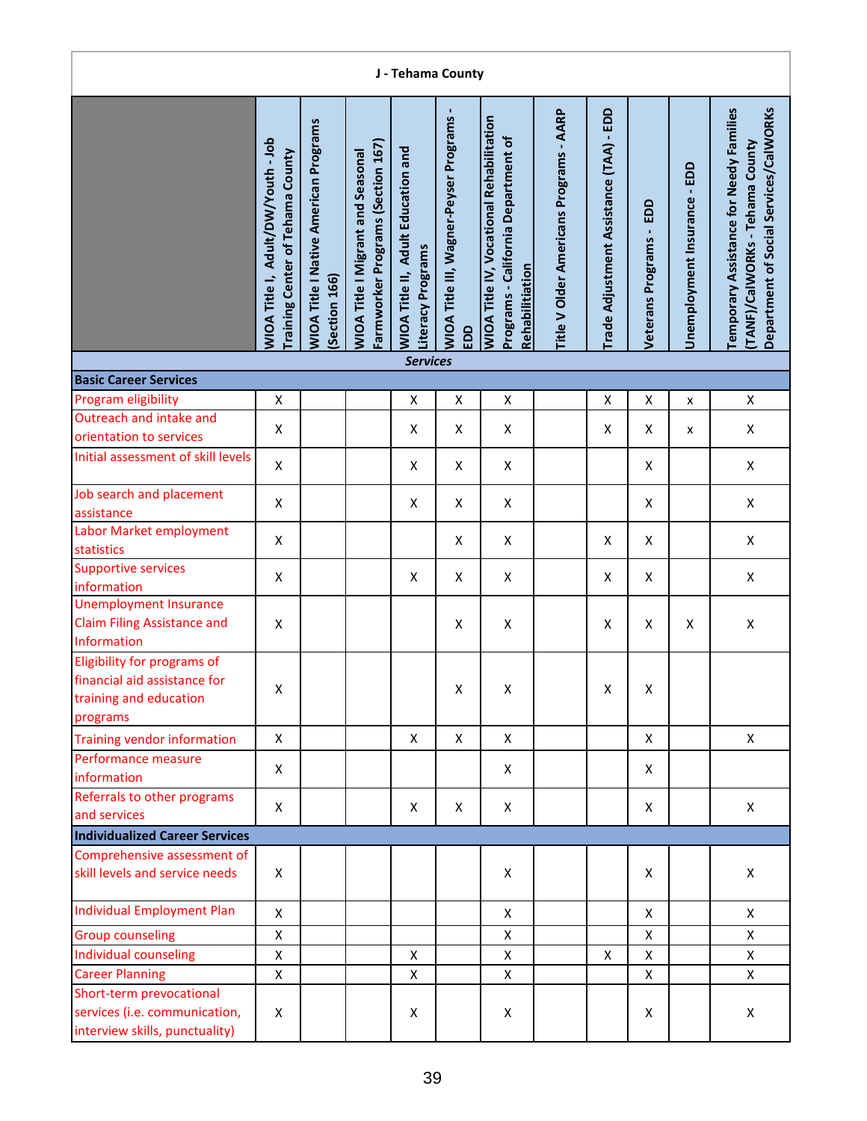|                                                                                                   |                                                                        |                                                               |                                                                               | J - Tehama County                                                 |                                                      |                                                                                                           |                                         |                                         |                                   |                              |                                                                                                                     |
|---------------------------------------------------------------------------------------------------|------------------------------------------------------------------------|---------------------------------------------------------------|-------------------------------------------------------------------------------|-------------------------------------------------------------------|------------------------------------------------------|-----------------------------------------------------------------------------------------------------------|-----------------------------------------|-----------------------------------------|-----------------------------------|------------------------------|---------------------------------------------------------------------------------------------------------------------|
|                                                                                                   | WIOA Title I, Adult/DW/Youth - Job<br>Training Center of Tehama County | <b>WIOA Title I Native American Programs</b><br>(Section 166) | Farmworker Programs (Section 167)<br><b>WIOA Title I Migrant and Seasonal</b> | Adult Education and<br>Literacy Programs<br><b>WIOA Title II,</b> | <b>WIOA Title III, Wagner-Peyser Programs</b><br>EDD | <b>WIOA Title IV, Vocational Rehabilitation</b><br>Programs - California Department of<br>Rehabilitiation | Title V Older Americans Programs - AARP | Trade Adjustment Assistance (TAA) - EDD | EDD<br><b>Veterans Programs -</b> | Unemployment Insurance - EDD | Department of Social Services/CalWORKs<br>Temporary Assistance for Needy Families<br>TANF)/CalWORKs - Tehama County |
| <b>Basic Career Services</b>                                                                      |                                                                        |                                                               |                                                                               | <b>Services</b>                                                   |                                                      |                                                                                                           |                                         |                                         |                                   |                              |                                                                                                                     |
| Program eligibility                                                                               | X                                                                      |                                                               |                                                                               | X                                                                 | X                                                    | X                                                                                                         |                                         | X                                       | X                                 | x                            | X                                                                                                                   |
| Outreach and intake and<br>orientation to services                                                | X                                                                      |                                                               |                                                                               | X                                                                 | X                                                    | X                                                                                                         |                                         | X                                       | X                                 | x                            | X                                                                                                                   |
| Initial assessment of skill levels                                                                | X                                                                      |                                                               |                                                                               | X                                                                 | Χ                                                    | X                                                                                                         |                                         |                                         | X                                 |                              | X                                                                                                                   |
| Job search and placement                                                                          | X                                                                      |                                                               |                                                                               | X                                                                 | X                                                    | X                                                                                                         |                                         |                                         | X                                 |                              | X                                                                                                                   |
| assistance<br>Labor Market employment                                                             | X                                                                      |                                                               |                                                                               |                                                                   | X                                                    | X                                                                                                         |                                         | X                                       | X                                 |                              | X                                                                                                                   |
| statistics<br><b>Supportive services</b>                                                          | $\pmb{\mathsf{X}}$                                                     |                                                               |                                                                               | $\pmb{\mathsf{X}}$                                                | Χ                                                    | Χ                                                                                                         |                                         | X                                       | X                                 |                              | X                                                                                                                   |
| information<br><b>Unemployment Insurance</b><br><b>Claim Filing Assistance and</b><br>Information | $\pmb{\mathsf{X}}$                                                     |                                                               |                                                                               |                                                                   | X                                                    | $\pmb{\mathsf{X}}$                                                                                        |                                         | X                                       | X                                 | X                            | X                                                                                                                   |
| Eligibility for programs of<br>financial aid assistance for<br>training and education<br>programs | Χ                                                                      |                                                               |                                                                               |                                                                   | X                                                    | Χ                                                                                                         |                                         | X                                       | X                                 |                              |                                                                                                                     |
| <b>Training vendor information</b>                                                                | X                                                                      |                                                               |                                                                               | X                                                                 | X                                                    | X                                                                                                         |                                         |                                         | X                                 |                              | $\mathsf{X}$                                                                                                        |
| Performance measure<br>information                                                                | X                                                                      |                                                               |                                                                               |                                                                   |                                                      | X                                                                                                         |                                         |                                         | X                                 |                              |                                                                                                                     |
| Referrals to other programs<br>and services                                                       | X                                                                      |                                                               |                                                                               | X                                                                 | X                                                    | X                                                                                                         |                                         |                                         | X                                 |                              | $\mathsf{X}$                                                                                                        |
| <b>Individualized Career Services</b>                                                             |                                                                        |                                                               |                                                                               |                                                                   |                                                      |                                                                                                           |                                         |                                         |                                   |                              |                                                                                                                     |
| Comprehensive assessment of<br>skill levels and service needs                                     | X                                                                      |                                                               |                                                                               |                                                                   |                                                      | X                                                                                                         |                                         |                                         | X                                 |                              | X                                                                                                                   |
| <b>Individual Employment Plan</b>                                                                 | $\mathsf{X}$                                                           |                                                               |                                                                               |                                                                   |                                                      | X                                                                                                         |                                         |                                         | X                                 |                              | X                                                                                                                   |
| <b>Group counseling</b>                                                                           | $\pmb{\mathsf{X}}$                                                     |                                                               |                                                                               |                                                                   |                                                      | X                                                                                                         |                                         |                                         | X                                 |                              | X                                                                                                                   |
| Individual counseling                                                                             | $\pmb{\mathsf{X}}$                                                     |                                                               |                                                                               | X                                                                 |                                                      | $\pmb{\mathsf{X}}$                                                                                        |                                         | X                                       | X                                 |                              | X                                                                                                                   |
| <b>Career Planning</b>                                                                            | X                                                                      |                                                               |                                                                               | X                                                                 |                                                      | X                                                                                                         |                                         |                                         | X                                 |                              | X                                                                                                                   |
| Short-term prevocational<br>services (i.e. communication,<br>interview skills, punctuality)       | X                                                                      |                                                               |                                                                               | Χ                                                                 |                                                      | X                                                                                                         |                                         |                                         | X                                 |                              | X                                                                                                                   |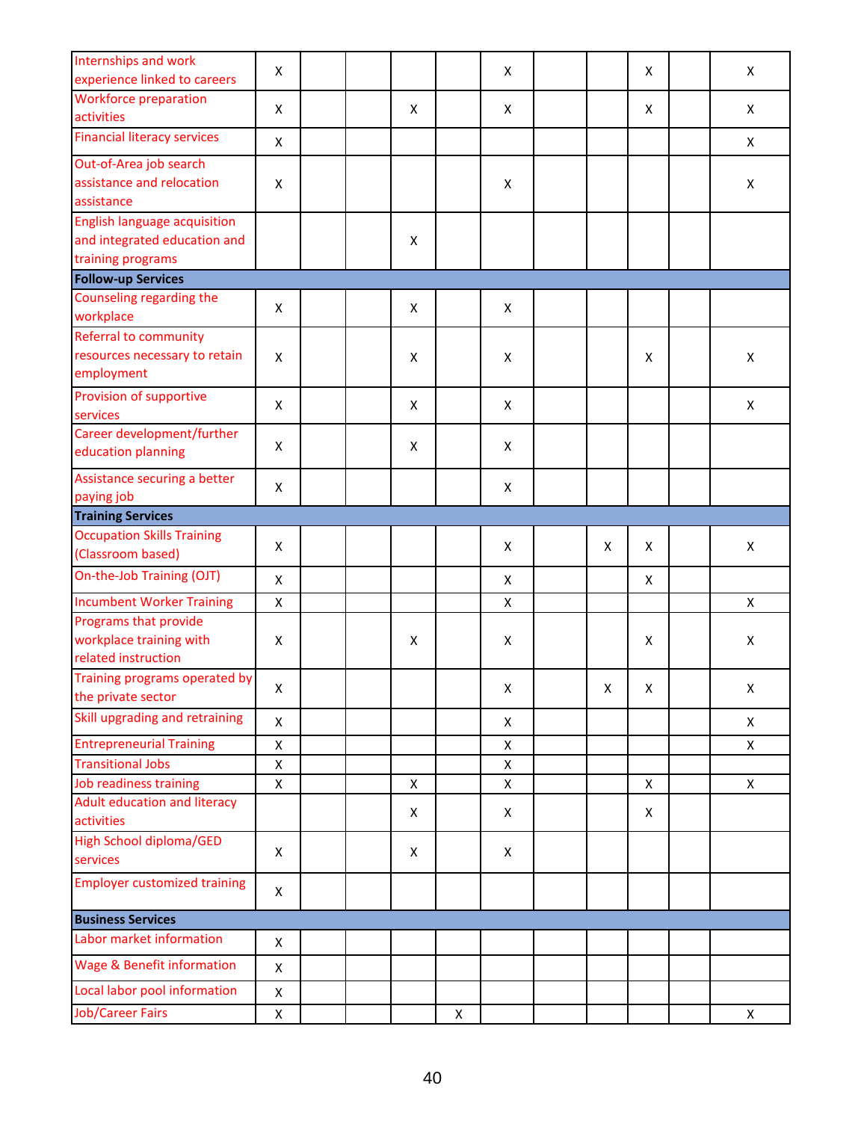| Internships and work<br>experience linked to careers | X                  |  |                    |   | X            |                    | X                  | X            |
|------------------------------------------------------|--------------------|--|--------------------|---|--------------|--------------------|--------------------|--------------|
|                                                      |                    |  |                    |   |              |                    |                    |              |
| <b>Workforce preparation</b><br>activities           | X                  |  | X                  |   | X            |                    | X                  | X            |
| <b>Financial literacy services</b>                   |                    |  |                    |   |              |                    |                    |              |
|                                                      | X                  |  |                    |   |              |                    |                    | X            |
| Out-of-Area job search                               |                    |  |                    |   |              |                    |                    |              |
| assistance and relocation                            | X                  |  |                    |   | X            |                    |                    | X            |
| assistance                                           |                    |  |                    |   |              |                    |                    |              |
| <b>English language acquisition</b>                  |                    |  |                    |   |              |                    |                    |              |
| and integrated education and                         |                    |  | X                  |   |              |                    |                    |              |
| training programs                                    |                    |  |                    |   |              |                    |                    |              |
| <b>Follow-up Services</b>                            |                    |  |                    |   |              |                    |                    |              |
| Counseling regarding the                             |                    |  |                    |   |              |                    |                    |              |
| workplace                                            | X                  |  | X                  |   | X            |                    |                    |              |
| Referral to community                                |                    |  |                    |   |              |                    |                    |              |
| resources necessary to retain                        | X                  |  | X                  |   | X            |                    | X                  | X            |
| employment                                           |                    |  |                    |   |              |                    |                    |              |
|                                                      |                    |  |                    |   |              |                    |                    |              |
| Provision of supportive                              | X                  |  | X                  |   | X            |                    |                    | X            |
| services                                             |                    |  |                    |   |              |                    |                    |              |
| Career development/further                           | X                  |  | X                  |   | X            |                    |                    |              |
| education planning                                   |                    |  |                    |   |              |                    |                    |              |
| Assistance securing a better                         |                    |  |                    |   |              |                    |                    |              |
| paying job                                           | X                  |  |                    |   | X            |                    |                    |              |
| <b>Training Services</b>                             |                    |  |                    |   |              |                    |                    |              |
| <b>Occupation Skills Training</b>                    |                    |  |                    |   |              |                    |                    |              |
| (Classroom based)                                    | X                  |  |                    |   | X            | X                  | X                  | X            |
| On-the-Job Training (OJT)                            |                    |  |                    |   |              |                    |                    |              |
|                                                      | X                  |  |                    |   | X            |                    | X                  |              |
| <b>Incumbent Worker Training</b>                     | $\pmb{\mathsf{X}}$ |  |                    |   | X            |                    |                    | X            |
| Programs that provide                                |                    |  |                    |   |              |                    |                    |              |
| workplace training with                              | X                  |  | X                  |   | X            |                    | X                  | X            |
| related instruction                                  |                    |  |                    |   |              |                    |                    |              |
| Training programs operated by                        |                    |  |                    |   |              |                    |                    |              |
| the private sector                                   | $\pmb{\mathsf{X}}$ |  |                    |   | X            | $\pmb{\mathsf{X}}$ | $\pmb{\mathsf{X}}$ | X            |
| Skill upgrading and retraining                       | $\pmb{\mathsf{X}}$ |  |                    |   | X            |                    |                    | X            |
| <b>Entrepreneurial Training</b>                      | $\pmb{\mathsf{X}}$ |  |                    |   | X            |                    |                    | X            |
| <b>Transitional Jobs</b>                             | X                  |  |                    |   | X            |                    |                    |              |
| Job readiness training                               | $\pmb{\mathsf{X}}$ |  |                    |   | $\mathsf{X}$ |                    | $\pmb{\times}$     | $\mathsf{x}$ |
| Adult education and literacy                         |                    |  | $\pmb{\mathsf{X}}$ |   |              |                    |                    |              |
| activities                                           |                    |  | X                  |   | X            |                    | X                  |              |
|                                                      |                    |  |                    |   |              |                    |                    |              |
| <b>High School diploma/GED</b>                       | X                  |  | X                  |   | $\mathsf{X}$ |                    |                    |              |
| services                                             |                    |  |                    |   |              |                    |                    |              |
| <b>Employer customized training</b>                  | X                  |  |                    |   |              |                    |                    |              |
| <b>Business Services</b>                             |                    |  |                    |   |              |                    |                    |              |
| Labor market information                             | X                  |  |                    |   |              |                    |                    |              |
| <b>Wage &amp; Benefit information</b>                |                    |  |                    |   |              |                    |                    |              |
|                                                      | X                  |  |                    |   |              |                    |                    |              |
| Local labor pool information                         | X                  |  |                    |   |              |                    |                    |              |
| <b>Job/Career Fairs</b>                              | X                  |  |                    | X |              |                    |                    | X            |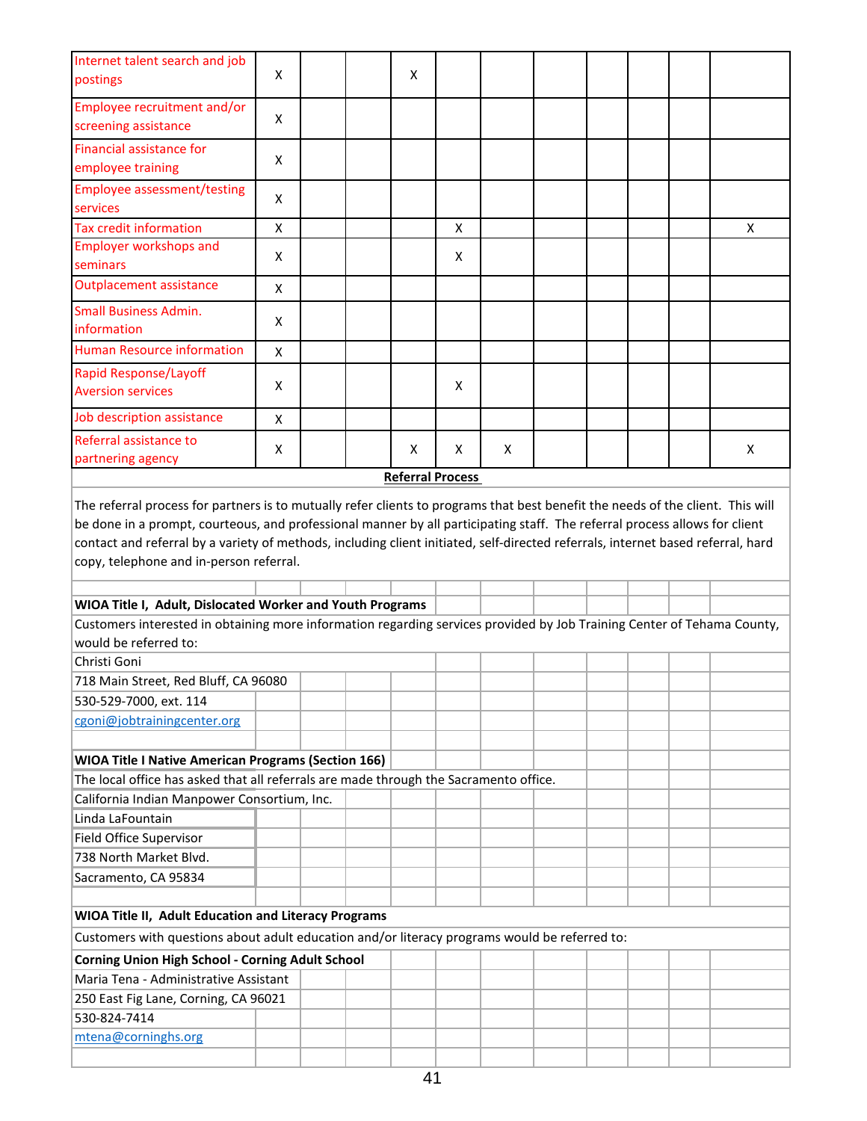| Internet talent search and job<br>postings                                                                                                                                  | X |  | Χ                       |   |   |  |  |   |
|-----------------------------------------------------------------------------------------------------------------------------------------------------------------------------|---|--|-------------------------|---|---|--|--|---|
|                                                                                                                                                                             |   |  |                         |   |   |  |  |   |
| Employee recruitment and/or<br>screening assistance                                                                                                                         | x |  |                         |   |   |  |  |   |
| <b>Financial assistance for</b>                                                                                                                                             |   |  |                         |   |   |  |  |   |
| employee training                                                                                                                                                           | X |  |                         |   |   |  |  |   |
| <b>Employee assessment/testing</b>                                                                                                                                          | X |  |                         |   |   |  |  |   |
| services                                                                                                                                                                    |   |  |                         |   |   |  |  |   |
| <b>Tax credit information</b>                                                                                                                                               | Χ |  |                         | X |   |  |  | Х |
| <b>Employer workshops and</b>                                                                                                                                               | X |  |                         | X |   |  |  |   |
| seminars                                                                                                                                                                    |   |  |                         |   |   |  |  |   |
| <b>Outplacement assistance</b>                                                                                                                                              | X |  |                         |   |   |  |  |   |
| <b>Small Business Admin.</b>                                                                                                                                                | X |  |                         |   |   |  |  |   |
| information                                                                                                                                                                 |   |  |                         |   |   |  |  |   |
| <b>Human Resource information</b>                                                                                                                                           | X |  |                         |   |   |  |  |   |
| <b>Rapid Response/Layoff</b>                                                                                                                                                |   |  |                         |   |   |  |  |   |
| <b>Aversion services</b>                                                                                                                                                    | x |  |                         | X |   |  |  |   |
| Job description assistance                                                                                                                                                  | X |  |                         |   |   |  |  |   |
| Referral assistance to                                                                                                                                                      | Χ |  | Χ                       | X | X |  |  | Х |
| partnering agency                                                                                                                                                           |   |  |                         |   |   |  |  |   |
|                                                                                                                                                                             |   |  | <b>Referral Process</b> |   |   |  |  |   |
| contact and referral by a variety of methods, including client initiated, self-directed referrals, internet based referral, hard<br>copy, telephone and in-person referral. |   |  |                         |   |   |  |  |   |
|                                                                                                                                                                             |   |  |                         |   |   |  |  |   |
| WIOA Title I, Adult, Dislocated Worker and Youth Programs                                                                                                                   |   |  |                         |   |   |  |  |   |
| Customers interested in obtaining more information regarding services provided by Job Training Center of Tehama County,<br>would be referred to:                            |   |  |                         |   |   |  |  |   |
| Christi Goni                                                                                                                                                                |   |  |                         |   |   |  |  |   |
| 718 Main Street, Red Bluff, CA 96080                                                                                                                                        |   |  |                         |   |   |  |  |   |
| 530-529-7000, ext. 114                                                                                                                                                      |   |  |                         |   |   |  |  |   |
| cgoni@jobtrainingcenter.org                                                                                                                                                 |   |  |                         |   |   |  |  |   |
|                                                                                                                                                                             |   |  |                         |   |   |  |  |   |
| <b>WIOA Title I Native American Programs (Section 166)</b>                                                                                                                  |   |  |                         |   |   |  |  |   |
|                                                                                                                                                                             |   |  |                         |   |   |  |  |   |
| The local office has asked that all referrals are made through the Sacramento office.                                                                                       |   |  |                         |   |   |  |  |   |
| California Indian Manpower Consortium, Inc.                                                                                                                                 |   |  |                         |   |   |  |  |   |
| Linda LaFountain                                                                                                                                                            |   |  |                         |   |   |  |  |   |
| Field Office Supervisor                                                                                                                                                     |   |  |                         |   |   |  |  |   |
| 738 North Market Blvd.                                                                                                                                                      |   |  |                         |   |   |  |  |   |
| Sacramento, CA 95834                                                                                                                                                        |   |  |                         |   |   |  |  |   |
|                                                                                                                                                                             |   |  |                         |   |   |  |  |   |
| WIOA Title II, Adult Education and Literacy Programs                                                                                                                        |   |  |                         |   |   |  |  |   |
| Customers with questions about adult education and/or literacy programs would be referred to:                                                                               |   |  |                         |   |   |  |  |   |
| <b>Corning Union High School - Corning Adult School</b>                                                                                                                     |   |  |                         |   |   |  |  |   |
| Maria Tena - Administrative Assistant                                                                                                                                       |   |  |                         |   |   |  |  |   |
| 250 East Fig Lane, Corning, CA 96021                                                                                                                                        |   |  |                         |   |   |  |  |   |
| 530-824-7414<br>mtena@corninghs.org                                                                                                                                         |   |  |                         |   |   |  |  |   |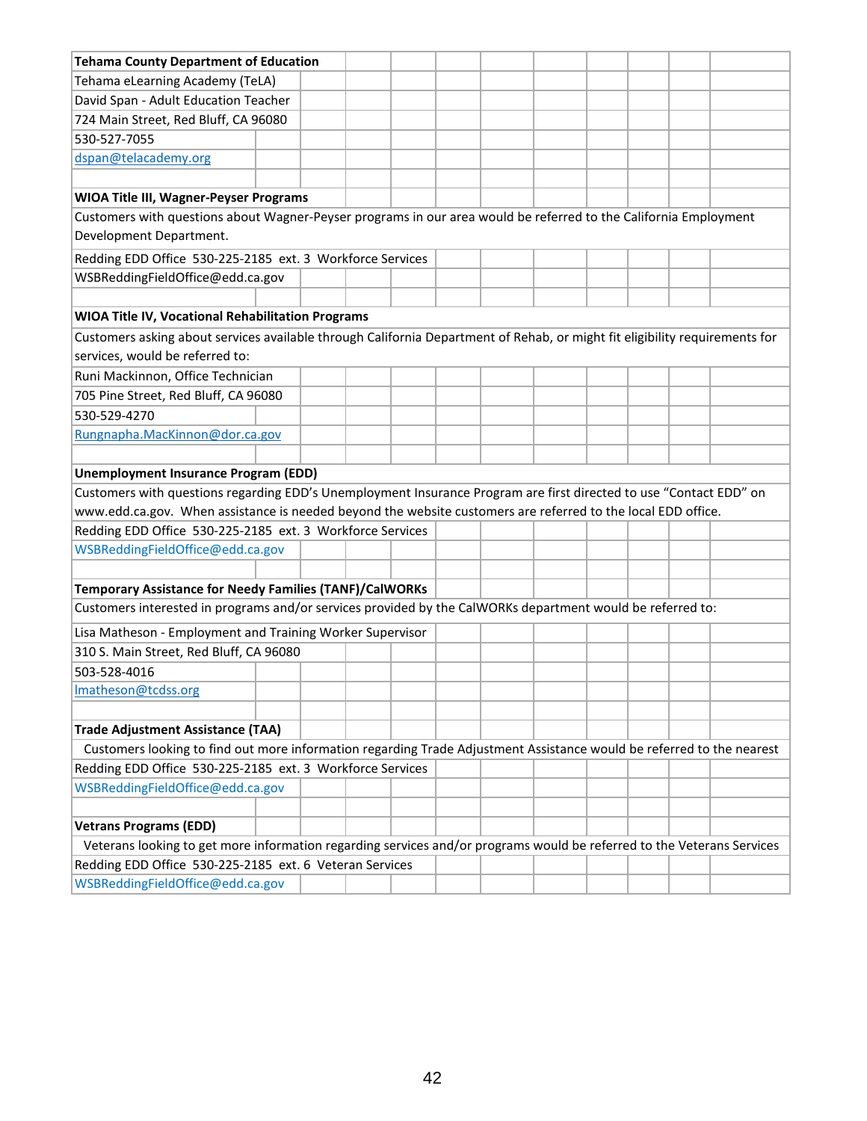| <b>Tehama County Department of Education</b>                                                                                |  |  |  |  |  |  |
|-----------------------------------------------------------------------------------------------------------------------------|--|--|--|--|--|--|
| Tehama eLearning Academy (TeLA)                                                                                             |  |  |  |  |  |  |
| David Span - Adult Education Teacher                                                                                        |  |  |  |  |  |  |
| 724 Main Street, Red Bluff, CA 96080                                                                                        |  |  |  |  |  |  |
| 530-527-7055                                                                                                                |  |  |  |  |  |  |
| dspan@telacademy.org                                                                                                        |  |  |  |  |  |  |
|                                                                                                                             |  |  |  |  |  |  |
| <b>WIOA Title III, Wagner-Peyser Programs</b>                                                                               |  |  |  |  |  |  |
| Customers with questions about Wagner-Peyser programs in our area would be referred to the California Employment            |  |  |  |  |  |  |
| Development Department.                                                                                                     |  |  |  |  |  |  |
| Redding EDD Office 530-225-2185 ext. 3 Workforce Services                                                                   |  |  |  |  |  |  |
| WSBReddingFieldOffice@edd.ca.gov                                                                                            |  |  |  |  |  |  |
|                                                                                                                             |  |  |  |  |  |  |
| WIOA Title IV, Vocational Rehabilitation Programs                                                                           |  |  |  |  |  |  |
| Customers asking about services available through California Department of Rehab, or might fit eligibility requirements for |  |  |  |  |  |  |
| services, would be referred to:                                                                                             |  |  |  |  |  |  |
| Runi Mackinnon, Office Technician                                                                                           |  |  |  |  |  |  |
| 705 Pine Street, Red Bluff, CA 96080                                                                                        |  |  |  |  |  |  |
| 530-529-4270                                                                                                                |  |  |  |  |  |  |
| Rungnapha.MacKinnon@dor.ca.gov                                                                                              |  |  |  |  |  |  |
|                                                                                                                             |  |  |  |  |  |  |
| <b>Unemployment Insurance Program (EDD)</b>                                                                                 |  |  |  |  |  |  |
| Customers with questions regarding EDD's Unemployment Insurance Program are first directed to use "Contact EDD" on          |  |  |  |  |  |  |
| www.edd.ca.gov. When assistance is needed beyond the website customers are referred to the local EDD office.                |  |  |  |  |  |  |
| Redding EDD Office 530-225-2185 ext. 3 Workforce Services                                                                   |  |  |  |  |  |  |
| WSBReddingFieldOffice@edd.ca.gov                                                                                            |  |  |  |  |  |  |
|                                                                                                                             |  |  |  |  |  |  |
| <b>Temporary Assistance for Needy Families (TANF)/CalWORKs</b>                                                              |  |  |  |  |  |  |
| Customers interested in programs and/or services provided by the CalWORKs department would be referred to:                  |  |  |  |  |  |  |
| Lisa Matheson - Employment and Training Worker Supervisor                                                                   |  |  |  |  |  |  |
| 310 S. Main Street, Red Bluff, CA 96080                                                                                     |  |  |  |  |  |  |
| 503-528-4016                                                                                                                |  |  |  |  |  |  |
| <u>Imatheson@tcdss.org</u>                                                                                                  |  |  |  |  |  |  |
|                                                                                                                             |  |  |  |  |  |  |
| <b>Trade Adjustment Assistance (TAA)</b>                                                                                    |  |  |  |  |  |  |
| Customers looking to find out more information regarding Trade Adjustment Assistance would be referred to the nearest       |  |  |  |  |  |  |
| Redding EDD Office 530-225-2185 ext. 3 Workforce Services                                                                   |  |  |  |  |  |  |
| WSBReddingFieldOffice@edd.ca.gov                                                                                            |  |  |  |  |  |  |
|                                                                                                                             |  |  |  |  |  |  |
| <b>Vetrans Programs (EDD)</b>                                                                                               |  |  |  |  |  |  |
| Veterans looking to get more information regarding services and/or programs would be referred to the Veterans Services      |  |  |  |  |  |  |
| Redding EDD Office 530-225-2185 ext. 6 Veteran Services                                                                     |  |  |  |  |  |  |
| WSBReddingFieldOffice@edd.ca.gov                                                                                            |  |  |  |  |  |  |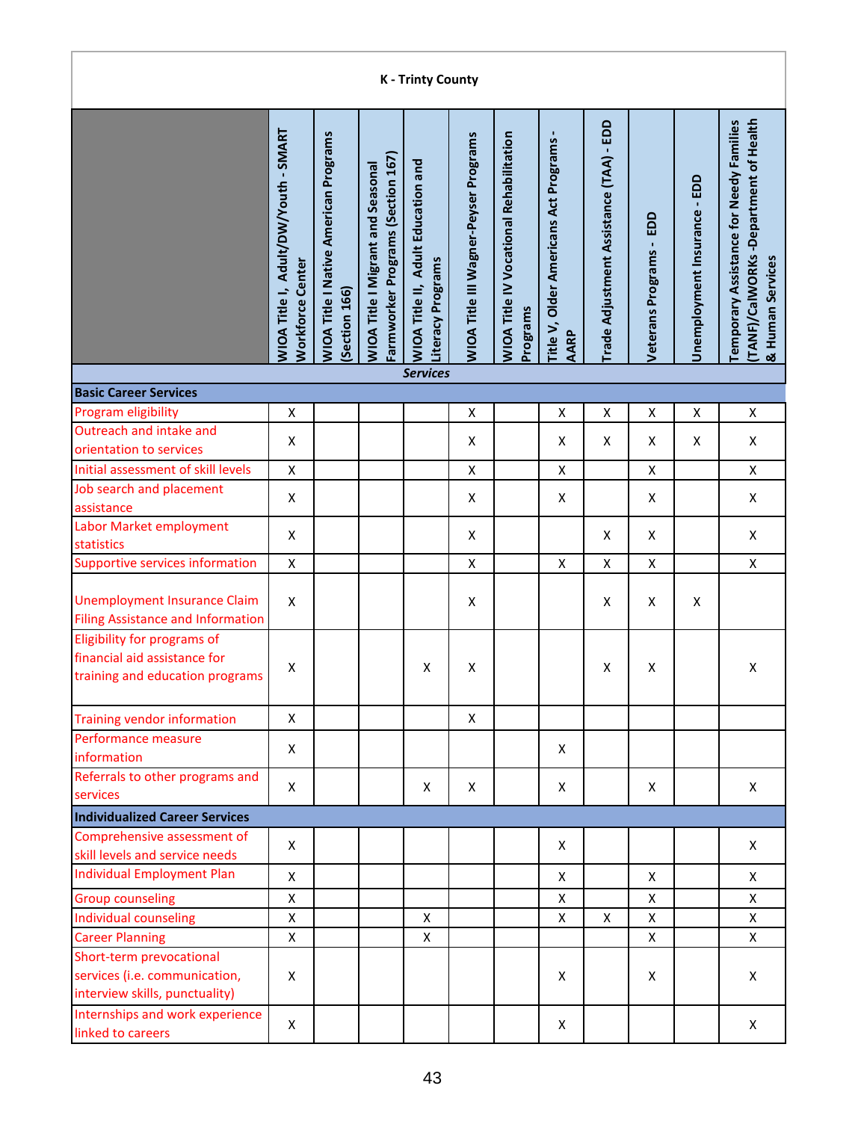| <b>K-Trinty County</b>                                                                         |                                                                 |                                                              |                                                                               |                                                                |                                              |                                                            |                                                      |                                         |                                  |                              |                                                                                                     |  |  |
|------------------------------------------------------------------------------------------------|-----------------------------------------------------------------|--------------------------------------------------------------|-------------------------------------------------------------------------------|----------------------------------------------------------------|----------------------------------------------|------------------------------------------------------------|------------------------------------------------------|-----------------------------------------|----------------------------------|------------------------------|-----------------------------------------------------------------------------------------------------|--|--|
|                                                                                                | WIOA Title I, Adult/DW/Youth - SMART<br><b>Workforce Center</b> | <b>WIOA Title I Native American Programs</b><br>Section 166) | Farmworker Programs (Section 167)<br><b>WIOA Title I Migrant and Seasonal</b> | <b>WIOA Title II, Adult Education and</b><br>Literacy Programs | <b>WIOA Title III Wagner-Peyser Programs</b> | <b>WIOA Title IV Vocational Rehabilitation</b><br>Programs | Title V, Older Americans Act Programs<br><b>AARP</b> | Trade Adjustment Assistance (TAA) - EDD | EDD<br><b>Veterans Programs-</b> | Unemployment Insurance - EDD | (TANF)/CalWORKs-Department of Health<br>Temporary Assistance for Needy Families<br>& Human Services |  |  |
|                                                                                                |                                                                 |                                                              |                                                                               | <b>Services</b>                                                |                                              |                                                            |                                                      |                                         |                                  |                              |                                                                                                     |  |  |
| <b>Basic Career Services</b>                                                                   |                                                                 |                                                              |                                                                               |                                                                |                                              |                                                            |                                                      |                                         |                                  |                              |                                                                                                     |  |  |
| Program eligibility                                                                            | $\pmb{\mathsf{X}}$                                              |                                                              |                                                                               |                                                                | $\pmb{\mathsf{X}}$                           |                                                            | Χ                                                    | X                                       | $\pmb{\mathsf{X}}$               | Χ                            | $\pmb{\mathsf{X}}$                                                                                  |  |  |
| Outreach and intake and<br>orientation to services                                             | X                                                               |                                                              |                                                                               |                                                                | X                                            |                                                            | X                                                    | X                                       | X                                | X                            | X                                                                                                   |  |  |
| Initial assessment of skill levels                                                             | X                                                               |                                                              |                                                                               |                                                                | $\pmb{\mathsf{X}}$                           |                                                            | X                                                    |                                         | X                                |                              | X                                                                                                   |  |  |
| Job search and placement                                                                       |                                                                 |                                                              |                                                                               |                                                                |                                              |                                                            |                                                      |                                         |                                  |                              |                                                                                                     |  |  |
| assistance                                                                                     | X                                                               |                                                              |                                                                               |                                                                | X                                            |                                                            | X                                                    |                                         | X                                |                              | X                                                                                                   |  |  |
| Labor Market employment<br>statistics                                                          | X                                                               |                                                              |                                                                               |                                                                | X                                            |                                                            |                                                      | X                                       | X                                |                              | $\pmb{\mathsf{X}}$                                                                                  |  |  |
| <b>Supportive services information</b>                                                         | X                                                               |                                                              |                                                                               |                                                                | X                                            |                                                            | Χ                                                    | X                                       | X                                |                              | X                                                                                                   |  |  |
|                                                                                                |                                                                 |                                                              |                                                                               |                                                                |                                              |                                                            |                                                      |                                         |                                  |                              |                                                                                                     |  |  |
| <b>Unemployment Insurance Claim</b><br><b>Filing Assistance and Information</b>                | X                                                               |                                                              |                                                                               |                                                                | X                                            |                                                            |                                                      | X                                       | X                                | X                            |                                                                                                     |  |  |
| Eligibility for programs of<br>financial aid assistance for<br>training and education programs | X                                                               |                                                              |                                                                               | X                                                              | X                                            |                                                            |                                                      | X                                       | X                                |                              | $\pmb{\mathsf{X}}$                                                                                  |  |  |
| <b>Training vendor information</b>                                                             | X                                                               |                                                              |                                                                               |                                                                | X                                            |                                                            |                                                      |                                         |                                  |                              |                                                                                                     |  |  |
| Performance measure                                                                            | X                                                               |                                                              |                                                                               |                                                                |                                              |                                                            | X                                                    |                                         |                                  |                              |                                                                                                     |  |  |
| information<br>Referrals to other programs and                                                 |                                                                 |                                                              |                                                                               |                                                                |                                              |                                                            |                                                      |                                         |                                  |                              |                                                                                                     |  |  |
| services                                                                                       | X                                                               |                                                              |                                                                               | X                                                              | X                                            |                                                            | X                                                    |                                         | X                                |                              | X                                                                                                   |  |  |
| <b>Individualized Career Services</b>                                                          |                                                                 |                                                              |                                                                               |                                                                |                                              |                                                            |                                                      |                                         |                                  |                              |                                                                                                     |  |  |
| Comprehensive assessment of                                                                    | X                                                               |                                                              |                                                                               |                                                                |                                              |                                                            | X                                                    |                                         |                                  |                              | X                                                                                                   |  |  |
| skill levels and service needs                                                                 |                                                                 |                                                              |                                                                               |                                                                |                                              |                                                            |                                                      |                                         |                                  |                              |                                                                                                     |  |  |
| <b>Individual Employment Plan</b>                                                              | X                                                               |                                                              |                                                                               |                                                                |                                              |                                                            | X                                                    |                                         | X                                |                              | $\mathsf{X}$                                                                                        |  |  |
| <b>Group counseling</b>                                                                        | X                                                               |                                                              |                                                                               |                                                                |                                              |                                                            | X                                                    |                                         | X                                |                              | X                                                                                                   |  |  |
| Individual counseling                                                                          | X                                                               |                                                              |                                                                               | X                                                              |                                              |                                                            | X                                                    | X                                       | X                                |                              | $\mathsf{X}$                                                                                        |  |  |
| <b>Career Planning</b>                                                                         | X                                                               |                                                              |                                                                               | X                                                              |                                              |                                                            |                                                      |                                         | X                                |                              | X                                                                                                   |  |  |
| Short-term prevocational<br>services (i.e. communication,<br>interview skills, punctuality)    | X                                                               |                                                              |                                                                               |                                                                |                                              |                                                            | X                                                    |                                         | X                                |                              | X                                                                                                   |  |  |
| Internships and work experience<br>linked to careers                                           | X                                                               |                                                              |                                                                               |                                                                |                                              |                                                            | X                                                    |                                         |                                  |                              | X                                                                                                   |  |  |

Г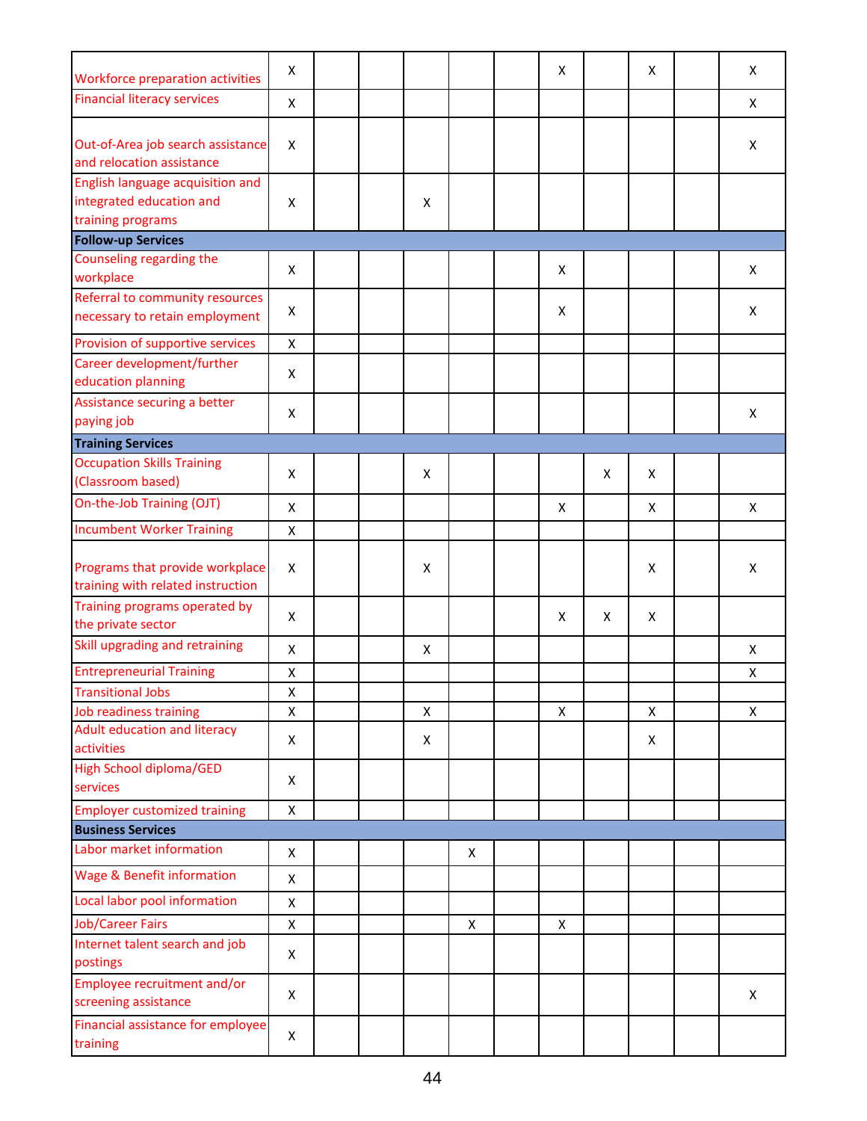| Workforce preparation activities                                                  | X |  |   |   | X |   | X | Χ |
|-----------------------------------------------------------------------------------|---|--|---|---|---|---|---|---|
| <b>Financial literacy services</b>                                                | X |  |   |   |   |   |   | X |
| Out-of-Area job search assistance<br>and relocation assistance                    | X |  |   |   |   |   |   | X |
| English language acquisition and<br>integrated education and<br>training programs | X |  | X |   |   |   |   |   |
| <b>Follow-up Services</b>                                                         |   |  |   |   |   |   |   |   |
| Counseling regarding the<br>workplace                                             | X |  |   |   | X |   |   | X |
| Referral to community resources<br>necessary to retain employment                 | X |  |   |   | X |   |   | X |
| Provision of supportive services                                                  | X |  |   |   |   |   |   |   |
| Career development/further<br>education planning                                  | X |  |   |   |   |   |   |   |
| Assistance securing a better<br>paying job                                        | X |  |   |   |   |   |   | X |
| <b>Training Services</b>                                                          |   |  |   |   |   |   |   |   |
| <b>Occupation Skills Training</b>                                                 | X |  | X |   |   | X | X |   |
| (Classroom based)                                                                 |   |  |   |   |   |   |   |   |
| On-the-Job Training (OJT)                                                         | X |  |   |   | X |   | X | X |
| <b>Incumbent Worker Training</b>                                                  | X |  |   |   |   |   |   |   |
| Programs that provide workplace<br>training with related instruction              | X |  | X |   |   |   | X | X |
| Training programs operated by<br>the private sector                               | X |  |   |   | X | X | X |   |
| Skill upgrading and retraining                                                    | X |  | X |   |   |   |   | X |
| <b>Entrepreneurial Training</b>                                                   | X |  |   |   |   |   |   | X |
| <b>Transitional Jobs</b>                                                          | X |  |   |   |   |   |   |   |
| Job readiness training                                                            | X |  | X |   | X |   | X | X |
| <b>Adult education and literacy</b><br>activities                                 | X |  | X |   |   |   | X |   |
| <b>High School diploma/GED</b><br>services                                        | X |  |   |   |   |   |   |   |
| <b>Employer customized training</b>                                               | X |  |   |   |   |   |   |   |
| <b>Business Services</b>                                                          |   |  |   |   |   |   |   |   |
| Labor market information                                                          | X |  |   | X |   |   |   |   |
| <b>Wage &amp; Benefit information</b>                                             | X |  |   |   |   |   |   |   |
| Local labor pool information                                                      | X |  |   |   |   |   |   |   |
| <b>Job/Career Fairs</b>                                                           | X |  |   | X | X |   |   |   |
| Internet talent search and job<br>postings                                        | X |  |   |   |   |   |   |   |
| Employee recruitment and/or<br>screening assistance                               | X |  |   |   |   |   |   | X |
| Financial assistance for employee<br>training                                     | X |  |   |   |   |   |   |   |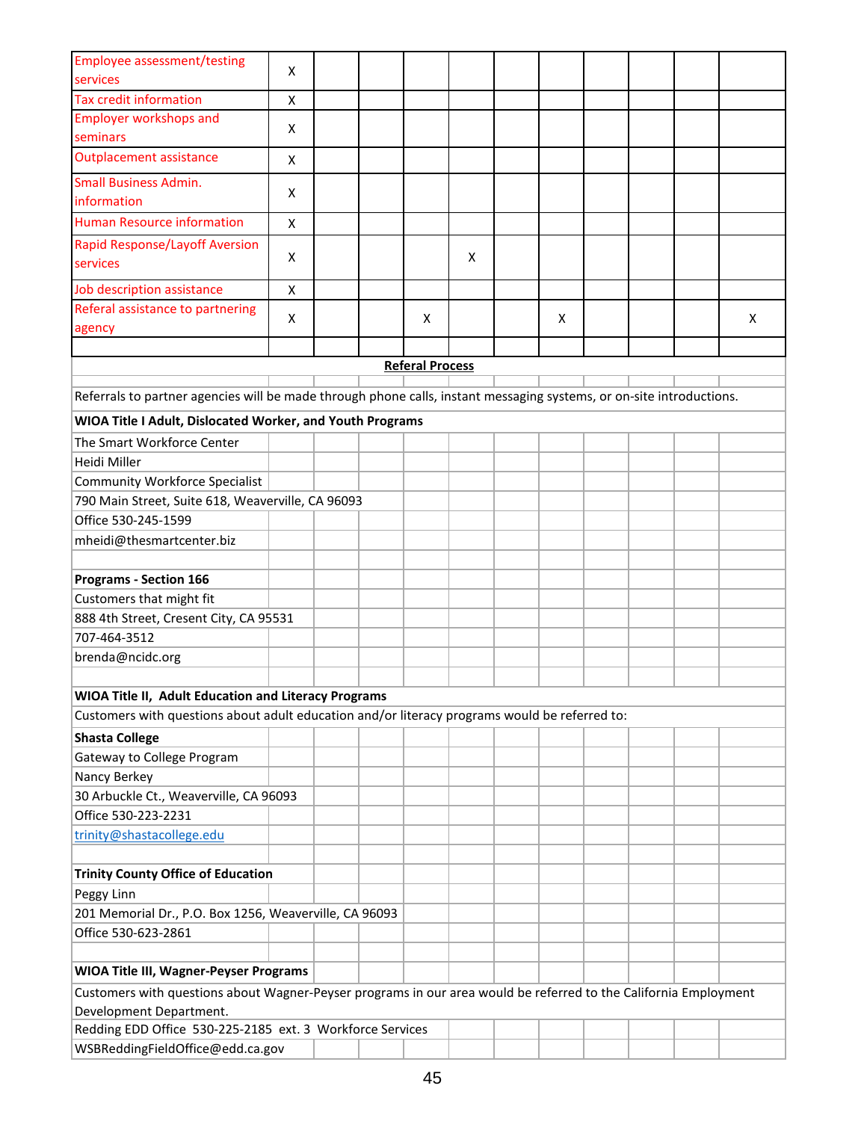| <b>Employee assessment/testing</b>                                                                                   | X |  |                        |   |   |  |   |
|----------------------------------------------------------------------------------------------------------------------|---|--|------------------------|---|---|--|---|
| services                                                                                                             |   |  |                        |   |   |  |   |
| <b>Tax credit information</b>                                                                                        | X |  |                        |   |   |  |   |
| <b>Employer workshops and</b><br>seminars                                                                            | X |  |                        |   |   |  |   |
| <b>Outplacement assistance</b>                                                                                       | X |  |                        |   |   |  |   |
| <b>Small Business Admin.</b>                                                                                         |   |  |                        |   |   |  |   |
| information                                                                                                          | X |  |                        |   |   |  |   |
| <b>Human Resource information</b>                                                                                    | X |  |                        |   |   |  |   |
| <b>Rapid Response/Layoff Aversion</b>                                                                                |   |  |                        |   |   |  |   |
| services                                                                                                             | X |  |                        | X |   |  |   |
| Job description assistance                                                                                           | X |  |                        |   |   |  |   |
| Referal assistance to partnering                                                                                     | X |  | X                      |   | X |  | X |
| agency                                                                                                               |   |  |                        |   |   |  |   |
|                                                                                                                      |   |  |                        |   |   |  |   |
|                                                                                                                      |   |  | <b>Referal Process</b> |   |   |  |   |
| Referrals to partner agencies will be made through phone calls, instant messaging systems, or on-site introductions. |   |  |                        |   |   |  |   |
|                                                                                                                      |   |  |                        |   |   |  |   |
| WIOA Title I Adult, Dislocated Worker, and Youth Programs                                                            |   |  |                        |   |   |  |   |
| The Smart Workforce Center                                                                                           |   |  |                        |   |   |  |   |
| Heidi Miller                                                                                                         |   |  |                        |   |   |  |   |
| <b>Community Workforce Specialist</b>                                                                                |   |  |                        |   |   |  |   |
| 790 Main Street, Suite 618, Weaverville, CA 96093                                                                    |   |  |                        |   |   |  |   |
| Office 530-245-1599                                                                                                  |   |  |                        |   |   |  |   |
| mheidi@thesmartcenter.biz                                                                                            |   |  |                        |   |   |  |   |
|                                                                                                                      |   |  |                        |   |   |  |   |
| <b>Programs - Section 166</b>                                                                                        |   |  |                        |   |   |  |   |
| Customers that might fit                                                                                             |   |  |                        |   |   |  |   |
| 888 4th Street, Cresent City, CA 95531<br>707-464-3512                                                               |   |  |                        |   |   |  |   |
| brenda@ncidc.org                                                                                                     |   |  |                        |   |   |  |   |
|                                                                                                                      |   |  |                        |   |   |  |   |
| WIOA Title II, Adult Education and Literacy Programs                                                                 |   |  |                        |   |   |  |   |
| Customers with questions about adult education and/or literacy programs would be referred to:                        |   |  |                        |   |   |  |   |
| <b>Shasta College</b>                                                                                                |   |  |                        |   |   |  |   |
| Gateway to College Program                                                                                           |   |  |                        |   |   |  |   |
| Nancy Berkey                                                                                                         |   |  |                        |   |   |  |   |
| 30 Arbuckle Ct., Weaverville, CA 96093                                                                               |   |  |                        |   |   |  |   |
| Office 530-223-2231                                                                                                  |   |  |                        |   |   |  |   |
| trinity@shastacollege.edu                                                                                            |   |  |                        |   |   |  |   |
|                                                                                                                      |   |  |                        |   |   |  |   |
| <b>Trinity County Office of Education</b>                                                                            |   |  |                        |   |   |  |   |
| Peggy Linn                                                                                                           |   |  |                        |   |   |  |   |
| 201 Memorial Dr., P.O. Box 1256, Weaverville, CA 96093                                                               |   |  |                        |   |   |  |   |
| Office 530-623-2861                                                                                                  |   |  |                        |   |   |  |   |
|                                                                                                                      |   |  |                        |   |   |  |   |
| <b>WIOA Title III, Wagner-Peyser Programs</b>                                                                        |   |  |                        |   |   |  |   |
| Customers with questions about Wagner-Peyser programs in our area would be referred to the California Employment     |   |  |                        |   |   |  |   |
| Development Department.                                                                                              |   |  |                        |   |   |  |   |
| Redding EDD Office 530-225-2185 ext. 3 Workforce Services                                                            |   |  |                        |   |   |  |   |
| WSBReddingFieldOffice@edd.ca.gov                                                                                     |   |  |                        |   |   |  |   |